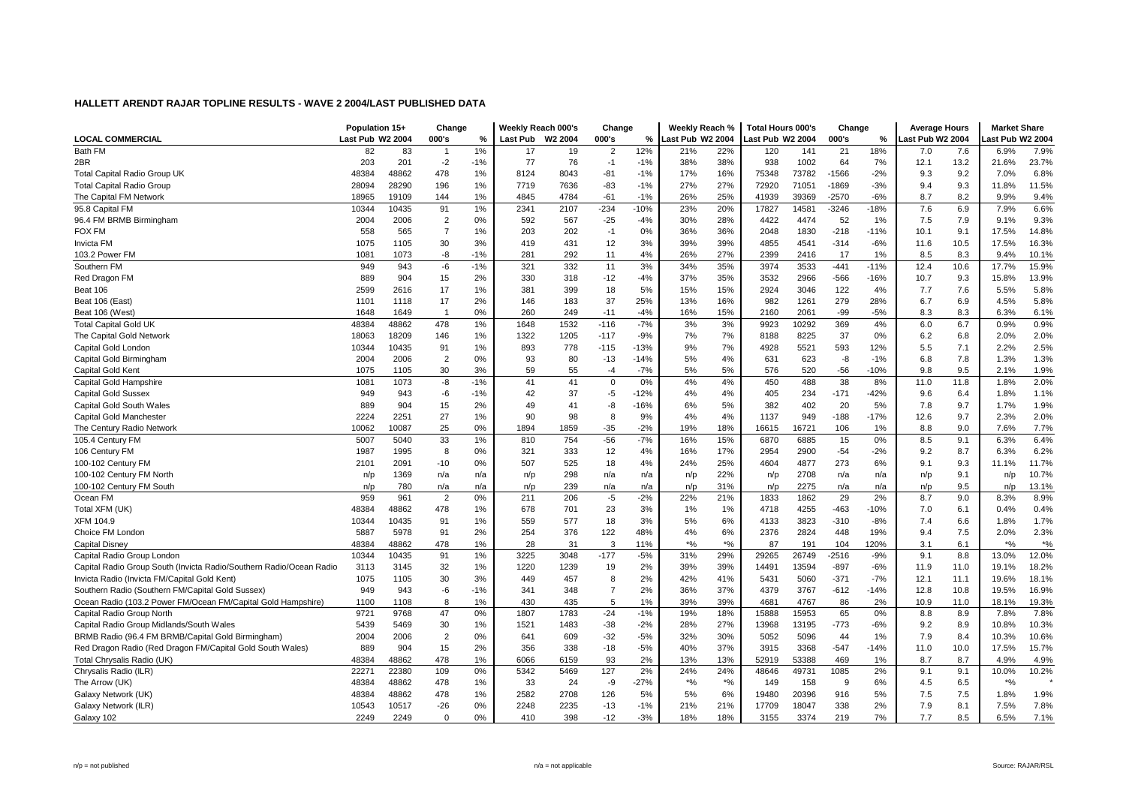| Last Pub W2 2004<br><b>LOCAL COMMERCIAL</b><br>Last Pub W2 2004<br>000's<br>%<br><b>Last Pub</b><br>W2 2004<br>000's<br>%<br>ast Pub W2 2004<br>000's<br>%<br>Last Pub W2 2004<br>ast Pub W2 2004<br><b>Bath FM</b><br>1%<br>12%<br>18%<br>7.9%<br>82<br>83<br>19<br>$\overline{2}$<br>22%<br>141<br>21<br>7.6<br>6.9%<br>$\overline{1}$<br>17<br>21%<br>120<br>7.0<br>2BR<br>203<br>201<br>$-2$<br>$-1%$<br>77<br>76<br>38%<br>38%<br>938<br>1002<br>64<br>13.2<br>21.6%<br>23.7%<br>$-1$<br>$-1%$<br>7%<br>12.1<br>Total Capital Radio Group UK<br>48384<br>48862<br>478<br>1%<br>8124<br>8043<br>$-81$<br>$-1%$<br>17%<br>16%<br>75348<br>73782<br>$-1566$<br>$-2%$<br>9.2<br>7.0%<br>6.8%<br>9.3<br>11.5%<br><b>Total Capital Radio Group</b><br>28094<br>28290<br>1%<br>7719<br>7636<br>$-83$<br>$-1%$<br>27%<br>27%<br>72920<br>71051<br>-1869<br>$-3%$<br>9.4<br>9.3<br>11.8%<br>196<br>1%<br>25%<br>39369<br>8.2<br>9.4%<br>The Capital FM Network<br>18965<br>144<br>4845<br>4784<br>$-61$<br>$-1%$<br>26%<br>41939<br>$-2570$<br>$-6%$<br>8.7<br>9.9%<br>19109<br>6.6%<br>95.8 Capital FM<br>10344<br>10435<br>91<br>1%<br>2341<br>2107<br>$-234$<br>$-10%$<br>23%<br>20%<br>17827<br>14581<br>$-3246$<br>$-18%$<br>7.6<br>6.9<br>7.9%<br>9.3%<br>96.4 FM BRMB Birmingham<br>2004<br>2006<br>$\overline{2}$<br>0%<br>592<br>567<br>$-25$<br>30%<br>28%<br>4422<br>4474<br>52<br>7.9<br>$-4%$<br>1%<br>7.5<br>9.1%<br>$\overline{7}$<br>36%<br>14.8%<br>558<br>565<br>203<br>0%<br>36%<br>2048<br>1830<br>$-218$<br>$-11%$<br>10.1<br>9.1<br>17.5%<br><b>FOX FM</b><br>1%<br>202<br>$-1$<br>1075<br>30<br>3%<br>39%<br>39%<br>$-6%$<br>10.5<br>17.5%<br>16.3%<br><b>Invicta FM</b><br>1105<br>3%<br>419<br>431<br>12<br>4855<br>4541<br>$-314$<br>11.6<br>-8<br>$-1%$<br>281<br>292<br>4%<br>26%<br>27%<br>17<br>1%<br>103.2 Power FM<br>1081<br>1073<br>11<br>2399<br>2416<br>8.5<br>8.3<br>9.4%<br>10.1%<br>15.9%<br>$-1%$<br>321<br>332<br>3%<br>35%<br>3974<br>3533<br>$-441$<br>Southern FM<br>949<br>943<br>-6<br>11<br>34%<br>$-11%$<br>12.4<br>10.6<br>17.7%<br>889<br>2%<br>35%<br>13.9%<br>Red Dragon FM<br>904<br>15<br>330<br>318<br>$-12$<br>$-4%$<br>37%<br>3532<br>2966<br>$-566$<br>$-16%$<br>9.3<br>15.8%<br>10.7<br>381<br>5.8%<br>Beat 106<br>2599<br>2616<br>17<br>1%<br>399<br>18<br>5%<br>15%<br>15%<br>2924<br>3046<br>122<br>4%<br>7.7<br>7.6<br>5.5%<br>5.8%<br>37<br>16%<br>279<br>Beat 106 (East)<br>1101<br>1118<br>17<br>2%<br>146<br>183<br>25%<br>13%<br>982<br>1261<br>28%<br>6.7<br>6.9<br>4.5%<br>15%<br>0%<br>260<br>249<br>$-4%$<br>16%<br>2160<br>2061<br>$-99$<br>$-5%$<br>8.3<br>8.3<br>6.3%<br>6.1%<br>Beat 106 (West)<br>1648<br>1649<br>$-11$<br>$\overline{1}$<br>48384<br>1%<br>1532<br>$-116$<br>$-7%$<br>3%<br>9923<br>10292<br>369<br>4%<br>6.7<br>0.9%<br>0.9%<br><b>Total Capital Gold UK</b><br>48862<br>478<br>1648<br>3%<br>6.0<br>37<br>2.0%<br>18209<br>146<br>1%<br>1322<br>1205<br>$-117$<br>$-9%$<br>7%<br>7%<br>8225<br>0%<br>6.8<br>2.0%<br>The Capital Gold Network<br>18063<br>8188<br>6.2<br>2.5%<br>893<br>778<br>7%<br>5521<br>593<br>7.1<br>2.2%<br>Capital Gold London<br>10344<br>10435<br>91<br>1%<br>$-115$<br>$-13%$<br>9%<br>4928<br>12%<br>5.5<br>1.3%<br>2006<br>2<br>0%<br>93<br>80<br>$-13$<br>$-14%$<br>4%<br>623<br>-8<br>$-1%$<br>7.8<br>Capital Gold Birmingham<br>2004<br>5%<br>631<br>6.8<br>1.3%<br>1.9%<br>1075<br>30<br>3%<br>59<br>55<br>$-7%$<br>5%<br>5%<br>576<br>520<br>$-56$<br>$-10%$<br>9.8<br>9.5<br>Capital Gold Kent<br>1105<br>$-4$<br>2.1%<br>$-1%$<br>41<br>0%<br>4%<br>38<br>8%<br>2.0%<br>Capital Gold Hampshire<br>1081<br>-8<br>41<br>$\mathbf 0$<br>4%<br>450<br>488<br>11.0<br>1.8%<br>1073<br>11.8<br>37<br>$-5$<br>4%<br>$-171$<br>6.4<br>1.1%<br><b>Capital Gold Sussex</b><br>949<br>943<br>-6<br>$-1%$<br>42<br>$-12%$<br>4%<br>405<br>234<br>$-42%$<br>9.6<br>1.8%<br>889<br>904<br>2%<br>41<br>-8<br>$-16%$<br>6%<br>5%<br>382<br>402<br>20<br>5%<br>9.7<br>1.9%<br>Capital Gold South Wales<br>15<br>49<br>7.8<br>1.7%<br>2.0%<br>2224<br>2251<br>27<br>90<br>98<br>8<br>9%<br>4%<br>4%<br>1137<br>949<br>$-188$<br>$-17%$<br>12.6<br>9.7<br>2.3%<br>Capital Gold Manchester<br>1%<br>7.7%<br>25<br>0%<br>1859<br>$-35$<br>$-2%$<br>19%<br>18%<br>9.0<br>The Century Radio Network<br>10062<br>10087<br>1894<br>16615<br>16721<br>106<br>1%<br>8.8<br>7.6%<br>$-7%$<br>6.4%<br>5007<br>5040<br>33<br>1%<br>754<br>$-56$<br>16%<br>15%<br>6870<br>6885<br>15<br>0%<br>8.5<br>9.1<br>6.3%<br>105.4 Century FM<br>810<br>17%<br>$-54$<br>6.2%<br>106 Century FM<br>1987<br>1995<br>8<br>0%<br>321<br>333<br>12<br>4%<br>16%<br>2954<br>2900<br>$-2%$<br>9.2<br>8.7<br>6.3%<br>11.7%<br>507<br>525<br>25%<br>4877<br>273<br>9.3<br>100-102 Century FM<br>2101<br>2091<br>-10<br>0%<br>18<br>4%<br>24%<br>4604<br>6%<br>9.1<br>11.1%<br>22%<br>2708<br>10.7%<br>100-102 Century FM North<br>1369<br>298<br>9.1<br>n/p<br>n/p<br>n/a<br>n/p<br>n/a<br>n/p<br>n/a<br>n/a<br>n/a<br>n/p<br>n/a<br>n/p<br>100-102 Century FM South<br>780<br>239<br>31%<br>2275<br>9.5<br>13.1%<br>n/p<br>n/a<br>n/a<br>n/p<br>n/a<br>n/a<br>n/a<br>n/a<br>n/p<br>n/p<br>n/p<br>n/p<br>959<br>0%<br>$-5$<br>$-2%$<br>29<br>9.0<br>8.9%<br>Ocean FM<br>961<br>$\overline{2}$<br>211<br>206<br>22%<br>21%<br>1833<br>1862<br>2%<br>8.7<br>8.3%<br>0.4%<br>Total XFM (UK)<br>48384<br>48862<br>478<br>678<br>701<br>23<br>3%<br>4255<br>$-463$<br>$-10%$<br>1%<br>1%<br>1%<br>4718<br>7.0<br>6.1<br>0.4%<br>1.7%<br><b>XFM 104.9</b><br>10344<br>10435<br>91<br>1%<br>559<br>577<br>18<br>3%<br>5%<br>6%<br>4133<br>3823<br>$-310$<br>$-8%$<br>7.4<br>6.6<br>1.8%<br>7.5<br>2.3%<br>Choice FM London<br>5887<br>5978<br>91<br>2%<br>254<br>376<br>122<br>48%<br>4%<br>6%<br>2376<br>2824<br>448<br>19%<br>9.4<br>2.0%<br>$*9/6$<br>$*$ %<br>$*$ %<br>28<br>3<br>$*9/6$<br>Capital Disney<br>48384<br>48862<br>478<br>1%<br>31<br>11%<br>87<br>191<br>104<br>120%<br>3.1<br>6.1<br>1%<br>$-5%$<br>12.0%<br>10344<br>10435<br>91<br>3225<br>3048<br>$-177$<br>31%<br>29%<br>29265<br>26749<br>$-2516$<br>$-9%$<br>9.1<br>8.8<br>13.0%<br>Capital Radio Group London<br>Capital Radio Group South (Invicta Radio/Southern Radio/Ocean Radio<br>32<br>1220<br>2%<br>39%<br>13594<br>$-897$<br>$-6%$<br>18.2%<br>3113<br>3145<br>1%<br>1239<br>19<br>39%<br>14491<br>11.9<br>11.0<br>19.1%<br>2%<br>Invicta Radio (Invicta FM/Capital Gold Kent)<br>1075<br>30<br>3%<br>457<br>8<br>41%<br>5060<br>$-371$<br>$-7%$<br>11.1<br>18.1%<br>1105<br>449<br>42%<br>5431<br>12.1<br>19.6%<br>341<br>$\overline{7}$<br>2%<br>37%<br>4379<br>3767<br>16.9%<br>Southern Radio (Southern FM/Capital Gold Sussex)<br>949<br>943<br>-6<br>$-1%$<br>348<br>36%<br>$-612$<br>$-14%$<br>12.8<br>10.8<br>19.5%<br>430<br>19.3%<br>Ocean Radio (103.2 Power FM/Ocean FM/Capital Gold Hampshire)<br>1100<br>1108<br>8<br>1%<br>435<br>5<br>1%<br>39%<br>39%<br>4681<br>4767<br>86<br>2%<br>10.9<br>11.0<br>18.1%<br>1783<br>7.8%<br>$-24$<br>18%<br>15953<br>65<br>8.9<br>Capital Radio Group North<br>9721<br>9768<br>47<br>0%<br>1807<br>$-1%$<br>19%<br>15888<br>0%<br>8.8<br>7.8%<br>10.3%<br>5439<br>1483<br>27%<br>$-773$<br>8.9<br>Capital Radio Group Midlands/South Wales<br>5469<br>30<br>1%<br>1521<br>$-38$<br>$-2%$<br>28%<br>13968<br>13195<br>$-6%$<br>9.2<br>10.8%<br>$\overline{2}$<br>$-5%$<br>32%<br>30%<br>5096<br>8.4<br>10.3%<br>10.6%<br>BRMB Radio (96.4 FM BRMB/Capital Gold Birmingham)<br>2004<br>2006<br>0%<br>641<br>609<br>$-32$<br>5052<br>44<br>1%<br>7.9<br>356<br>37%<br>15.7%<br>Red Dragon Radio (Red Dragon FM/Capital Gold South Wales)<br>889<br>904<br>15<br>2%<br>338<br>$-18$<br>$-5%$<br>40%<br>3915<br>3368<br>$-547$<br>$-14%$<br>11.0<br>10.0<br>17.5%<br>478<br>1%<br>93<br>2%<br>13%<br>4.9%<br>Total Chrysalis Radio (UK)<br>48384<br>48862<br>6066<br>6159<br>13%<br>52919<br>53388<br>469<br>1%<br>8.7<br>8.7<br>4.9%<br>22271<br>0%<br>5342<br>127<br>2%<br>24%<br>49731<br>1085<br>2%<br>10.2%<br>Chrysalis Radio (ILR)<br>22380<br>109<br>5469<br>24%<br>48646<br>9.1<br>9.1<br>10.0%<br>$*9/6$<br>$*$ %<br>$*9/6$<br>The Arrow (UK)<br>48384<br>48862<br>478<br>1%<br>33<br>24<br>-9<br>$-27%$<br>158<br>9<br>6%<br>6.5<br>149<br>4.5<br>5%<br>7.5<br>1.9%<br>Galaxy Network (UK)<br>48384<br>48862<br>478<br>1%<br>2582<br>2708<br>126<br>5%<br>6%<br>19480<br>20396<br>916<br>5%<br>7.5<br>1.8%<br>10517<br>$-26$<br>2248<br>2235<br>18047<br>338<br>2%<br>7.9<br>8.1<br>7.5%<br>7.8%<br>Galaxy Network (ILR)<br>10543<br>0%<br>$-13$<br>$-1%$<br>21%<br>21%<br>17709<br>2249<br>2249<br>$\mathbf 0$<br>0%<br>410<br>398<br>$-12$<br>$-3%$<br>18%<br>18%<br>3374<br>219<br>7%<br>7.7<br>8.5<br>6.5%<br>7.1%<br>Galaxy 102<br>3155 | Population 15+ | Change | Weekly Reach 000's | Change | Weekly Reach % | <b>Total Hours 000's</b> | Change | <b>Average Hours</b> | <b>Market Share</b> |  |
|-----------------------------------------------------------------------------------------------------------------------------------------------------------------------------------------------------------------------------------------------------------------------------------------------------------------------------------------------------------------------------------------------------------------------------------------------------------------------------------------------------------------------------------------------------------------------------------------------------------------------------------------------------------------------------------------------------------------------------------------------------------------------------------------------------------------------------------------------------------------------------------------------------------------------------------------------------------------------------------------------------------------------------------------------------------------------------------------------------------------------------------------------------------------------------------------------------------------------------------------------------------------------------------------------------------------------------------------------------------------------------------------------------------------------------------------------------------------------------------------------------------------------------------------------------------------------------------------------------------------------------------------------------------------------------------------------------------------------------------------------------------------------------------------------------------------------------------------------------------------------------------------------------------------------------------------------------------------------------------------------------------------------------------------------------------------------------------------------------------------------------------------------------------------------------------------------------------------------------------------------------------------------------------------------------------------------------------------------------------------------------------------------------------------------------------------------------------------------------------------------------------------------------------------------------------------------------------------------------------------------------------------------------------------------------------------------------------------------------------------------------------------------------------------------------------------------------------------------------------------------------------------------------------------------------------------------------------------------------------------------------------------------------------------------------------------------------------------------------------------------------------------------------------------------------------------------------------------------------------------------------------------------------------------------------------------------------------------------------------------------------------------------------------------------------------------------------------------------------------------------------------------------------------------------------------------------------------------------------------------------------------------------------------------------------------------------------------------------------------------------------------------------------------------------------------------------------------------------------------------------------------------------------------------------------------------------------------------------------------------------------------------------------------------------------------------------------------------------------------------------------------------------------------------------------------------------------------------------------------------------------------------------------------------------------------------------------------------------------------------------------------------------------------------------------------------------------------------------------------------------------------------------------------------------------------------------------------------------------------------------------------------------------------------------------------------------------------------------------------------------------------------------------------------------------------------------------------------------------------------------------------------------------------------------------------------------------------------------------------------------------------------------------------------------------------------------------------------------------------------------------------------------------------------------------------------------------------------------------------------------------------------------------------------------------------------------------------------------------------------------------------------------------------------------------------------------------------------------------------------------------------------------------------------------------------------------------------------------------------------------------------------------------------------------------------------------------------------------------------------------------------------------------------------------------------------------------------------------------------------------------------------------------------------------------------------------------------------------------------------------------------------------------------------------------------------------------------------------------------------------------------------------------------------------------------------------------------------------------------------------------------------------------------------------------------------------------------------------------------------------------------------------------------------------------------------------------------------------------------------------------------------------------------------------------------------------------------------------------------------------------------------------------------------------------------------------------------------------------------------------------------------------------------------------------------------------------------------------------------------------------------------------------------------------------------------------------------------------------------------------------------------------------------------------------------------------------------------------------------------------------------------------------------------------------------------------------------------------------------------------------------------------------------------------------------------------------------------------------------------------------------------------------------------------------------------------------------------------------------------------------------------------------------------------------------------------------------------------------------------------------------------------------------------------------------------------------------------------------------------------------------------------------------------------------------------------------------------------------------------------------------------------------------------------------------------------------------------------------------------------------------------------------------------------------------------------------------------------------------------------------------------------------------------------------------------------------------------------------------------------------------------------------------------------------------------------------------------------------------------------------------------------------------------------------------------------------------------------------------------------------------------------------------------------------------------------------------------------------------------------------------------------------------------------------------------------------------------------------------------------------------------|----------------|--------|--------------------|--------|----------------|--------------------------|--------|----------------------|---------------------|--|
|                                                                                                                                                                                                                                                                                                                                                                                                                                                                                                                                                                                                                                                                                                                                                                                                                                                                                                                                                                                                                                                                                                                                                                                                                                                                                                                                                                                                                                                                                                                                                                                                                                                                                                                                                                                                                                                                                                                                                                                                                                                                                                                                                                                                                                                                                                                                                                                                                                                                                                                                                                                                                                                                                                                                                                                                                                                                                                                                                                                                                                                                                                                                                                                                                                                                                                                                                                                                                                                                                                                                                                                                                                                                                                                                                                                                                                                                                                                                                                                                                                                                                                                                                                                                                                                                                                                                                                                                                                                                                                                                                                                                                                                                                                                                                                                                                                                                                                                                                                                                                                                                                                                                                                                                                                                                                                                                                                                                                                                                                                                                                                                                                                                                                                                                                                                                                                                                                                                                                                                                                                                                                                                                                                                                                                                                                                                                                                                                                                                                                                                                                                                                                                                                                                                                                                                                                                                                                                                                                                                                                                                                                                                                                                                                                                                                                                                                                                                                                                                                                                                                                                                                                                                                                                                                                                                                                                                                                                                                                                                                                                                                                                                                                                                                                                                                                                                                                                                                                                                                                                                                                                                                                                                                                                                                                                 |                |        |                    |        |                |                          |        |                      |                     |  |
|                                                                                                                                                                                                                                                                                                                                                                                                                                                                                                                                                                                                                                                                                                                                                                                                                                                                                                                                                                                                                                                                                                                                                                                                                                                                                                                                                                                                                                                                                                                                                                                                                                                                                                                                                                                                                                                                                                                                                                                                                                                                                                                                                                                                                                                                                                                                                                                                                                                                                                                                                                                                                                                                                                                                                                                                                                                                                                                                                                                                                                                                                                                                                                                                                                                                                                                                                                                                                                                                                                                                                                                                                                                                                                                                                                                                                                                                                                                                                                                                                                                                                                                                                                                                                                                                                                                                                                                                                                                                                                                                                                                                                                                                                                                                                                                                                                                                                                                                                                                                                                                                                                                                                                                                                                                                                                                                                                                                                                                                                                                                                                                                                                                                                                                                                                                                                                                                                                                                                                                                                                                                                                                                                                                                                                                                                                                                                                                                                                                                                                                                                                                                                                                                                                                                                                                                                                                                                                                                                                                                                                                                                                                                                                                                                                                                                                                                                                                                                                                                                                                                                                                                                                                                                                                                                                                                                                                                                                                                                                                                                                                                                                                                                                                                                                                                                                                                                                                                                                                                                                                                                                                                                                                                                                                                                                 |                |        |                    |        |                |                          |        |                      |                     |  |
|                                                                                                                                                                                                                                                                                                                                                                                                                                                                                                                                                                                                                                                                                                                                                                                                                                                                                                                                                                                                                                                                                                                                                                                                                                                                                                                                                                                                                                                                                                                                                                                                                                                                                                                                                                                                                                                                                                                                                                                                                                                                                                                                                                                                                                                                                                                                                                                                                                                                                                                                                                                                                                                                                                                                                                                                                                                                                                                                                                                                                                                                                                                                                                                                                                                                                                                                                                                                                                                                                                                                                                                                                                                                                                                                                                                                                                                                                                                                                                                                                                                                                                                                                                                                                                                                                                                                                                                                                                                                                                                                                                                                                                                                                                                                                                                                                                                                                                                                                                                                                                                                                                                                                                                                                                                                                                                                                                                                                                                                                                                                                                                                                                                                                                                                                                                                                                                                                                                                                                                                                                                                                                                                                                                                                                                                                                                                                                                                                                                                                                                                                                                                                                                                                                                                                                                                                                                                                                                                                                                                                                                                                                                                                                                                                                                                                                                                                                                                                                                                                                                                                                                                                                                                                                                                                                                                                                                                                                                                                                                                                                                                                                                                                                                                                                                                                                                                                                                                                                                                                                                                                                                                                                                                                                                                                                 |                |        |                    |        |                |                          |        |                      |                     |  |
|                                                                                                                                                                                                                                                                                                                                                                                                                                                                                                                                                                                                                                                                                                                                                                                                                                                                                                                                                                                                                                                                                                                                                                                                                                                                                                                                                                                                                                                                                                                                                                                                                                                                                                                                                                                                                                                                                                                                                                                                                                                                                                                                                                                                                                                                                                                                                                                                                                                                                                                                                                                                                                                                                                                                                                                                                                                                                                                                                                                                                                                                                                                                                                                                                                                                                                                                                                                                                                                                                                                                                                                                                                                                                                                                                                                                                                                                                                                                                                                                                                                                                                                                                                                                                                                                                                                                                                                                                                                                                                                                                                                                                                                                                                                                                                                                                                                                                                                                                                                                                                                                                                                                                                                                                                                                                                                                                                                                                                                                                                                                                                                                                                                                                                                                                                                                                                                                                                                                                                                                                                                                                                                                                                                                                                                                                                                                                                                                                                                                                                                                                                                                                                                                                                                                                                                                                                                                                                                                                                                                                                                                                                                                                                                                                                                                                                                                                                                                                                                                                                                                                                                                                                                                                                                                                                                                                                                                                                                                                                                                                                                                                                                                                                                                                                                                                                                                                                                                                                                                                                                                                                                                                                                                                                                                                                 |                |        |                    |        |                |                          |        |                      |                     |  |
|                                                                                                                                                                                                                                                                                                                                                                                                                                                                                                                                                                                                                                                                                                                                                                                                                                                                                                                                                                                                                                                                                                                                                                                                                                                                                                                                                                                                                                                                                                                                                                                                                                                                                                                                                                                                                                                                                                                                                                                                                                                                                                                                                                                                                                                                                                                                                                                                                                                                                                                                                                                                                                                                                                                                                                                                                                                                                                                                                                                                                                                                                                                                                                                                                                                                                                                                                                                                                                                                                                                                                                                                                                                                                                                                                                                                                                                                                                                                                                                                                                                                                                                                                                                                                                                                                                                                                                                                                                                                                                                                                                                                                                                                                                                                                                                                                                                                                                                                                                                                                                                                                                                                                                                                                                                                                                                                                                                                                                                                                                                                                                                                                                                                                                                                                                                                                                                                                                                                                                                                                                                                                                                                                                                                                                                                                                                                                                                                                                                                                                                                                                                                                                                                                                                                                                                                                                                                                                                                                                                                                                                                                                                                                                                                                                                                                                                                                                                                                                                                                                                                                                                                                                                                                                                                                                                                                                                                                                                                                                                                                                                                                                                                                                                                                                                                                                                                                                                                                                                                                                                                                                                                                                                                                                                                                                 |                |        |                    |        |                |                          |        |                      |                     |  |
|                                                                                                                                                                                                                                                                                                                                                                                                                                                                                                                                                                                                                                                                                                                                                                                                                                                                                                                                                                                                                                                                                                                                                                                                                                                                                                                                                                                                                                                                                                                                                                                                                                                                                                                                                                                                                                                                                                                                                                                                                                                                                                                                                                                                                                                                                                                                                                                                                                                                                                                                                                                                                                                                                                                                                                                                                                                                                                                                                                                                                                                                                                                                                                                                                                                                                                                                                                                                                                                                                                                                                                                                                                                                                                                                                                                                                                                                                                                                                                                                                                                                                                                                                                                                                                                                                                                                                                                                                                                                                                                                                                                                                                                                                                                                                                                                                                                                                                                                                                                                                                                                                                                                                                                                                                                                                                                                                                                                                                                                                                                                                                                                                                                                                                                                                                                                                                                                                                                                                                                                                                                                                                                                                                                                                                                                                                                                                                                                                                                                                                                                                                                                                                                                                                                                                                                                                                                                                                                                                                                                                                                                                                                                                                                                                                                                                                                                                                                                                                                                                                                                                                                                                                                                                                                                                                                                                                                                                                                                                                                                                                                                                                                                                                                                                                                                                                                                                                                                                                                                                                                                                                                                                                                                                                                                                                 |                |        |                    |        |                |                          |        |                      |                     |  |
|                                                                                                                                                                                                                                                                                                                                                                                                                                                                                                                                                                                                                                                                                                                                                                                                                                                                                                                                                                                                                                                                                                                                                                                                                                                                                                                                                                                                                                                                                                                                                                                                                                                                                                                                                                                                                                                                                                                                                                                                                                                                                                                                                                                                                                                                                                                                                                                                                                                                                                                                                                                                                                                                                                                                                                                                                                                                                                                                                                                                                                                                                                                                                                                                                                                                                                                                                                                                                                                                                                                                                                                                                                                                                                                                                                                                                                                                                                                                                                                                                                                                                                                                                                                                                                                                                                                                                                                                                                                                                                                                                                                                                                                                                                                                                                                                                                                                                                                                                                                                                                                                                                                                                                                                                                                                                                                                                                                                                                                                                                                                                                                                                                                                                                                                                                                                                                                                                                                                                                                                                                                                                                                                                                                                                                                                                                                                                                                                                                                                                                                                                                                                                                                                                                                                                                                                                                                                                                                                                                                                                                                                                                                                                                                                                                                                                                                                                                                                                                                                                                                                                                                                                                                                                                                                                                                                                                                                                                                                                                                                                                                                                                                                                                                                                                                                                                                                                                                                                                                                                                                                                                                                                                                                                                                                                                 |                |        |                    |        |                |                          |        |                      |                     |  |
|                                                                                                                                                                                                                                                                                                                                                                                                                                                                                                                                                                                                                                                                                                                                                                                                                                                                                                                                                                                                                                                                                                                                                                                                                                                                                                                                                                                                                                                                                                                                                                                                                                                                                                                                                                                                                                                                                                                                                                                                                                                                                                                                                                                                                                                                                                                                                                                                                                                                                                                                                                                                                                                                                                                                                                                                                                                                                                                                                                                                                                                                                                                                                                                                                                                                                                                                                                                                                                                                                                                                                                                                                                                                                                                                                                                                                                                                                                                                                                                                                                                                                                                                                                                                                                                                                                                                                                                                                                                                                                                                                                                                                                                                                                                                                                                                                                                                                                                                                                                                                                                                                                                                                                                                                                                                                                                                                                                                                                                                                                                                                                                                                                                                                                                                                                                                                                                                                                                                                                                                                                                                                                                                                                                                                                                                                                                                                                                                                                                                                                                                                                                                                                                                                                                                                                                                                                                                                                                                                                                                                                                                                                                                                                                                                                                                                                                                                                                                                                                                                                                                                                                                                                                                                                                                                                                                                                                                                                                                                                                                                                                                                                                                                                                                                                                                                                                                                                                                                                                                                                                                                                                                                                                                                                                                                                 |                |        |                    |        |                |                          |        |                      |                     |  |
|                                                                                                                                                                                                                                                                                                                                                                                                                                                                                                                                                                                                                                                                                                                                                                                                                                                                                                                                                                                                                                                                                                                                                                                                                                                                                                                                                                                                                                                                                                                                                                                                                                                                                                                                                                                                                                                                                                                                                                                                                                                                                                                                                                                                                                                                                                                                                                                                                                                                                                                                                                                                                                                                                                                                                                                                                                                                                                                                                                                                                                                                                                                                                                                                                                                                                                                                                                                                                                                                                                                                                                                                                                                                                                                                                                                                                                                                                                                                                                                                                                                                                                                                                                                                                                                                                                                                                                                                                                                                                                                                                                                                                                                                                                                                                                                                                                                                                                                                                                                                                                                                                                                                                                                                                                                                                                                                                                                                                                                                                                                                                                                                                                                                                                                                                                                                                                                                                                                                                                                                                                                                                                                                                                                                                                                                                                                                                                                                                                                                                                                                                                                                                                                                                                                                                                                                                                                                                                                                                                                                                                                                                                                                                                                                                                                                                                                                                                                                                                                                                                                                                                                                                                                                                                                                                                                                                                                                                                                                                                                                                                                                                                                                                                                                                                                                                                                                                                                                                                                                                                                                                                                                                                                                                                                                                                 |                |        |                    |        |                |                          |        |                      |                     |  |
|                                                                                                                                                                                                                                                                                                                                                                                                                                                                                                                                                                                                                                                                                                                                                                                                                                                                                                                                                                                                                                                                                                                                                                                                                                                                                                                                                                                                                                                                                                                                                                                                                                                                                                                                                                                                                                                                                                                                                                                                                                                                                                                                                                                                                                                                                                                                                                                                                                                                                                                                                                                                                                                                                                                                                                                                                                                                                                                                                                                                                                                                                                                                                                                                                                                                                                                                                                                                                                                                                                                                                                                                                                                                                                                                                                                                                                                                                                                                                                                                                                                                                                                                                                                                                                                                                                                                                                                                                                                                                                                                                                                                                                                                                                                                                                                                                                                                                                                                                                                                                                                                                                                                                                                                                                                                                                                                                                                                                                                                                                                                                                                                                                                                                                                                                                                                                                                                                                                                                                                                                                                                                                                                                                                                                                                                                                                                                                                                                                                                                                                                                                                                                                                                                                                                                                                                                                                                                                                                                                                                                                                                                                                                                                                                                                                                                                                                                                                                                                                                                                                                                                                                                                                                                                                                                                                                                                                                                                                                                                                                                                                                                                                                                                                                                                                                                                                                                                                                                                                                                                                                                                                                                                                                                                                                                                 |                |        |                    |        |                |                          |        |                      |                     |  |
|                                                                                                                                                                                                                                                                                                                                                                                                                                                                                                                                                                                                                                                                                                                                                                                                                                                                                                                                                                                                                                                                                                                                                                                                                                                                                                                                                                                                                                                                                                                                                                                                                                                                                                                                                                                                                                                                                                                                                                                                                                                                                                                                                                                                                                                                                                                                                                                                                                                                                                                                                                                                                                                                                                                                                                                                                                                                                                                                                                                                                                                                                                                                                                                                                                                                                                                                                                                                                                                                                                                                                                                                                                                                                                                                                                                                                                                                                                                                                                                                                                                                                                                                                                                                                                                                                                                                                                                                                                                                                                                                                                                                                                                                                                                                                                                                                                                                                                                                                                                                                                                                                                                                                                                                                                                                                                                                                                                                                                                                                                                                                                                                                                                                                                                                                                                                                                                                                                                                                                                                                                                                                                                                                                                                                                                                                                                                                                                                                                                                                                                                                                                                                                                                                                                                                                                                                                                                                                                                                                                                                                                                                                                                                                                                                                                                                                                                                                                                                                                                                                                                                                                                                                                                                                                                                                                                                                                                                                                                                                                                                                                                                                                                                                                                                                                                                                                                                                                                                                                                                                                                                                                                                                                                                                                                                                 |                |        |                    |        |                |                          |        |                      |                     |  |
|                                                                                                                                                                                                                                                                                                                                                                                                                                                                                                                                                                                                                                                                                                                                                                                                                                                                                                                                                                                                                                                                                                                                                                                                                                                                                                                                                                                                                                                                                                                                                                                                                                                                                                                                                                                                                                                                                                                                                                                                                                                                                                                                                                                                                                                                                                                                                                                                                                                                                                                                                                                                                                                                                                                                                                                                                                                                                                                                                                                                                                                                                                                                                                                                                                                                                                                                                                                                                                                                                                                                                                                                                                                                                                                                                                                                                                                                                                                                                                                                                                                                                                                                                                                                                                                                                                                                                                                                                                                                                                                                                                                                                                                                                                                                                                                                                                                                                                                                                                                                                                                                                                                                                                                                                                                                                                                                                                                                                                                                                                                                                                                                                                                                                                                                                                                                                                                                                                                                                                                                                                                                                                                                                                                                                                                                                                                                                                                                                                                                                                                                                                                                                                                                                                                                                                                                                                                                                                                                                                                                                                                                                                                                                                                                                                                                                                                                                                                                                                                                                                                                                                                                                                                                                                                                                                                                                                                                                                                                                                                                                                                                                                                                                                                                                                                                                                                                                                                                                                                                                                                                                                                                                                                                                                                                                                 |                |        |                    |        |                |                          |        |                      |                     |  |
|                                                                                                                                                                                                                                                                                                                                                                                                                                                                                                                                                                                                                                                                                                                                                                                                                                                                                                                                                                                                                                                                                                                                                                                                                                                                                                                                                                                                                                                                                                                                                                                                                                                                                                                                                                                                                                                                                                                                                                                                                                                                                                                                                                                                                                                                                                                                                                                                                                                                                                                                                                                                                                                                                                                                                                                                                                                                                                                                                                                                                                                                                                                                                                                                                                                                                                                                                                                                                                                                                                                                                                                                                                                                                                                                                                                                                                                                                                                                                                                                                                                                                                                                                                                                                                                                                                                                                                                                                                                                                                                                                                                                                                                                                                                                                                                                                                                                                                                                                                                                                                                                                                                                                                                                                                                                                                                                                                                                                                                                                                                                                                                                                                                                                                                                                                                                                                                                                                                                                                                                                                                                                                                                                                                                                                                                                                                                                                                                                                                                                                                                                                                                                                                                                                                                                                                                                                                                                                                                                                                                                                                                                                                                                                                                                                                                                                                                                                                                                                                                                                                                                                                                                                                                                                                                                                                                                                                                                                                                                                                                                                                                                                                                                                                                                                                                                                                                                                                                                                                                                                                                                                                                                                                                                                                                                                 |                |        |                    |        |                |                          |        |                      |                     |  |
|                                                                                                                                                                                                                                                                                                                                                                                                                                                                                                                                                                                                                                                                                                                                                                                                                                                                                                                                                                                                                                                                                                                                                                                                                                                                                                                                                                                                                                                                                                                                                                                                                                                                                                                                                                                                                                                                                                                                                                                                                                                                                                                                                                                                                                                                                                                                                                                                                                                                                                                                                                                                                                                                                                                                                                                                                                                                                                                                                                                                                                                                                                                                                                                                                                                                                                                                                                                                                                                                                                                                                                                                                                                                                                                                                                                                                                                                                                                                                                                                                                                                                                                                                                                                                                                                                                                                                                                                                                                                                                                                                                                                                                                                                                                                                                                                                                                                                                                                                                                                                                                                                                                                                                                                                                                                                                                                                                                                                                                                                                                                                                                                                                                                                                                                                                                                                                                                                                                                                                                                                                                                                                                                                                                                                                                                                                                                                                                                                                                                                                                                                                                                                                                                                                                                                                                                                                                                                                                                                                                                                                                                                                                                                                                                                                                                                                                                                                                                                                                                                                                                                                                                                                                                                                                                                                                                                                                                                                                                                                                                                                                                                                                                                                                                                                                                                                                                                                                                                                                                                                                                                                                                                                                                                                                                                                 |                |        |                    |        |                |                          |        |                      |                     |  |
|                                                                                                                                                                                                                                                                                                                                                                                                                                                                                                                                                                                                                                                                                                                                                                                                                                                                                                                                                                                                                                                                                                                                                                                                                                                                                                                                                                                                                                                                                                                                                                                                                                                                                                                                                                                                                                                                                                                                                                                                                                                                                                                                                                                                                                                                                                                                                                                                                                                                                                                                                                                                                                                                                                                                                                                                                                                                                                                                                                                                                                                                                                                                                                                                                                                                                                                                                                                                                                                                                                                                                                                                                                                                                                                                                                                                                                                                                                                                                                                                                                                                                                                                                                                                                                                                                                                                                                                                                                                                                                                                                                                                                                                                                                                                                                                                                                                                                                                                                                                                                                                                                                                                                                                                                                                                                                                                                                                                                                                                                                                                                                                                                                                                                                                                                                                                                                                                                                                                                                                                                                                                                                                                                                                                                                                                                                                                                                                                                                                                                                                                                                                                                                                                                                                                                                                                                                                                                                                                                                                                                                                                                                                                                                                                                                                                                                                                                                                                                                                                                                                                                                                                                                                                                                                                                                                                                                                                                                                                                                                                                                                                                                                                                                                                                                                                                                                                                                                                                                                                                                                                                                                                                                                                                                                                                                 |                |        |                    |        |                |                          |        |                      |                     |  |
|                                                                                                                                                                                                                                                                                                                                                                                                                                                                                                                                                                                                                                                                                                                                                                                                                                                                                                                                                                                                                                                                                                                                                                                                                                                                                                                                                                                                                                                                                                                                                                                                                                                                                                                                                                                                                                                                                                                                                                                                                                                                                                                                                                                                                                                                                                                                                                                                                                                                                                                                                                                                                                                                                                                                                                                                                                                                                                                                                                                                                                                                                                                                                                                                                                                                                                                                                                                                                                                                                                                                                                                                                                                                                                                                                                                                                                                                                                                                                                                                                                                                                                                                                                                                                                                                                                                                                                                                                                                                                                                                                                                                                                                                                                                                                                                                                                                                                                                                                                                                                                                                                                                                                                                                                                                                                                                                                                                                                                                                                                                                                                                                                                                                                                                                                                                                                                                                                                                                                                                                                                                                                                                                                                                                                                                                                                                                                                                                                                                                                                                                                                                                                                                                                                                                                                                                                                                                                                                                                                                                                                                                                                                                                                                                                                                                                                                                                                                                                                                                                                                                                                                                                                                                                                                                                                                                                                                                                                                                                                                                                                                                                                                                                                                                                                                                                                                                                                                                                                                                                                                                                                                                                                                                                                                                                                 |                |        |                    |        |                |                          |        |                      |                     |  |
|                                                                                                                                                                                                                                                                                                                                                                                                                                                                                                                                                                                                                                                                                                                                                                                                                                                                                                                                                                                                                                                                                                                                                                                                                                                                                                                                                                                                                                                                                                                                                                                                                                                                                                                                                                                                                                                                                                                                                                                                                                                                                                                                                                                                                                                                                                                                                                                                                                                                                                                                                                                                                                                                                                                                                                                                                                                                                                                                                                                                                                                                                                                                                                                                                                                                                                                                                                                                                                                                                                                                                                                                                                                                                                                                                                                                                                                                                                                                                                                                                                                                                                                                                                                                                                                                                                                                                                                                                                                                                                                                                                                                                                                                                                                                                                                                                                                                                                                                                                                                                                                                                                                                                                                                                                                                                                                                                                                                                                                                                                                                                                                                                                                                                                                                                                                                                                                                                                                                                                                                                                                                                                                                                                                                                                                                                                                                                                                                                                                                                                                                                                                                                                                                                                                                                                                                                                                                                                                                                                                                                                                                                                                                                                                                                                                                                                                                                                                                                                                                                                                                                                                                                                                                                                                                                                                                                                                                                                                                                                                                                                                                                                                                                                                                                                                                                                                                                                                                                                                                                                                                                                                                                                                                                                                                                                 |                |        |                    |        |                |                          |        |                      |                     |  |
|                                                                                                                                                                                                                                                                                                                                                                                                                                                                                                                                                                                                                                                                                                                                                                                                                                                                                                                                                                                                                                                                                                                                                                                                                                                                                                                                                                                                                                                                                                                                                                                                                                                                                                                                                                                                                                                                                                                                                                                                                                                                                                                                                                                                                                                                                                                                                                                                                                                                                                                                                                                                                                                                                                                                                                                                                                                                                                                                                                                                                                                                                                                                                                                                                                                                                                                                                                                                                                                                                                                                                                                                                                                                                                                                                                                                                                                                                                                                                                                                                                                                                                                                                                                                                                                                                                                                                                                                                                                                                                                                                                                                                                                                                                                                                                                                                                                                                                                                                                                                                                                                                                                                                                                                                                                                                                                                                                                                                                                                                                                                                                                                                                                                                                                                                                                                                                                                                                                                                                                                                                                                                                                                                                                                                                                                                                                                                                                                                                                                                                                                                                                                                                                                                                                                                                                                                                                                                                                                                                                                                                                                                                                                                                                                                                                                                                                                                                                                                                                                                                                                                                                                                                                                                                                                                                                                                                                                                                                                                                                                                                                                                                                                                                                                                                                                                                                                                                                                                                                                                                                                                                                                                                                                                                                                                                 |                |        |                    |        |                |                          |        |                      |                     |  |
|                                                                                                                                                                                                                                                                                                                                                                                                                                                                                                                                                                                                                                                                                                                                                                                                                                                                                                                                                                                                                                                                                                                                                                                                                                                                                                                                                                                                                                                                                                                                                                                                                                                                                                                                                                                                                                                                                                                                                                                                                                                                                                                                                                                                                                                                                                                                                                                                                                                                                                                                                                                                                                                                                                                                                                                                                                                                                                                                                                                                                                                                                                                                                                                                                                                                                                                                                                                                                                                                                                                                                                                                                                                                                                                                                                                                                                                                                                                                                                                                                                                                                                                                                                                                                                                                                                                                                                                                                                                                                                                                                                                                                                                                                                                                                                                                                                                                                                                                                                                                                                                                                                                                                                                                                                                                                                                                                                                                                                                                                                                                                                                                                                                                                                                                                                                                                                                                                                                                                                                                                                                                                                                                                                                                                                                                                                                                                                                                                                                                                                                                                                                                                                                                                                                                                                                                                                                                                                                                                                                                                                                                                                                                                                                                                                                                                                                                                                                                                                                                                                                                                                                                                                                                                                                                                                                                                                                                                                                                                                                                                                                                                                                                                                                                                                                                                                                                                                                                                                                                                                                                                                                                                                                                                                                                                                 |                |        |                    |        |                |                          |        |                      |                     |  |
|                                                                                                                                                                                                                                                                                                                                                                                                                                                                                                                                                                                                                                                                                                                                                                                                                                                                                                                                                                                                                                                                                                                                                                                                                                                                                                                                                                                                                                                                                                                                                                                                                                                                                                                                                                                                                                                                                                                                                                                                                                                                                                                                                                                                                                                                                                                                                                                                                                                                                                                                                                                                                                                                                                                                                                                                                                                                                                                                                                                                                                                                                                                                                                                                                                                                                                                                                                                                                                                                                                                                                                                                                                                                                                                                                                                                                                                                                                                                                                                                                                                                                                                                                                                                                                                                                                                                                                                                                                                                                                                                                                                                                                                                                                                                                                                                                                                                                                                                                                                                                                                                                                                                                                                                                                                                                                                                                                                                                                                                                                                                                                                                                                                                                                                                                                                                                                                                                                                                                                                                                                                                                                                                                                                                                                                                                                                                                                                                                                                                                                                                                                                                                                                                                                                                                                                                                                                                                                                                                                                                                                                                                                                                                                                                                                                                                                                                                                                                                                                                                                                                                                                                                                                                                                                                                                                                                                                                                                                                                                                                                                                                                                                                                                                                                                                                                                                                                                                                                                                                                                                                                                                                                                                                                                                                                                 |                |        |                    |        |                |                          |        |                      |                     |  |
|                                                                                                                                                                                                                                                                                                                                                                                                                                                                                                                                                                                                                                                                                                                                                                                                                                                                                                                                                                                                                                                                                                                                                                                                                                                                                                                                                                                                                                                                                                                                                                                                                                                                                                                                                                                                                                                                                                                                                                                                                                                                                                                                                                                                                                                                                                                                                                                                                                                                                                                                                                                                                                                                                                                                                                                                                                                                                                                                                                                                                                                                                                                                                                                                                                                                                                                                                                                                                                                                                                                                                                                                                                                                                                                                                                                                                                                                                                                                                                                                                                                                                                                                                                                                                                                                                                                                                                                                                                                                                                                                                                                                                                                                                                                                                                                                                                                                                                                                                                                                                                                                                                                                                                                                                                                                                                                                                                                                                                                                                                                                                                                                                                                                                                                                                                                                                                                                                                                                                                                                                                                                                                                                                                                                                                                                                                                                                                                                                                                                                                                                                                                                                                                                                                                                                                                                                                                                                                                                                                                                                                                                                                                                                                                                                                                                                                                                                                                                                                                                                                                                                                                                                                                                                                                                                                                                                                                                                                                                                                                                                                                                                                                                                                                                                                                                                                                                                                                                                                                                                                                                                                                                                                                                                                                                                                 |                |        |                    |        |                |                          |        |                      |                     |  |
|                                                                                                                                                                                                                                                                                                                                                                                                                                                                                                                                                                                                                                                                                                                                                                                                                                                                                                                                                                                                                                                                                                                                                                                                                                                                                                                                                                                                                                                                                                                                                                                                                                                                                                                                                                                                                                                                                                                                                                                                                                                                                                                                                                                                                                                                                                                                                                                                                                                                                                                                                                                                                                                                                                                                                                                                                                                                                                                                                                                                                                                                                                                                                                                                                                                                                                                                                                                                                                                                                                                                                                                                                                                                                                                                                                                                                                                                                                                                                                                                                                                                                                                                                                                                                                                                                                                                                                                                                                                                                                                                                                                                                                                                                                                                                                                                                                                                                                                                                                                                                                                                                                                                                                                                                                                                                                                                                                                                                                                                                                                                                                                                                                                                                                                                                                                                                                                                                                                                                                                                                                                                                                                                                                                                                                                                                                                                                                                                                                                                                                                                                                                                                                                                                                                                                                                                                                                                                                                                                                                                                                                                                                                                                                                                                                                                                                                                                                                                                                                                                                                                                                                                                                                                                                                                                                                                                                                                                                                                                                                                                                                                                                                                                                                                                                                                                                                                                                                                                                                                                                                                                                                                                                                                                                                                                                 |                |        |                    |        |                |                          |        |                      |                     |  |
|                                                                                                                                                                                                                                                                                                                                                                                                                                                                                                                                                                                                                                                                                                                                                                                                                                                                                                                                                                                                                                                                                                                                                                                                                                                                                                                                                                                                                                                                                                                                                                                                                                                                                                                                                                                                                                                                                                                                                                                                                                                                                                                                                                                                                                                                                                                                                                                                                                                                                                                                                                                                                                                                                                                                                                                                                                                                                                                                                                                                                                                                                                                                                                                                                                                                                                                                                                                                                                                                                                                                                                                                                                                                                                                                                                                                                                                                                                                                                                                                                                                                                                                                                                                                                                                                                                                                                                                                                                                                                                                                                                                                                                                                                                                                                                                                                                                                                                                                                                                                                                                                                                                                                                                                                                                                                                                                                                                                                                                                                                                                                                                                                                                                                                                                                                                                                                                                                                                                                                                                                                                                                                                                                                                                                                                                                                                                                                                                                                                                                                                                                                                                                                                                                                                                                                                                                                                                                                                                                                                                                                                                                                                                                                                                                                                                                                                                                                                                                                                                                                                                                                                                                                                                                                                                                                                                                                                                                                                                                                                                                                                                                                                                                                                                                                                                                                                                                                                                                                                                                                                                                                                                                                                                                                                                                                 |                |        |                    |        |                |                          |        |                      |                     |  |
|                                                                                                                                                                                                                                                                                                                                                                                                                                                                                                                                                                                                                                                                                                                                                                                                                                                                                                                                                                                                                                                                                                                                                                                                                                                                                                                                                                                                                                                                                                                                                                                                                                                                                                                                                                                                                                                                                                                                                                                                                                                                                                                                                                                                                                                                                                                                                                                                                                                                                                                                                                                                                                                                                                                                                                                                                                                                                                                                                                                                                                                                                                                                                                                                                                                                                                                                                                                                                                                                                                                                                                                                                                                                                                                                                                                                                                                                                                                                                                                                                                                                                                                                                                                                                                                                                                                                                                                                                                                                                                                                                                                                                                                                                                                                                                                                                                                                                                                                                                                                                                                                                                                                                                                                                                                                                                                                                                                                                                                                                                                                                                                                                                                                                                                                                                                                                                                                                                                                                                                                                                                                                                                                                                                                                                                                                                                                                                                                                                                                                                                                                                                                                                                                                                                                                                                                                                                                                                                                                                                                                                                                                                                                                                                                                                                                                                                                                                                                                                                                                                                                                                                                                                                                                                                                                                                                                                                                                                                                                                                                                                                                                                                                                                                                                                                                                                                                                                                                                                                                                                                                                                                                                                                                                                                                                                 |                |        |                    |        |                |                          |        |                      |                     |  |
|                                                                                                                                                                                                                                                                                                                                                                                                                                                                                                                                                                                                                                                                                                                                                                                                                                                                                                                                                                                                                                                                                                                                                                                                                                                                                                                                                                                                                                                                                                                                                                                                                                                                                                                                                                                                                                                                                                                                                                                                                                                                                                                                                                                                                                                                                                                                                                                                                                                                                                                                                                                                                                                                                                                                                                                                                                                                                                                                                                                                                                                                                                                                                                                                                                                                                                                                                                                                                                                                                                                                                                                                                                                                                                                                                                                                                                                                                                                                                                                                                                                                                                                                                                                                                                                                                                                                                                                                                                                                                                                                                                                                                                                                                                                                                                                                                                                                                                                                                                                                                                                                                                                                                                                                                                                                                                                                                                                                                                                                                                                                                                                                                                                                                                                                                                                                                                                                                                                                                                                                                                                                                                                                                                                                                                                                                                                                                                                                                                                                                                                                                                                                                                                                                                                                                                                                                                                                                                                                                                                                                                                                                                                                                                                                                                                                                                                                                                                                                                                                                                                                                                                                                                                                                                                                                                                                                                                                                                                                                                                                                                                                                                                                                                                                                                                                                                                                                                                                                                                                                                                                                                                                                                                                                                                                                                 |                |        |                    |        |                |                          |        |                      |                     |  |
|                                                                                                                                                                                                                                                                                                                                                                                                                                                                                                                                                                                                                                                                                                                                                                                                                                                                                                                                                                                                                                                                                                                                                                                                                                                                                                                                                                                                                                                                                                                                                                                                                                                                                                                                                                                                                                                                                                                                                                                                                                                                                                                                                                                                                                                                                                                                                                                                                                                                                                                                                                                                                                                                                                                                                                                                                                                                                                                                                                                                                                                                                                                                                                                                                                                                                                                                                                                                                                                                                                                                                                                                                                                                                                                                                                                                                                                                                                                                                                                                                                                                                                                                                                                                                                                                                                                                                                                                                                                                                                                                                                                                                                                                                                                                                                                                                                                                                                                                                                                                                                                                                                                                                                                                                                                                                                                                                                                                                                                                                                                                                                                                                                                                                                                                                                                                                                                                                                                                                                                                                                                                                                                                                                                                                                                                                                                                                                                                                                                                                                                                                                                                                                                                                                                                                                                                                                                                                                                                                                                                                                                                                                                                                                                                                                                                                                                                                                                                                                                                                                                                                                                                                                                                                                                                                                                                                                                                                                                                                                                                                                                                                                                                                                                                                                                                                                                                                                                                                                                                                                                                                                                                                                                                                                                                                                 |                |        |                    |        |                |                          |        |                      |                     |  |
|                                                                                                                                                                                                                                                                                                                                                                                                                                                                                                                                                                                                                                                                                                                                                                                                                                                                                                                                                                                                                                                                                                                                                                                                                                                                                                                                                                                                                                                                                                                                                                                                                                                                                                                                                                                                                                                                                                                                                                                                                                                                                                                                                                                                                                                                                                                                                                                                                                                                                                                                                                                                                                                                                                                                                                                                                                                                                                                                                                                                                                                                                                                                                                                                                                                                                                                                                                                                                                                                                                                                                                                                                                                                                                                                                                                                                                                                                                                                                                                                                                                                                                                                                                                                                                                                                                                                                                                                                                                                                                                                                                                                                                                                                                                                                                                                                                                                                                                                                                                                                                                                                                                                                                                                                                                                                                                                                                                                                                                                                                                                                                                                                                                                                                                                                                                                                                                                                                                                                                                                                                                                                                                                                                                                                                                                                                                                                                                                                                                                                                                                                                                                                                                                                                                                                                                                                                                                                                                                                                                                                                                                                                                                                                                                                                                                                                                                                                                                                                                                                                                                                                                                                                                                                                                                                                                                                                                                                                                                                                                                                                                                                                                                                                                                                                                                                                                                                                                                                                                                                                                                                                                                                                                                                                                                                                 |                |        |                    |        |                |                          |        |                      |                     |  |
|                                                                                                                                                                                                                                                                                                                                                                                                                                                                                                                                                                                                                                                                                                                                                                                                                                                                                                                                                                                                                                                                                                                                                                                                                                                                                                                                                                                                                                                                                                                                                                                                                                                                                                                                                                                                                                                                                                                                                                                                                                                                                                                                                                                                                                                                                                                                                                                                                                                                                                                                                                                                                                                                                                                                                                                                                                                                                                                                                                                                                                                                                                                                                                                                                                                                                                                                                                                                                                                                                                                                                                                                                                                                                                                                                                                                                                                                                                                                                                                                                                                                                                                                                                                                                                                                                                                                                                                                                                                                                                                                                                                                                                                                                                                                                                                                                                                                                                                                                                                                                                                                                                                                                                                                                                                                                                                                                                                                                                                                                                                                                                                                                                                                                                                                                                                                                                                                                                                                                                                                                                                                                                                                                                                                                                                                                                                                                                                                                                                                                                                                                                                                                                                                                                                                                                                                                                                                                                                                                                                                                                                                                                                                                                                                                                                                                                                                                                                                                                                                                                                                                                                                                                                                                                                                                                                                                                                                                                                                                                                                                                                                                                                                                                                                                                                                                                                                                                                                                                                                                                                                                                                                                                                                                                                                                                 |                |        |                    |        |                |                          |        |                      |                     |  |
|                                                                                                                                                                                                                                                                                                                                                                                                                                                                                                                                                                                                                                                                                                                                                                                                                                                                                                                                                                                                                                                                                                                                                                                                                                                                                                                                                                                                                                                                                                                                                                                                                                                                                                                                                                                                                                                                                                                                                                                                                                                                                                                                                                                                                                                                                                                                                                                                                                                                                                                                                                                                                                                                                                                                                                                                                                                                                                                                                                                                                                                                                                                                                                                                                                                                                                                                                                                                                                                                                                                                                                                                                                                                                                                                                                                                                                                                                                                                                                                                                                                                                                                                                                                                                                                                                                                                                                                                                                                                                                                                                                                                                                                                                                                                                                                                                                                                                                                                                                                                                                                                                                                                                                                                                                                                                                                                                                                                                                                                                                                                                                                                                                                                                                                                                                                                                                                                                                                                                                                                                                                                                                                                                                                                                                                                                                                                                                                                                                                                                                                                                                                                                                                                                                                                                                                                                                                                                                                                                                                                                                                                                                                                                                                                                                                                                                                                                                                                                                                                                                                                                                                                                                                                                                                                                                                                                                                                                                                                                                                                                                                                                                                                                                                                                                                                                                                                                                                                                                                                                                                                                                                                                                                                                                                                                                 |                |        |                    |        |                |                          |        |                      |                     |  |
|                                                                                                                                                                                                                                                                                                                                                                                                                                                                                                                                                                                                                                                                                                                                                                                                                                                                                                                                                                                                                                                                                                                                                                                                                                                                                                                                                                                                                                                                                                                                                                                                                                                                                                                                                                                                                                                                                                                                                                                                                                                                                                                                                                                                                                                                                                                                                                                                                                                                                                                                                                                                                                                                                                                                                                                                                                                                                                                                                                                                                                                                                                                                                                                                                                                                                                                                                                                                                                                                                                                                                                                                                                                                                                                                                                                                                                                                                                                                                                                                                                                                                                                                                                                                                                                                                                                                                                                                                                                                                                                                                                                                                                                                                                                                                                                                                                                                                                                                                                                                                                                                                                                                                                                                                                                                                                                                                                                                                                                                                                                                                                                                                                                                                                                                                                                                                                                                                                                                                                                                                                                                                                                                                                                                                                                                                                                                                                                                                                                                                                                                                                                                                                                                                                                                                                                                                                                                                                                                                                                                                                                                                                                                                                                                                                                                                                                                                                                                                                                                                                                                                                                                                                                                                                                                                                                                                                                                                                                                                                                                                                                                                                                                                                                                                                                                                                                                                                                                                                                                                                                                                                                                                                                                                                                                                                 |                |        |                    |        |                |                          |        |                      |                     |  |
|                                                                                                                                                                                                                                                                                                                                                                                                                                                                                                                                                                                                                                                                                                                                                                                                                                                                                                                                                                                                                                                                                                                                                                                                                                                                                                                                                                                                                                                                                                                                                                                                                                                                                                                                                                                                                                                                                                                                                                                                                                                                                                                                                                                                                                                                                                                                                                                                                                                                                                                                                                                                                                                                                                                                                                                                                                                                                                                                                                                                                                                                                                                                                                                                                                                                                                                                                                                                                                                                                                                                                                                                                                                                                                                                                                                                                                                                                                                                                                                                                                                                                                                                                                                                                                                                                                                                                                                                                                                                                                                                                                                                                                                                                                                                                                                                                                                                                                                                                                                                                                                                                                                                                                                                                                                                                                                                                                                                                                                                                                                                                                                                                                                                                                                                                                                                                                                                                                                                                                                                                                                                                                                                                                                                                                                                                                                                                                                                                                                                                                                                                                                                                                                                                                                                                                                                                                                                                                                                                                                                                                                                                                                                                                                                                                                                                                                                                                                                                                                                                                                                                                                                                                                                                                                                                                                                                                                                                                                                                                                                                                                                                                                                                                                                                                                                                                                                                                                                                                                                                                                                                                                                                                                                                                                                                                 |                |        |                    |        |                |                          |        |                      |                     |  |
|                                                                                                                                                                                                                                                                                                                                                                                                                                                                                                                                                                                                                                                                                                                                                                                                                                                                                                                                                                                                                                                                                                                                                                                                                                                                                                                                                                                                                                                                                                                                                                                                                                                                                                                                                                                                                                                                                                                                                                                                                                                                                                                                                                                                                                                                                                                                                                                                                                                                                                                                                                                                                                                                                                                                                                                                                                                                                                                                                                                                                                                                                                                                                                                                                                                                                                                                                                                                                                                                                                                                                                                                                                                                                                                                                                                                                                                                                                                                                                                                                                                                                                                                                                                                                                                                                                                                                                                                                                                                                                                                                                                                                                                                                                                                                                                                                                                                                                                                                                                                                                                                                                                                                                                                                                                                                                                                                                                                                                                                                                                                                                                                                                                                                                                                                                                                                                                                                                                                                                                                                                                                                                                                                                                                                                                                                                                                                                                                                                                                                                                                                                                                                                                                                                                                                                                                                                                                                                                                                                                                                                                                                                                                                                                                                                                                                                                                                                                                                                                                                                                                                                                                                                                                                                                                                                                                                                                                                                                                                                                                                                                                                                                                                                                                                                                                                                                                                                                                                                                                                                                                                                                                                                                                                                                                                                 |                |        |                    |        |                |                          |        |                      |                     |  |
|                                                                                                                                                                                                                                                                                                                                                                                                                                                                                                                                                                                                                                                                                                                                                                                                                                                                                                                                                                                                                                                                                                                                                                                                                                                                                                                                                                                                                                                                                                                                                                                                                                                                                                                                                                                                                                                                                                                                                                                                                                                                                                                                                                                                                                                                                                                                                                                                                                                                                                                                                                                                                                                                                                                                                                                                                                                                                                                                                                                                                                                                                                                                                                                                                                                                                                                                                                                                                                                                                                                                                                                                                                                                                                                                                                                                                                                                                                                                                                                                                                                                                                                                                                                                                                                                                                                                                                                                                                                                                                                                                                                                                                                                                                                                                                                                                                                                                                                                                                                                                                                                                                                                                                                                                                                                                                                                                                                                                                                                                                                                                                                                                                                                                                                                                                                                                                                                                                                                                                                                                                                                                                                                                                                                                                                                                                                                                                                                                                                                                                                                                                                                                                                                                                                                                                                                                                                                                                                                                                                                                                                                                                                                                                                                                                                                                                                                                                                                                                                                                                                                                                                                                                                                                                                                                                                                                                                                                                                                                                                                                                                                                                                                                                                                                                                                                                                                                                                                                                                                                                                                                                                                                                                                                                                                                                 |                |        |                    |        |                |                          |        |                      |                     |  |
|                                                                                                                                                                                                                                                                                                                                                                                                                                                                                                                                                                                                                                                                                                                                                                                                                                                                                                                                                                                                                                                                                                                                                                                                                                                                                                                                                                                                                                                                                                                                                                                                                                                                                                                                                                                                                                                                                                                                                                                                                                                                                                                                                                                                                                                                                                                                                                                                                                                                                                                                                                                                                                                                                                                                                                                                                                                                                                                                                                                                                                                                                                                                                                                                                                                                                                                                                                                                                                                                                                                                                                                                                                                                                                                                                                                                                                                                                                                                                                                                                                                                                                                                                                                                                                                                                                                                                                                                                                                                                                                                                                                                                                                                                                                                                                                                                                                                                                                                                                                                                                                                                                                                                                                                                                                                                                                                                                                                                                                                                                                                                                                                                                                                                                                                                                                                                                                                                                                                                                                                                                                                                                                                                                                                                                                                                                                                                                                                                                                                                                                                                                                                                                                                                                                                                                                                                                                                                                                                                                                                                                                                                                                                                                                                                                                                                                                                                                                                                                                                                                                                                                                                                                                                                                                                                                                                                                                                                                                                                                                                                                                                                                                                                                                                                                                                                                                                                                                                                                                                                                                                                                                                                                                                                                                                                                 |                |        |                    |        |                |                          |        |                      |                     |  |
|                                                                                                                                                                                                                                                                                                                                                                                                                                                                                                                                                                                                                                                                                                                                                                                                                                                                                                                                                                                                                                                                                                                                                                                                                                                                                                                                                                                                                                                                                                                                                                                                                                                                                                                                                                                                                                                                                                                                                                                                                                                                                                                                                                                                                                                                                                                                                                                                                                                                                                                                                                                                                                                                                                                                                                                                                                                                                                                                                                                                                                                                                                                                                                                                                                                                                                                                                                                                                                                                                                                                                                                                                                                                                                                                                                                                                                                                                                                                                                                                                                                                                                                                                                                                                                                                                                                                                                                                                                                                                                                                                                                                                                                                                                                                                                                                                                                                                                                                                                                                                                                                                                                                                                                                                                                                                                                                                                                                                                                                                                                                                                                                                                                                                                                                                                                                                                                                                                                                                                                                                                                                                                                                                                                                                                                                                                                                                                                                                                                                                                                                                                                                                                                                                                                                                                                                                                                                                                                                                                                                                                                                                                                                                                                                                                                                                                                                                                                                                                                                                                                                                                                                                                                                                                                                                                                                                                                                                                                                                                                                                                                                                                                                                                                                                                                                                                                                                                                                                                                                                                                                                                                                                                                                                                                                                                 |                |        |                    |        |                |                          |        |                      |                     |  |
|                                                                                                                                                                                                                                                                                                                                                                                                                                                                                                                                                                                                                                                                                                                                                                                                                                                                                                                                                                                                                                                                                                                                                                                                                                                                                                                                                                                                                                                                                                                                                                                                                                                                                                                                                                                                                                                                                                                                                                                                                                                                                                                                                                                                                                                                                                                                                                                                                                                                                                                                                                                                                                                                                                                                                                                                                                                                                                                                                                                                                                                                                                                                                                                                                                                                                                                                                                                                                                                                                                                                                                                                                                                                                                                                                                                                                                                                                                                                                                                                                                                                                                                                                                                                                                                                                                                                                                                                                                                                                                                                                                                                                                                                                                                                                                                                                                                                                                                                                                                                                                                                                                                                                                                                                                                                                                                                                                                                                                                                                                                                                                                                                                                                                                                                                                                                                                                                                                                                                                                                                                                                                                                                                                                                                                                                                                                                                                                                                                                                                                                                                                                                                                                                                                                                                                                                                                                                                                                                                                                                                                                                                                                                                                                                                                                                                                                                                                                                                                                                                                                                                                                                                                                                                                                                                                                                                                                                                                                                                                                                                                                                                                                                                                                                                                                                                                                                                                                                                                                                                                                                                                                                                                                                                                                                                                 |                |        |                    |        |                |                          |        |                      |                     |  |
|                                                                                                                                                                                                                                                                                                                                                                                                                                                                                                                                                                                                                                                                                                                                                                                                                                                                                                                                                                                                                                                                                                                                                                                                                                                                                                                                                                                                                                                                                                                                                                                                                                                                                                                                                                                                                                                                                                                                                                                                                                                                                                                                                                                                                                                                                                                                                                                                                                                                                                                                                                                                                                                                                                                                                                                                                                                                                                                                                                                                                                                                                                                                                                                                                                                                                                                                                                                                                                                                                                                                                                                                                                                                                                                                                                                                                                                                                                                                                                                                                                                                                                                                                                                                                                                                                                                                                                                                                                                                                                                                                                                                                                                                                                                                                                                                                                                                                                                                                                                                                                                                                                                                                                                                                                                                                                                                                                                                                                                                                                                                                                                                                                                                                                                                                                                                                                                                                                                                                                                                                                                                                                                                                                                                                                                                                                                                                                                                                                                                                                                                                                                                                                                                                                                                                                                                                                                                                                                                                                                                                                                                                                                                                                                                                                                                                                                                                                                                                                                                                                                                                                                                                                                                                                                                                                                                                                                                                                                                                                                                                                                                                                                                                                                                                                                                                                                                                                                                                                                                                                                                                                                                                                                                                                                                                                 |                |        |                    |        |                |                          |        |                      |                     |  |
|                                                                                                                                                                                                                                                                                                                                                                                                                                                                                                                                                                                                                                                                                                                                                                                                                                                                                                                                                                                                                                                                                                                                                                                                                                                                                                                                                                                                                                                                                                                                                                                                                                                                                                                                                                                                                                                                                                                                                                                                                                                                                                                                                                                                                                                                                                                                                                                                                                                                                                                                                                                                                                                                                                                                                                                                                                                                                                                                                                                                                                                                                                                                                                                                                                                                                                                                                                                                                                                                                                                                                                                                                                                                                                                                                                                                                                                                                                                                                                                                                                                                                                                                                                                                                                                                                                                                                                                                                                                                                                                                                                                                                                                                                                                                                                                                                                                                                                                                                                                                                                                                                                                                                                                                                                                                                                                                                                                                                                                                                                                                                                                                                                                                                                                                                                                                                                                                                                                                                                                                                                                                                                                                                                                                                                                                                                                                                                                                                                                                                                                                                                                                                                                                                                                                                                                                                                                                                                                                                                                                                                                                                                                                                                                                                                                                                                                                                                                                                                                                                                                                                                                                                                                                                                                                                                                                                                                                                                                                                                                                                                                                                                                                                                                                                                                                                                                                                                                                                                                                                                                                                                                                                                                                                                                                                                 |                |        |                    |        |                |                          |        |                      |                     |  |
|                                                                                                                                                                                                                                                                                                                                                                                                                                                                                                                                                                                                                                                                                                                                                                                                                                                                                                                                                                                                                                                                                                                                                                                                                                                                                                                                                                                                                                                                                                                                                                                                                                                                                                                                                                                                                                                                                                                                                                                                                                                                                                                                                                                                                                                                                                                                                                                                                                                                                                                                                                                                                                                                                                                                                                                                                                                                                                                                                                                                                                                                                                                                                                                                                                                                                                                                                                                                                                                                                                                                                                                                                                                                                                                                                                                                                                                                                                                                                                                                                                                                                                                                                                                                                                                                                                                                                                                                                                                                                                                                                                                                                                                                                                                                                                                                                                                                                                                                                                                                                                                                                                                                                                                                                                                                                                                                                                                                                                                                                                                                                                                                                                                                                                                                                                                                                                                                                                                                                                                                                                                                                                                                                                                                                                                                                                                                                                                                                                                                                                                                                                                                                                                                                                                                                                                                                                                                                                                                                                                                                                                                                                                                                                                                                                                                                                                                                                                                                                                                                                                                                                                                                                                                                                                                                                                                                                                                                                                                                                                                                                                                                                                                                                                                                                                                                                                                                                                                                                                                                                                                                                                                                                                                                                                                                                 |                |        |                    |        |                |                          |        |                      |                     |  |
|                                                                                                                                                                                                                                                                                                                                                                                                                                                                                                                                                                                                                                                                                                                                                                                                                                                                                                                                                                                                                                                                                                                                                                                                                                                                                                                                                                                                                                                                                                                                                                                                                                                                                                                                                                                                                                                                                                                                                                                                                                                                                                                                                                                                                                                                                                                                                                                                                                                                                                                                                                                                                                                                                                                                                                                                                                                                                                                                                                                                                                                                                                                                                                                                                                                                                                                                                                                                                                                                                                                                                                                                                                                                                                                                                                                                                                                                                                                                                                                                                                                                                                                                                                                                                                                                                                                                                                                                                                                                                                                                                                                                                                                                                                                                                                                                                                                                                                                                                                                                                                                                                                                                                                                                                                                                                                                                                                                                                                                                                                                                                                                                                                                                                                                                                                                                                                                                                                                                                                                                                                                                                                                                                                                                                                                                                                                                                                                                                                                                                                                                                                                                                                                                                                                                                                                                                                                                                                                                                                                                                                                                                                                                                                                                                                                                                                                                                                                                                                                                                                                                                                                                                                                                                                                                                                                                                                                                                                                                                                                                                                                                                                                                                                                                                                                                                                                                                                                                                                                                                                                                                                                                                                                                                                                                                                 |                |        |                    |        |                |                          |        |                      |                     |  |
|                                                                                                                                                                                                                                                                                                                                                                                                                                                                                                                                                                                                                                                                                                                                                                                                                                                                                                                                                                                                                                                                                                                                                                                                                                                                                                                                                                                                                                                                                                                                                                                                                                                                                                                                                                                                                                                                                                                                                                                                                                                                                                                                                                                                                                                                                                                                                                                                                                                                                                                                                                                                                                                                                                                                                                                                                                                                                                                                                                                                                                                                                                                                                                                                                                                                                                                                                                                                                                                                                                                                                                                                                                                                                                                                                                                                                                                                                                                                                                                                                                                                                                                                                                                                                                                                                                                                                                                                                                                                                                                                                                                                                                                                                                                                                                                                                                                                                                                                                                                                                                                                                                                                                                                                                                                                                                                                                                                                                                                                                                                                                                                                                                                                                                                                                                                                                                                                                                                                                                                                                                                                                                                                                                                                                                                                                                                                                                                                                                                                                                                                                                                                                                                                                                                                                                                                                                                                                                                                                                                                                                                                                                                                                                                                                                                                                                                                                                                                                                                                                                                                                                                                                                                                                                                                                                                                                                                                                                                                                                                                                                                                                                                                                                                                                                                                                                                                                                                                                                                                                                                                                                                                                                                                                                                                                                 |                |        |                    |        |                |                          |        |                      |                     |  |
|                                                                                                                                                                                                                                                                                                                                                                                                                                                                                                                                                                                                                                                                                                                                                                                                                                                                                                                                                                                                                                                                                                                                                                                                                                                                                                                                                                                                                                                                                                                                                                                                                                                                                                                                                                                                                                                                                                                                                                                                                                                                                                                                                                                                                                                                                                                                                                                                                                                                                                                                                                                                                                                                                                                                                                                                                                                                                                                                                                                                                                                                                                                                                                                                                                                                                                                                                                                                                                                                                                                                                                                                                                                                                                                                                                                                                                                                                                                                                                                                                                                                                                                                                                                                                                                                                                                                                                                                                                                                                                                                                                                                                                                                                                                                                                                                                                                                                                                                                                                                                                                                                                                                                                                                                                                                                                                                                                                                                                                                                                                                                                                                                                                                                                                                                                                                                                                                                                                                                                                                                                                                                                                                                                                                                                                                                                                                                                                                                                                                                                                                                                                                                                                                                                                                                                                                                                                                                                                                                                                                                                                                                                                                                                                                                                                                                                                                                                                                                                                                                                                                                                                                                                                                                                                                                                                                                                                                                                                                                                                                                                                                                                                                                                                                                                                                                                                                                                                                                                                                                                                                                                                                                                                                                                                                                                 |                |        |                    |        |                |                          |        |                      |                     |  |
|                                                                                                                                                                                                                                                                                                                                                                                                                                                                                                                                                                                                                                                                                                                                                                                                                                                                                                                                                                                                                                                                                                                                                                                                                                                                                                                                                                                                                                                                                                                                                                                                                                                                                                                                                                                                                                                                                                                                                                                                                                                                                                                                                                                                                                                                                                                                                                                                                                                                                                                                                                                                                                                                                                                                                                                                                                                                                                                                                                                                                                                                                                                                                                                                                                                                                                                                                                                                                                                                                                                                                                                                                                                                                                                                                                                                                                                                                                                                                                                                                                                                                                                                                                                                                                                                                                                                                                                                                                                                                                                                                                                                                                                                                                                                                                                                                                                                                                                                                                                                                                                                                                                                                                                                                                                                                                                                                                                                                                                                                                                                                                                                                                                                                                                                                                                                                                                                                                                                                                                                                                                                                                                                                                                                                                                                                                                                                                                                                                                                                                                                                                                                                                                                                                                                                                                                                                                                                                                                                                                                                                                                                                                                                                                                                                                                                                                                                                                                                                                                                                                                                                                                                                                                                                                                                                                                                                                                                                                                                                                                                                                                                                                                                                                                                                                                                                                                                                                                                                                                                                                                                                                                                                                                                                                                                                 |                |        |                    |        |                |                          |        |                      |                     |  |
|                                                                                                                                                                                                                                                                                                                                                                                                                                                                                                                                                                                                                                                                                                                                                                                                                                                                                                                                                                                                                                                                                                                                                                                                                                                                                                                                                                                                                                                                                                                                                                                                                                                                                                                                                                                                                                                                                                                                                                                                                                                                                                                                                                                                                                                                                                                                                                                                                                                                                                                                                                                                                                                                                                                                                                                                                                                                                                                                                                                                                                                                                                                                                                                                                                                                                                                                                                                                                                                                                                                                                                                                                                                                                                                                                                                                                                                                                                                                                                                                                                                                                                                                                                                                                                                                                                                                                                                                                                                                                                                                                                                                                                                                                                                                                                                                                                                                                                                                                                                                                                                                                                                                                                                                                                                                                                                                                                                                                                                                                                                                                                                                                                                                                                                                                                                                                                                                                                                                                                                                                                                                                                                                                                                                                                                                                                                                                                                                                                                                                                                                                                                                                                                                                                                                                                                                                                                                                                                                                                                                                                                                                                                                                                                                                                                                                                                                                                                                                                                                                                                                                                                                                                                                                                                                                                                                                                                                                                                                                                                                                                                                                                                                                                                                                                                                                                                                                                                                                                                                                                                                                                                                                                                                                                                                                                 |                |        |                    |        |                |                          |        |                      |                     |  |
|                                                                                                                                                                                                                                                                                                                                                                                                                                                                                                                                                                                                                                                                                                                                                                                                                                                                                                                                                                                                                                                                                                                                                                                                                                                                                                                                                                                                                                                                                                                                                                                                                                                                                                                                                                                                                                                                                                                                                                                                                                                                                                                                                                                                                                                                                                                                                                                                                                                                                                                                                                                                                                                                                                                                                                                                                                                                                                                                                                                                                                                                                                                                                                                                                                                                                                                                                                                                                                                                                                                                                                                                                                                                                                                                                                                                                                                                                                                                                                                                                                                                                                                                                                                                                                                                                                                                                                                                                                                                                                                                                                                                                                                                                                                                                                                                                                                                                                                                                                                                                                                                                                                                                                                                                                                                                                                                                                                                                                                                                                                                                                                                                                                                                                                                                                                                                                                                                                                                                                                                                                                                                                                                                                                                                                                                                                                                                                                                                                                                                                                                                                                                                                                                                                                                                                                                                                                                                                                                                                                                                                                                                                                                                                                                                                                                                                                                                                                                                                                                                                                                                                                                                                                                                                                                                                                                                                                                                                                                                                                                                                                                                                                                                                                                                                                                                                                                                                                                                                                                                                                                                                                                                                                                                                                                                                 |                |        |                    |        |                |                          |        |                      |                     |  |
|                                                                                                                                                                                                                                                                                                                                                                                                                                                                                                                                                                                                                                                                                                                                                                                                                                                                                                                                                                                                                                                                                                                                                                                                                                                                                                                                                                                                                                                                                                                                                                                                                                                                                                                                                                                                                                                                                                                                                                                                                                                                                                                                                                                                                                                                                                                                                                                                                                                                                                                                                                                                                                                                                                                                                                                                                                                                                                                                                                                                                                                                                                                                                                                                                                                                                                                                                                                                                                                                                                                                                                                                                                                                                                                                                                                                                                                                                                                                                                                                                                                                                                                                                                                                                                                                                                                                                                                                                                                                                                                                                                                                                                                                                                                                                                                                                                                                                                                                                                                                                                                                                                                                                                                                                                                                                                                                                                                                                                                                                                                                                                                                                                                                                                                                                                                                                                                                                                                                                                                                                                                                                                                                                                                                                                                                                                                                                                                                                                                                                                                                                                                                                                                                                                                                                                                                                                                                                                                                                                                                                                                                                                                                                                                                                                                                                                                                                                                                                                                                                                                                                                                                                                                                                                                                                                                                                                                                                                                                                                                                                                                                                                                                                                                                                                                                                                                                                                                                                                                                                                                                                                                                                                                                                                                                                                 |                |        |                    |        |                |                          |        |                      |                     |  |
|                                                                                                                                                                                                                                                                                                                                                                                                                                                                                                                                                                                                                                                                                                                                                                                                                                                                                                                                                                                                                                                                                                                                                                                                                                                                                                                                                                                                                                                                                                                                                                                                                                                                                                                                                                                                                                                                                                                                                                                                                                                                                                                                                                                                                                                                                                                                                                                                                                                                                                                                                                                                                                                                                                                                                                                                                                                                                                                                                                                                                                                                                                                                                                                                                                                                                                                                                                                                                                                                                                                                                                                                                                                                                                                                                                                                                                                                                                                                                                                                                                                                                                                                                                                                                                                                                                                                                                                                                                                                                                                                                                                                                                                                                                                                                                                                                                                                                                                                                                                                                                                                                                                                                                                                                                                                                                                                                                                                                                                                                                                                                                                                                                                                                                                                                                                                                                                                                                                                                                                                                                                                                                                                                                                                                                                                                                                                                                                                                                                                                                                                                                                                                                                                                                                                                                                                                                                                                                                                                                                                                                                                                                                                                                                                                                                                                                                                                                                                                                                                                                                                                                                                                                                                                                                                                                                                                                                                                                                                                                                                                                                                                                                                                                                                                                                                                                                                                                                                                                                                                                                                                                                                                                                                                                                                                                 |                |        |                    |        |                |                          |        |                      |                     |  |
|                                                                                                                                                                                                                                                                                                                                                                                                                                                                                                                                                                                                                                                                                                                                                                                                                                                                                                                                                                                                                                                                                                                                                                                                                                                                                                                                                                                                                                                                                                                                                                                                                                                                                                                                                                                                                                                                                                                                                                                                                                                                                                                                                                                                                                                                                                                                                                                                                                                                                                                                                                                                                                                                                                                                                                                                                                                                                                                                                                                                                                                                                                                                                                                                                                                                                                                                                                                                                                                                                                                                                                                                                                                                                                                                                                                                                                                                                                                                                                                                                                                                                                                                                                                                                                                                                                                                                                                                                                                                                                                                                                                                                                                                                                                                                                                                                                                                                                                                                                                                                                                                                                                                                                                                                                                                                                                                                                                                                                                                                                                                                                                                                                                                                                                                                                                                                                                                                                                                                                                                                                                                                                                                                                                                                                                                                                                                                                                                                                                                                                                                                                                                                                                                                                                                                                                                                                                                                                                                                                                                                                                                                                                                                                                                                                                                                                                                                                                                                                                                                                                                                                                                                                                                                                                                                                                                                                                                                                                                                                                                                                                                                                                                                                                                                                                                                                                                                                                                                                                                                                                                                                                                                                                                                                                                                                 |                |        |                    |        |                |                          |        |                      |                     |  |
|                                                                                                                                                                                                                                                                                                                                                                                                                                                                                                                                                                                                                                                                                                                                                                                                                                                                                                                                                                                                                                                                                                                                                                                                                                                                                                                                                                                                                                                                                                                                                                                                                                                                                                                                                                                                                                                                                                                                                                                                                                                                                                                                                                                                                                                                                                                                                                                                                                                                                                                                                                                                                                                                                                                                                                                                                                                                                                                                                                                                                                                                                                                                                                                                                                                                                                                                                                                                                                                                                                                                                                                                                                                                                                                                                                                                                                                                                                                                                                                                                                                                                                                                                                                                                                                                                                                                                                                                                                                                                                                                                                                                                                                                                                                                                                                                                                                                                                                                                                                                                                                                                                                                                                                                                                                                                                                                                                                                                                                                                                                                                                                                                                                                                                                                                                                                                                                                                                                                                                                                                                                                                                                                                                                                                                                                                                                                                                                                                                                                                                                                                                                                                                                                                                                                                                                                                                                                                                                                                                                                                                                                                                                                                                                                                                                                                                                                                                                                                                                                                                                                                                                                                                                                                                                                                                                                                                                                                                                                                                                                                                                                                                                                                                                                                                                                                                                                                                                                                                                                                                                                                                                                                                                                                                                                                                 |                |        |                    |        |                |                          |        |                      |                     |  |
|                                                                                                                                                                                                                                                                                                                                                                                                                                                                                                                                                                                                                                                                                                                                                                                                                                                                                                                                                                                                                                                                                                                                                                                                                                                                                                                                                                                                                                                                                                                                                                                                                                                                                                                                                                                                                                                                                                                                                                                                                                                                                                                                                                                                                                                                                                                                                                                                                                                                                                                                                                                                                                                                                                                                                                                                                                                                                                                                                                                                                                                                                                                                                                                                                                                                                                                                                                                                                                                                                                                                                                                                                                                                                                                                                                                                                                                                                                                                                                                                                                                                                                                                                                                                                                                                                                                                                                                                                                                                                                                                                                                                                                                                                                                                                                                                                                                                                                                                                                                                                                                                                                                                                                                                                                                                                                                                                                                                                                                                                                                                                                                                                                                                                                                                                                                                                                                                                                                                                                                                                                                                                                                                                                                                                                                                                                                                                                                                                                                                                                                                                                                                                                                                                                                                                                                                                                                                                                                                                                                                                                                                                                                                                                                                                                                                                                                                                                                                                                                                                                                                                                                                                                                                                                                                                                                                                                                                                                                                                                                                                                                                                                                                                                                                                                                                                                                                                                                                                                                                                                                                                                                                                                                                                                                                                                 |                |        |                    |        |                |                          |        |                      |                     |  |
|                                                                                                                                                                                                                                                                                                                                                                                                                                                                                                                                                                                                                                                                                                                                                                                                                                                                                                                                                                                                                                                                                                                                                                                                                                                                                                                                                                                                                                                                                                                                                                                                                                                                                                                                                                                                                                                                                                                                                                                                                                                                                                                                                                                                                                                                                                                                                                                                                                                                                                                                                                                                                                                                                                                                                                                                                                                                                                                                                                                                                                                                                                                                                                                                                                                                                                                                                                                                                                                                                                                                                                                                                                                                                                                                                                                                                                                                                                                                                                                                                                                                                                                                                                                                                                                                                                                                                                                                                                                                                                                                                                                                                                                                                                                                                                                                                                                                                                                                                                                                                                                                                                                                                                                                                                                                                                                                                                                                                                                                                                                                                                                                                                                                                                                                                                                                                                                                                                                                                                                                                                                                                                                                                                                                                                                                                                                                                                                                                                                                                                                                                                                                                                                                                                                                                                                                                                                                                                                                                                                                                                                                                                                                                                                                                                                                                                                                                                                                                                                                                                                                                                                                                                                                                                                                                                                                                                                                                                                                                                                                                                                                                                                                                                                                                                                                                                                                                                                                                                                                                                                                                                                                                                                                                                                                                                 |                |        |                    |        |                |                          |        |                      |                     |  |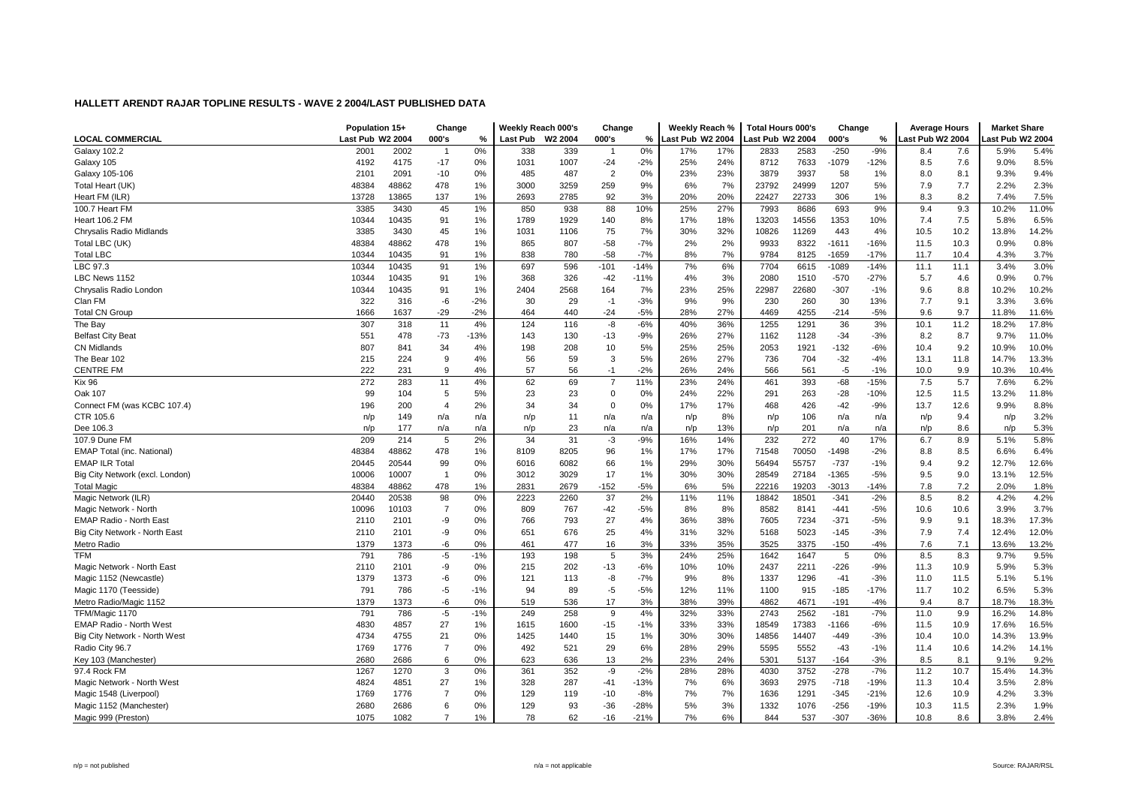|                                 | Population 15+   |       | Change         |        | Weekly Reach 000's |         | Change         |        | Weekly Reach %   |     | <b>Total Hours 000's</b> |       | Change  |        | <b>Average Hours</b> |      | <b>Market Share</b> |       |
|---------------------------------|------------------|-------|----------------|--------|--------------------|---------|----------------|--------|------------------|-----|--------------------------|-------|---------|--------|----------------------|------|---------------------|-------|
| <b>LOCAL COMMERCIAL</b>         | Last Pub W2 2004 |       | 000's          | %      | <b>Last Pub</b>    | W2 2004 | 000's          | %      | Last Pub W2 2004 |     | ast Pub W2 2004          |       | 000's   | %      | Last Pub W2 2004     |      | ast Pub W2 2004     |       |
| Galaxy 102.2                    | 2001             | 2002  | $\overline{1}$ | 0%     | 338                | 339     |                | 0%     | 17%              | 17% | 2833                     | 2583  | $-250$  | $-9%$  | 8.4                  | 7.6  | 5.9%                | 5.4%  |
| Galaxy 105                      | 4192             | 4175  | $-17$          | 0%     | 1031               | 1007    | $-24$          | $-2%$  | 25%              | 24% | 8712                     | 7633  | $-1079$ | $-12%$ | 8.5                  | 7.6  | 9.0%                | 8.5%  |
| Galaxy 105-106                  | 2101             | 2091  | $-10$          | 0%     | 485                | 487     | $\overline{2}$ | 0%     | 23%              | 23% | 3879                     | 3937  | 58      | 1%     | 8.0                  | 8.1  | 9.3%                | 9.4%  |
| Total Heart (UK)                | 48384            | 48862 | 478            | 1%     | 3000               | 3259    | 259            | 9%     | 6%               | 7%  | 23792                    | 24999 | 1207    | 5%     | 7.9                  | 7.7  | 2.2%                | 2.3%  |
| Heart FM (ILR)                  | 13728            | 13865 | 137            | 1%     | 2693               | 2785    | 92             | 3%     | 20%              | 20% | 22427                    | 22733 | 306     | 1%     | 8.3                  | 8.2  | 7.4%                | 7.5%  |
| 100.7 Heart FM                  | 3385             | 3430  | 45             | 1%     | 850                | 938     | 88             | 10%    | 25%              | 27% | 7993                     | 8686  | 693     | 9%     | 9.4                  | 9.3  | 10.2%               | 11.0% |
| <b>Heart 106.2 FM</b>           | 10344            | 10435 | 91             | 1%     | 1789               | 1929    | 140            | 8%     | 17%              | 18% | 13203                    | 14556 | 1353    | 10%    | 7.4                  | 7.5  | 5.8%                | 6.5%  |
| Chrysalis Radio Midlands        | 3385             | 3430  | 45             | 1%     | 1031               | 1106    | 75             | 7%     | 30%              | 32% | 10826                    | 11269 | 443     | 4%     | 10.5                 | 10.2 | 13.8%               | 14.2% |
| Total LBC (UK)                  | 48384            | 48862 | 478            | 1%     | 865                | 807     | $-58$          | $-7%$  | 2%               | 2%  | 9933                     | 8322  | -1611   | $-16%$ | 11.5                 | 10.3 | 0.9%                | 0.8%  |
| <b>Total LBC</b>                | 10344            | 10435 | 91             | 1%     | 838                | 780     | $-58$          | $-7%$  | 8%               | 7%  | 9784                     | 8125  | $-1659$ | $-17%$ | 11.7                 | 10.4 | 4.3%                | 3.7%  |
| LBC 97.3                        | 10344            | 10435 | 91             | 1%     | 697                | 596     | $-101$         | $-14%$ | 7%               | 6%  | 7704                     | 6615  | $-1089$ | $-14%$ | 11.1                 | 11.1 | 3.4%                | 3.0%  |
| LBC News 1152                   | 10344            | 10435 | 91             | 1%     | 368                | 326     | $-42$          | $-11%$ | 4%               | 3%  | 2080                     | 1510  | $-570$  | $-27%$ | 5.7                  | 4.6  | 0.9%                | 0.7%  |
| Chrysalis Radio London          | 10344            | 10435 | 91             | 1%     | 2404               | 2568    | 164            | 7%     | 23%              | 25% | 22987                    | 22680 | $-307$  | $-1%$  | 9.6                  | 8.8  | 10.2%               | 10.2% |
| Clan FM                         | 322              | 316   | -6             | $-2%$  | 30                 | 29      | $-1$           | $-3%$  | 9%               | 9%  | 230                      | 260   | 30      | 13%    | 7.7                  | 9.1  | 3.3%                | 3.6%  |
| <b>Total CN Group</b>           | 1666             | 1637  | $-29$          | $-2%$  | 464                | 440     | $-24$          | $-5%$  | 28%              | 27% | 4469                     | 4255  | $-214$  | $-5%$  | 9.6                  | 9.7  | 11.8%               | 11.6% |
| The Bay                         | 307              | 318   | 11             | 4%     | 124                | 116     | -8             | $-6%$  | 40%              | 36% | 1255                     | 1291  | 36      | 3%     | 10.1                 | 11.2 | 18.2%               | 17.8% |
| <b>Belfast City Beat</b>        | 551              | 478   | -73            | $-13%$ | 143                | 130     | $-13$          | $-9%$  | 26%              | 27% | 1162                     | 1128  | $-34$   | $-3%$  | 8.2                  | 8.7  | 9.7%                | 11.0% |
| <b>CN Midlands</b>              | 807              | 841   | 34             | 4%     | 198                | 208     | 10             | 5%     | 25%              | 25% | 2053                     | 1921  | $-132$  | $-6%$  | 10.4                 | 9.2  | 10.9%               | 10.0% |
| The Bear 102                    | 215              | 224   | 9              | 4%     | 56                 | 59      | 3              | 5%     | 26%              | 27% | 736                      | 704   | $-32$   | $-4%$  | 13.1                 | 11.8 | 14.7%               | 13.3% |
| <b>CENTRE FM</b>                | 222              | 231   | 9              | 4%     | 57                 | 56      | $-1$           | $-2%$  | 26%              | 24% | 566                      | 561   | $-5$    | $-1%$  | 10.0                 | 9.9  | 10.3%               | 10.4% |
| <b>Kix 96</b>                   | 272              | 283   | 11             | 4%     | 62                 | 69      | $\overline{7}$ | 11%    | 23%              | 24% | 461                      | 393   | $-68$   | $-15%$ | 7.5                  | 5.7  | 7.6%                | 6.2%  |
| Oak 107                         | 99               | 104   | 5              | 5%     | 23                 | 23      | $\mathbf 0$    | 0%     | 24%              | 22% | 291                      | 263   | $-28$   | $-10%$ | 12.5                 | 11.5 | 13.2%               | 11.8% |
| Connect FM (was KCBC 107.4)     | 196              | 200   | 4              | 2%     | 34                 | 34      | $\mathbf 0$    | 0%     | 17%              | 17% | 468                      | 426   | $-42$   | $-9%$  | 13.7                 | 12.6 | 9.9%                | 8.8%  |
| CTR 105.6                       | n/p              | 149   | n/a            | n/a    | n/p                | 11      | n/a            | n/a    | n/p              | 8%  | n/p                      | 106   | n/a     | n/a    | n/p                  | 9.4  | n/p                 | 3.2%  |
| Dee 106.3                       | n/p              | 177   | n/a            | n/a    | n/p                | 23      | n/a            | n/a    | n/p              | 13% | n/p                      | 201   | n/a     | n/a    | n/p                  | 8.6  | n/p                 | 5.3%  |
| 107.9 Dune FM                   | 209              | 214   | 5              | 2%     | 34                 | 31      | $-3$           | $-9%$  | 16%              | 14% | 232                      | 272   | 40      | 17%    | 6.7                  | 8.9  | 5.1%                | 5.8%  |
| EMAP Total (inc. National)      | 48384            | 48862 | 478            | 1%     | 8109               | 8205    | 96             | 1%     | 17%              | 17% | 71548                    | 70050 | $-1498$ | $-2%$  | 8.8                  | 8.5  | 6.6%                | 6.4%  |
| <b>EMAP ILR Total</b>           | 20445            | 20544 | 99             | 0%     | 6016               | 6082    | 66             | 1%     | 29%              | 30% | 56494                    | 55757 | $-737$  | $-1%$  | 9.4                  | 9.2  | 12.7%               | 12.6% |
| Big City Network (excl. London) | 10006            | 10007 | $\overline{1}$ | 0%     | 3012               | 3029    | 17             | 1%     | 30%              | 30% | 28549                    | 27184 | $-1365$ | $-5%$  | 9.5                  | 9.0  | 13.1%               | 12.5% |
| <b>Total Magic</b>              | 48384            | 48862 | 478            | 1%     | 2831               | 2679    | $-152$         | $-5%$  | 6%               | 5%  | 22216                    | 19203 | $-3013$ | $-14%$ | 7.8                  | 7.2  | 2.0%                | 1.8%  |
| Magic Network (ILR)             | 20440            | 20538 | 98             | 0%     | 2223               | 2260    | 37             | 2%     | 11%              | 11% | 18842                    | 18501 | $-341$  | $-2%$  | 8.5                  | 8.2  | 4.2%                | 4.2%  |
| Magic Network - North           | 10096            | 10103 | $\overline{7}$ | $0\%$  | 809                | 767     | $-42$          | $-5%$  | 8%               | 8%  | 8582                     | 8141  | $-441$  | $-5%$  | 10.6                 | 10.6 | 3.9%                | 3.7%  |
| <b>EMAP Radio - North East</b>  | 2110             | 2101  | -9             | 0%     | 766                | 793     | 27             | 4%     | 36%              | 38% | 7605                     | 7234  | $-371$  | $-5%$  | 9.9                  | 9.1  | 18.3%               | 17.3% |
| Big City Network - North East   | 2110             | 2101  | -9             | 0%     | 651                | 676     | 25             | 4%     | 31%              | 32% | 5168                     | 5023  | $-145$  | $-3%$  | 7.9                  | 7.4  | 12.4%               | 12.0% |
| Metro Radio                     | 1379             | 1373  | -6             | 0%     | 461                | 477     | 16             | 3%     | 33%              | 35% | 3525                     | 3375  | $-150$  | $-4%$  | 7.6                  | 7.1  | 13.6%               | 13.2% |
| <b>TFM</b>                      | 791              | 786   | $-5$           | $-1%$  | 193                | 198     | 5              | 3%     | 24%              | 25% | 1642                     | 1647  | 5       | 0%     | 8.5                  | 8.3  | 9.7%                | 9.5%  |
| Magic Network - North East      | 2110             | 2101  | -9             | 0%     | 215                | 202     | $-13$          | $-6%$  | 10%              | 10% | 2437                     | 2211  | $-226$  | $-9%$  | 11.3                 | 10.9 | 5.9%                | 5.3%  |
| Magic 1152 (Newcastle)          | 1379             | 1373  | -6             | 0%     | 121                | 113     | -8             | $-7%$  | 9%               | 8%  | 1337                     | 1296  | $-41$   | $-3%$  | 11.0                 | 11.5 | 5.1%                | 5.1%  |
| Magic 1170 (Teesside)           | 791              | 786   | -5             | $-1%$  | 94                 | 89      | $-5$           | $-5%$  | 12%              | 11% | 1100                     | 915   | $-185$  | $-17%$ | 11.7                 | 10.2 | 6.5%                | 5.3%  |
| Metro Radio/Magic 1152          | 1379             | 1373  | -6             | 0%     | 519                | 536     | 17             | 3%     | 38%              | 39% | 4862                     | 4671  | $-191$  | $-4%$  | 9.4                  | 8.7  | 18.7%               | 18.3% |
| TFM/Magic 1170                  | 791              | 786   | $-5$           | $-1%$  | 249                | 258     | 9              | 4%     | 32%              | 33% | 2743                     | 2562  | $-181$  | $-7%$  | 11.0                 | 9.9  | 16.2%               | 14.8% |
| EMAP Radio - North West         | 4830             | 4857  | 27             | 1%     | 1615               | 1600    | $-15$          | $-1%$  | 33%              | 33% | 18549                    | 17383 | -1166   | -6%    | 11.5                 | 10.9 | 17.6%               | 16.5% |
| Big City Network - North West   | 4734             | 4755  | 21             | 0%     | 1425               | 1440    | 15             | 1%     | 30%              | 30% | 14856                    | 14407 | $-449$  | $-3%$  | 10.4                 | 10.0 | 14.3%               | 13.9% |
| Radio City 96.7                 | 1769             | 1776  | $\overline{7}$ | 0%     | 492                | 521     | 29             | 6%     | 28%              | 29% | 5595                     | 5552  | $-43$   | $-1%$  | 11.4                 | 10.6 | 14.2%               | 14.1% |
| Key 103 (Manchester)            | 2680             | 2686  | 6              | 0%     | 623                | 636     | 13             | 2%     | 23%              | 24% | 5301                     | 5137  | $-164$  | $-3%$  | 8.5                  | 8.1  | 9.1%                | 9.2%  |
| 97.4 Rock FM                    | 1267             | 1270  | 3              | 0%     | 361                | 352     | -9             | $-2%$  | 28%              | 28% | 4030                     | 3752  | $-278$  | $-7%$  | 11.2                 | 10.7 | 15.4%               | 14.3% |
| Magic Network - North West      | 4824             | 4851  | 27             | 1%     | 328                | 287     | $-41$          | $-13%$ | 7%               | 6%  | 3693                     | 2975  | $-718$  | $-19%$ | 11.3                 | 10.4 | 3.5%                | 2.8%  |
| Magic 1548 (Liverpool)          | 1769             | 1776  | $\overline{7}$ | 0%     | 129                | 119     | $-10$          | $-8%$  | 7%               | 7%  | 1636                     | 1291  | $-345$  | $-21%$ | 12.6                 | 10.9 | 4.2%                | 3.3%  |
| Magic 1152 (Manchester)         | 2680             | 2686  | 6              | 0%     | 129                | 93      | $-36$          | $-28%$ | 5%               | 3%  | 1332                     | 1076  | $-256$  | $-19%$ | 10.3                 | 11.5 | 2.3%                | 1.9%  |
| Magic 999 (Preston)             | 1075             | 1082  | $\overline{7}$ | 1%     | 78                 | 62      | $-16$          | $-21%$ | 7%               | 6%  | 844                      | 537   | $-307$  | $-36%$ | 10.8                 | 8.6  | 3.8%                | 2.4%  |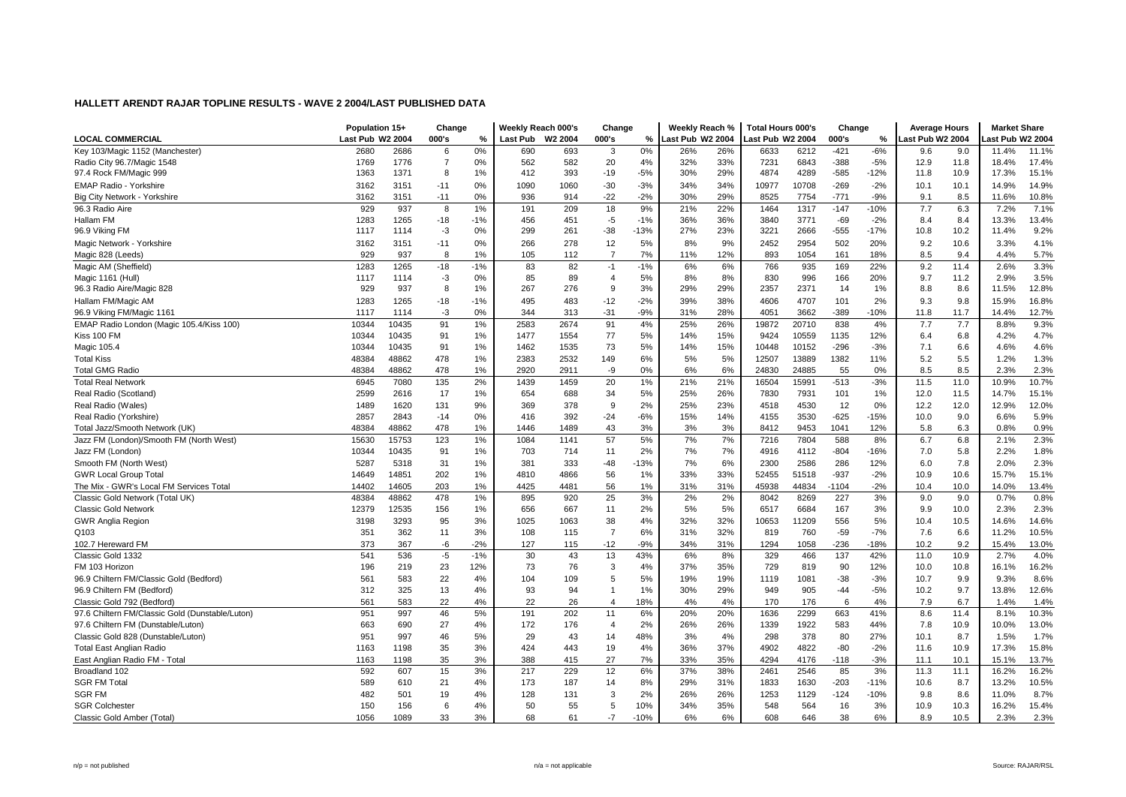|                                                                  | Population 15+   |              | Change         |          | Weekly Reach 000's |           | Change              |           | Weekly Reach %   |           | <b>Total Hours 000's</b> |             | Change     |             | <b>Average Hours</b> |             | <b>Market Share</b> |               |
|------------------------------------------------------------------|------------------|--------------|----------------|----------|--------------------|-----------|---------------------|-----------|------------------|-----------|--------------------------|-------------|------------|-------------|----------------------|-------------|---------------------|---------------|
| <b>LOCAL COMMERCIAL</b>                                          | Last Pub W2 2004 |              | 000's          | %        | Last Pub           | W2 2004   | 000's               | %         | Last Pub W2 2004 |           | ast Pub W2 2004          |             | 000's      | %           | Last Pub W2 2004     |             | ast Pub W2 2004     |               |
| Key 103/Magic 1152 (Manchester)                                  | 2680             | 2686         | 6              | 0%       | 690                | 693       | 3                   | 0%        | 26%              | 26%       | 6633                     | 6212        | $-421$     | $-6%$       | 9.6                  | 9.0         | 11.4%               | 11.1%         |
| Radio City 96.7/Magic 1548                                       | 1769             | 1776         | $\overline{7}$ | 0%       | 562                | 582       | 20                  | 4%        | 32%              | 33%       | 7231                     | 6843        | $-388$     | $-5%$       | 12.9                 | 11.8        | 18.4%               | 17.4%         |
| 97.4 Rock FM/Magic 999                                           | 1363             | 1371         | 8              | 1%       | 412                | 393       | $-19$               | $-5%$     | 30%              | 29%       | 4874                     | 4289        | $-585$     | $-12%$      | 11.8                 | 10.9        | 17.3%               | 15.1%         |
| <b>EMAP Radio - Yorkshire</b>                                    | 3162             | 3151         | $-11$          | 0%       | 1090               | 1060      | $-30$               | $-3%$     | 34%              | 34%       | 10977                    | 10708       | $-269$     | $-2%$       | 10.1                 | 10.1        | 14.9%               | 14.9%         |
| Big City Network - Yorkshire                                     | 3162             | 3151         | $-11$          | 0%       | 936                | 914       | $-22$               | $-2%$     | 30%              | 29%       | 8525                     | 7754        | $-771$     | $-9%$       | 9.1                  | 8.5         | 11.6%               | 10.8%         |
| 96.3 Radio Aire                                                  | 929              | 937          | 8              | 1%       | 191                | 209       | 18                  | 9%        | 21%              | 22%       | 1464                     | 1317        | $-147$     | $-10%$      | 7.7                  | 6.3         | 7.2%                | 7.1%          |
| Hallam FM                                                        | 1283             | 1265         | $-18$          | $-1%$    | 456                | 451       | $-5$                | $-1%$     | 36%              | 36%       | 3840                     | 3771        | $-69$      | $-2%$       | 8.4                  | 8.4         | 13.3%               | 13.4%         |
| 96.9 Viking FM                                                   | 1117             | 1114         | $-3$           | 0%       | 299                | 261       | $-38$               | $-13%$    | 27%              | 23%       | 3221                     | 2666        | $-555$     | $-17%$      | 10.8                 | 10.2        | 11.4%               | 9.2%          |
| Magic Network - Yorkshire                                        | 3162             | 3151         | $-11$          | 0%       | 266                | 278       | 12                  | 5%        | 8%               | 9%        | 2452                     | 2954        | 502        | 20%         | 9.2                  | 10.6        | 3.3%                | 4.1%          |
| Magic 828 (Leeds)                                                | 929              | 937          | 8              | 1%       | 105                | 112       | $\overline{7}$      | 7%        | 11%              | 12%       | 893                      | 1054        | 161        | 18%         | 8.5                  | 9.4         | 4.4%                | 5.7%          |
| Magic AM (Sheffield)                                             | 1283             | 1265         | $-18$          | $-1%$    | 83                 | 82        | $-1$                | $-1%$     | 6%               | 6%        | 766                      | 935         | 169        | 22%         | 9.2                  | 11.4        | 2.6%                | 3.3%          |
| Magic 1161 (Hull)                                                | 1117             | 1114         | $-3$           | 0%       | 85                 | 89        | $\overline{4}$      | 5%        | 8%               | 8%        | 830                      | 996         | 166        | 20%         | 9.7                  | 11.2        | 2.9%                | 3.5%          |
| 96.3 Radio Aire/Magic 828                                        | 929              | 937          | 8              | 1%       | 267                | 276       | 9                   | 3%        | 29%              | 29%       | 2357                     | 2371        | 14         | 1%          | 8.8                  | 8.6         | 11.5%               | 12.8%         |
| Hallam FM/Magic AM                                               | 1283             | 1265         | $-18$          | $-1%$    | 495                | 483       | $-12$               | $-2%$     | 39%              | 38%       | 4606                     | 4707        | 101        | 2%          | 9.3                  | 9.8         | 15.9%               | 16.8%         |
| 96.9 Viking FM/Magic 1161                                        | 1117             | 1114         | $-3$           | 0%       | 344                | 313       | $-31$               | $-9%$     | 31%              | 28%       | 4051                     | 3662        | $-389$     | $-10%$      | 11.8                 | 11.7        | 14.4%               | 12.7%         |
| EMAP Radio London (Magic 105.4/Kiss 100)                         | 10344            | 10435        | 91             | 1%       | 2583               | 2674      | 91                  | 4%        | 25%              | 26%       | 19872                    | 20710       | 838        | 4%          | 7.7                  | 7.7         | 8.8%                | 9.3%          |
| Kiss 100 FM                                                      | 10344            | 10435        | 91             | 1%       | 1477               | 1554      | 77                  | 5%        | 14%              | 15%       | 9424                     | 10559       | 1135       | 12%         | 6.4                  | 6.8         | 4.2%                | 4.7%          |
| Magic 105.4                                                      | 10344            | 10435        | 91             | 1%       | 1462               | 1535      | 73                  | 5%        | 14%              | 15%       | 10448                    | 10152       | $-296$     | $-3%$       | 7.1                  | 6.6         | 4.6%                | 4.6%          |
| <b>Total Kiss</b>                                                | 48384            | 48862        | 478            | 1%       | 2383               | 2532      | 149                 | 6%        | 5%               | 5%        | 12507                    | 13889       | 1382       | 11%         | 5.2                  | 5.5         | 1.2%                | 1.3%          |
| <b>Total GMG Radio</b>                                           | 48384            | 48862        | 478            | 1%       | 2920               | 2911      | -9                  | 0%        | 6%               | 6%        | 24830                    | 24885       | 55         | 0%          | 8.5                  | 8.5         | 2.3%                | 2.3%          |
| <b>Total Real Network</b>                                        | 6945             | 7080         | 135            | 2%       | 1439               | 1459      | 20                  | 1%        | 21%              | 21%       | 16504                    | 15991       | $-513$     | $-3%$       | 11.5                 | 11.0        | 10.9%               | 10.7%         |
| Real Radio (Scotland)                                            | 2599             | 2616         | 17             | 1%       | 654                | 688       | 34                  | 5%        | 25%              | 26%       | 7830                     | 7931        | 101        | 1%          | 12.0                 | 11.5        | 14.7%               | 15.1%         |
| Real Radio (Wales)                                               | 1489             | 1620         | 131            | 9%       | 369                | 378       | 9                   | 2%        | 25%              | 23%       | 4518                     | 4530        | 12         | 0%          | 12.2                 | 12.0        | 12.9%               | 12.0%         |
| Real Radio (Yorkshire)                                           | 2857             | 2843         | $-14$          | 0%       | 416                | 392       | $-24$               | $-6%$     | 15%              | 14%       | 4155                     | 3530        | $-625$     | $-15%$      | 10.0                 | 9.0         | 6.6%                | 5.9%          |
| Total Jazz/Smooth Network (UK)                                   | 48384            | 48862        | 478            | 1%       | 1446               | 1489      | 43                  | 3%        | 3%               | 3%        | 8412                     | 9453        | 1041       | 12%         | 5.8                  | 6.3         | 0.8%                | 0.9%          |
| Jazz FM (London)/Smooth FM (North West)                          | 15630            | 15753        | 123            | 1%       | 1084               | 1141      | 57                  | 5%        | 7%               | 7%        | 7216                     | 7804        | 588        | 8%          | 6.7                  | 6.8         | 2.1%                | 2.3%          |
| Jazz FM (London)                                                 | 10344            | 10435        | 91             | 1%       | 703                | 714       | 11                  | 2%        | 7%               | 7%        | 4916                     | 4112        | $-804$     | $-16%$      | 7.0                  | 5.8         | 2.2%                | 1.8%          |
| Smooth FM (North West)                                           | 5287             | 5318         | 31             | 1%       | 381                | 333       | $-48$               | $-13%$    | 7%               | 6%        | 2300                     | 2586        | 286        | 12%         | 6.0                  | 7.8         | 2.0%                | 2.3%          |
| <b>GWR Local Group Total</b>                                     | 14649            | 14851        | 202            | 1%       | 4810               | 4866      | 56                  | 1%        | 33%              | 33%       | 52455                    | 51518       | $-937$     | $-2%$       | 10.9                 | 10.6        | 15.7%               | 15.1%         |
| The Mix - GWR's Local FM Services Total                          | 14402            | 14605        | 203            | 1%       | 4425               | 4481      | 56                  | 1%        | 31%              | 31%       | 45938                    | 44834       | $-1104$    | $-2%$       | 10.4                 | 10.0        | 14.0%               | 13.4%         |
| Classic Gold Network (Total UK)                                  | 48384            | 48862        | 478            | 1%       | 895                | 920       | 25                  | 3%        | 2%               | 2%        | 8042                     | 8269        | 227        | 3%          | 9.0                  | 9.0         | 0.7%                | 0.8%          |
| <b>Classic Gold Network</b>                                      | 12379            | 12535        | 156            | 1%       | 656                | 667       | 11                  | 2%        | 5%               | 5%        | 6517                     | 6684        | 167        | 3%          | 9.9                  | 10.0        | 2.3%                | 2.3%          |
| <b>GWR Anglia Region</b>                                         | 3198             | 3293         | 95             | 3%       | 1025               | 1063      | 38                  | 4%        | 32%              | 32%       | 10653                    | 11209       | 556        | 5%          | 10.4                 | 10.5        | 14.6%               | 14.6%         |
| Q103                                                             | 351              | 362          | 11             | 3%       | 108                | 115       | $\overline{7}$      | 6%        | 31%              | 32%       | 819                      | 760         | $-59$      | $-7%$       | 7.6                  | 6.6         | 11.2%               | 10.5%         |
| 102.7 Hereward FM                                                | 373              | 367          | -6             | $-2%$    | 127                | 115       | $-12$               | $-9%$     | 34%              | 31%       | 1294                     | 1058        | $-236$     | $-18%$      | 10.2                 | 9.2         | 15.4%               | 13.0%         |
| Classic Gold 1332                                                | 541              | 536          | $-5$           | $-1%$    | 30                 | 43        | 13                  | 43%       | 6%               | 8%        | 329                      | 466         | 137        | 42%         | 11.0                 | 10.9        | 2.7%                | 4.0%          |
| FM 103 Horizon                                                   | 196              | 219          | 23             | 12%      | 73                 | 76        | 3                   | 4%        | 37%              | 35%       | 729                      | 819         | 90         | 12%         | 10.0                 | 10.8        | 16.1%               | 16.2%         |
| 96.9 Chiltern FM/Classic Gold (Bedford)                          | 561              | 583          | 22             | 4%       | 104<br>93          | 109<br>94 | 5<br>$\overline{1}$ | 5%        | 19%<br>30%       | 19%       | 1119                     | 1081        | $-38$      | $-3%$       | 10.7                 | 9.9         | 9.3%                | 8.6%          |
| 96.9 Chiltern FM (Bedford)                                       | 312<br>561       | 325<br>583   | 13<br>22       | 4%<br>4% | 22                 | 26        | $\overline{4}$      | 1%<br>18% | 4%               | 29%<br>4% | 949<br>170               | 905<br>176  | $-44$<br>6 | $-5%$<br>4% | 10.2<br>7.9          | 9.7<br>6.7  | 13.8%<br>1.4%       | 12.6%<br>1.4% |
| Classic Gold 792 (Bedford)                                       |                  |              |                |          |                    |           |                     |           |                  |           |                          |             |            |             |                      |             |                     |               |
| 97.6 Chiltern FM/Classic Gold (Dunstable/Luton)                  | 951              | 997          | 46             | 5%       | 191                | 202       | 11                  | 6%        | 20%              | 20%       | 1636                     | 2299        | 663        | 41%         | 8.6                  | 11.4        | 8.1%                | 10.3%         |
| 97.6 Chiltern FM (Dunstable/Luton)                               | 663<br>951       | 690<br>997   | 27             | 4%       | 172<br>29          | 176       | $\overline{4}$      | 2%<br>48% | 26%              | 26%<br>4% | 1339<br>298              | 1922<br>378 | 583<br>80  | 44%<br>27%  | 7.8                  | 10.9<br>8.7 | 10.0%               | 13.0%<br>1.7% |
| Classic Gold 828 (Dunstable/Luton)                               |                  |              | 46<br>35       | 5%<br>3% | 424                | 43<br>443 | 14                  | 4%        | 3%<br>36%        | 37%       | 4902                     | 4822        | $-80$      | $-2%$       | 10.1                 | 10.9        | 1.5%<br>17.3%       | 15.8%         |
| <b>Total East Anglian Radio</b><br>East Anglian Radio FM - Total | 1163<br>1163     | 1198<br>1198 | 35             | 3%       | 388                | 415       | 19<br>27            | 7%        | 33%              | 35%       | 4294                     | 4176        | $-118$     | $-3%$       | 11.6<br>11.1         | 10.1        | 15.1%               | 13.7%         |
| Broadland 102                                                    | 592              | 607          | 15             | 3%       | 217                | 229       | 12                  | 6%        | 37%              | 38%       | 2461                     | 2546        | 85         | 3%          | 11.3                 | 11.1        | 16.2%               | 16.2%         |
| <b>SGR FM Total</b>                                              | 589              | 610          | 21             | 4%       | 173                | 187       | 14                  | 8%        | 29%              | 31%       | 1833                     | 1630        | $-203$     | $-11%$      | 10.6                 | 8.7         | 13.2%               | 10.5%         |
| <b>SGR FM</b>                                                    | 482              | 501          | 19             | 4%       | 128                | 131       | 3                   | 2%        | 26%              | 26%       | 1253                     | 1129        | $-124$     | $-10%$      | 9.8                  | 8.6         | 11.0%               | 8.7%          |
| <b>SGR Colchester</b>                                            | 150              | 156          | 6              | 4%       | 50                 | 55        | 5                   | 10%       | 34%              | 35%       | 548                      | 564         | 16         | 3%          | 10.9                 | 10.3        | 16.2%               | 15.4%         |
| Classic Gold Amber (Total)                                       | 1056             | 1089         | 33             | 3%       | 68                 | 61        | $-7$                | $-10%$    | 6%               | 6%        | 608                      | 646         | 38         | 6%          | 8.9                  | 10.5        | 2.3%                | 2.3%          |
|                                                                  |                  |              |                |          |                    |           |                     |           |                  |           |                          |             |            |             |                      |             |                     |               |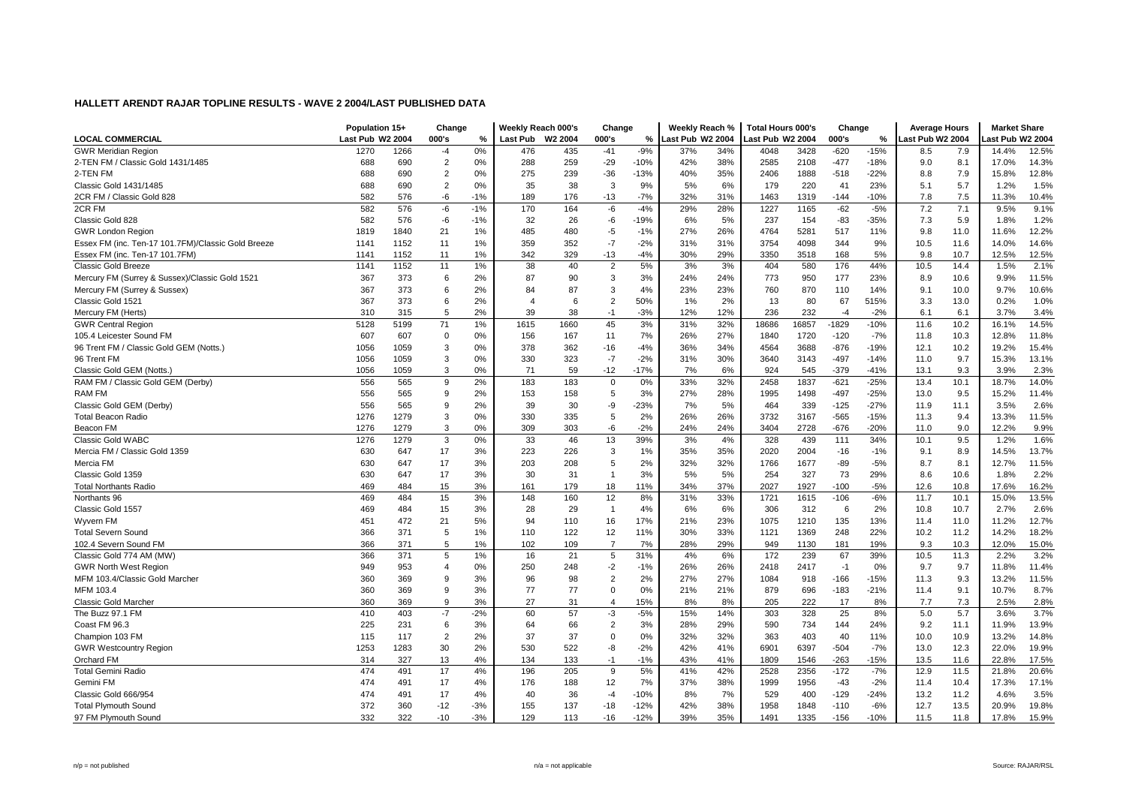|                                                    | Population 15+   |      | Change         |       | Weekly Reach 000's |         | Change         |        | Weekly Reach %   |     | <b>Total Hours 000's</b> |       | Change  |        | <b>Average Hours</b> |      | <b>Market Share</b> |       |
|----------------------------------------------------|------------------|------|----------------|-------|--------------------|---------|----------------|--------|------------------|-----|--------------------------|-------|---------|--------|----------------------|------|---------------------|-------|
| <b>LOCAL COMMERCIAL</b>                            | Last Pub W2 2004 |      | 000's          | %     | Last Pub           | W2 2004 | 000's          | %      | Last Pub W2 2004 |     | ast Pub W2 2004          |       | 000's   | %      | Last Pub W2 2004     |      | ast Pub W2 2004     |       |
| <b>GWR Meridian Region</b>                         | 1270             | 1266 | $-4$           | 0%    | 476                | 435     | $-41$          | $-9%$  | 37%              | 34% | 4048                     | 3428  | $-620$  | $-15%$ | 8.5                  | 7.9  | 14.4%               | 12.5% |
| 2-TEN FM / Classic Gold 1431/1485                  | 688              | 690  | $\overline{2}$ | 0%    | 288                | 259     | $-29$          | $-10%$ | 42%              | 38% | 2585                     | 2108  | $-477$  | $-18%$ | 9.0                  | 8.1  | 17.0%               | 14.3% |
| 2-TEN FM                                           | 688              | 690  | $\overline{2}$ | 0%    | 275                | 239     | $-36$          | $-13%$ | 40%              | 35% | 2406                     | 1888  | $-518$  | $-22%$ | 8.8                  | 7.9  | 15.8%               | 12.8% |
| Classic Gold 1431/1485                             | 688              | 690  | $\overline{2}$ | 0%    | 35                 | 38      | 3              | 9%     | 5%               | 6%  | 179                      | 220   | 41      | 23%    | 5.1                  | 5.7  | 1.2%                | 1.5%  |
| 2CR FM / Classic Gold 828                          | 582              | 576  | -6             | $-1%$ | 189                | 176     | $-13$          | $-7%$  | 32%              | 31% | 1463                     | 1319  | $-144$  | $-10%$ | 7.8                  | 7.5  | 11.3%               | 10.4% |
| 2CR FM                                             | 582              | 576  | -6             | $-1%$ | 170                | 164     | -6             | $-4%$  | 29%              | 28% | 1227                     | 1165  | $-62$   | $-5%$  | 7.2                  | 7.1  | 9.5%                | 9.1%  |
| Classic Gold 828                                   | 582              | 576  | -6             | $-1%$ | 32                 | 26      | -6             | $-19%$ | 6%               | 5%  | 237                      | 154   | $-83$   | $-35%$ | 7.3                  | 5.9  | 1.8%                | 1.2%  |
| <b>GWR London Region</b>                           | 1819             | 1840 | 21             | 1%    | 485                | 480     | $-5$           | $-1%$  | 27%              | 26% | 4764                     | 5281  | 517     | 11%    | 9.8                  | 11.0 | 11.6%               | 12.2% |
| Essex FM (inc. Ten-17 101.7FM)/Classic Gold Breeze | 1141             | 1152 | 11             | 1%    | 359                | 352     | $-7$           | $-2%$  | 31%              | 31% | 3754                     | 4098  | 344     | 9%     | 10.5                 | 11.6 | 14.0%               | 14.6% |
| Essex FM (inc. Ten-17 101.7FM)                     | 1141             | 1152 | 11             | 1%    | 342                | 329     | $-13$          | $-4%$  | 30%              | 29% | 3350                     | 3518  | 168     | 5%     | 9.8                  | 10.7 | 12.5%               | 12.5% |
| <b>Classic Gold Breeze</b>                         | 1141             | 1152 | 11             | 1%    | 38                 | 40      | $\overline{2}$ | 5%     | 3%               | 3%  | 404                      | 580   | 176     | 44%    | 10.5                 | 14.4 | 1.5%                | 2.1%  |
| Mercury FM (Surrey & Sussex)/Classic Gold 1521     | 367              | 373  | 6              | 2%    | 87                 | 90      | 3              | 3%     | 24%              | 24% | 773                      | 950   | 177     | 23%    | 8.9                  | 10.6 | 9.9%                | 11.5% |
| Mercury FM (Surrey & Sussex)                       | 367              | 373  | 6              | 2%    | 84                 | 87      | 3              | 4%     | 23%              | 23% | 760                      | 870   | 110     | 14%    | 9.1                  | 10.0 | 9.7%                | 10.6% |
| Classic Gold 1521                                  | 367              | 373  | 6              | 2%    | 4                  | 6       | $\overline{2}$ | 50%    | 1%               | 2%  | 13                       | 80    | 67      | 515%   | 3.3                  | 13.0 | 0.2%                | 1.0%  |
| Mercury FM (Herts)                                 | 310              | 315  | 5              | 2%    | 39                 | 38      | $-1$           | $-3%$  | 12%              | 12% | 236                      | 232   | $-4$    | $-2%$  | 6.1                  | 6.1  | 3.7%                | 3.4%  |
| <b>GWR Central Region</b>                          | 5128             | 5199 | 71             | 1%    | 1615               | 1660    | 45             | 3%     | 31%              | 32% | 18686                    | 16857 | $-1829$ | $-10%$ | 11.6                 | 10.2 | 16.1%               | 14.5% |
| 105.4 Leicester Sound FM                           | 607              | 607  | 0              | 0%    | 156                | 167     | 11             | 7%     | 26%              | 27% | 1840                     | 1720  | $-120$  | $-7%$  | 11.8                 | 10.3 | 12.8%               | 11.8% |
| 96 Trent FM / Classic Gold GEM (Notts.)            | 1056             | 1059 | 3              | 0%    | 378                | 362     | $-16$          | $-4%$  | 36%              | 34% | 4564                     | 3688  | $-876$  | $-19%$ | 12.1                 | 10.2 | 19.2%               | 15.4% |
| 96 Trent FM                                        | 1056             | 1059 | 3              | 0%    | 330                | 323     | $-7$           | $-2%$  | 31%              | 30% | 3640                     | 3143  | $-497$  | $-14%$ | 11.0                 | 9.7  | 15.3%               | 13.1% |
| Classic Gold GEM (Notts.                           | 1056             | 1059 | 3              | 0%    | 71                 | 59      | $-12$          | $-17%$ | 7%               | 6%  | 924                      | 545   | $-379$  | $-41%$ | 13.1                 | 9.3  | 3.9%                | 2.3%  |
| RAM FM / Classic Gold GEM (Derby)                  | 556              | 565  | 9              | 2%    | 183                | 183     | $\Omega$       | 0%     | 33%              | 32% | 2458                     | 1837  | $-621$  | $-25%$ | 13.4                 | 10.1 | 18.7%               | 14.0% |
| RAM FM                                             | 556              | 565  | 9              | 2%    | 153                | 158     | 5              | 3%     | 27%              | 28% | 1995                     | 1498  | $-497$  | $-25%$ | 13.0                 | 9.5  | 15.2%               | 11.4% |
| Classic Gold GEM (Derby)                           | 556              | 565  | 9              | 2%    | 39                 | 30      | -9             | $-23%$ | 7%               | 5%  | 464                      | 339   | $-125$  | $-27%$ | 11.9                 | 11.1 | 3.5%                | 2.6%  |
| <b>Total Beacon Radio</b>                          | 1276             | 1279 | 3              | 0%    | 330                | 335     | 5              | 2%     | 26%              | 26% | 3732                     | 3167  | $-565$  | $-15%$ | 11.3                 | 9.4  | 13.3%               | 11.5% |
| Beacon FM                                          | 1276             | 1279 | 3              | 0%    | 309                | 303     | $-6$           | $-2%$  | 24%              | 24% | 3404                     | 2728  | $-676$  | $-20%$ | 11.0                 | 9.0  | 12.2%               | 9.9%  |
| <b>Classic Gold WABC</b>                           | 1276             | 1279 | 3              | 0%    | 33                 | 46      | 13             | 39%    | 3%               | 4%  | 328                      | 439   | 111     | 34%    | 10.1                 | 9.5  | 1.2%                | 1.6%  |
| Mercia FM / Classic Gold 1359                      | 630              | 647  | 17             | 3%    | 223                | 226     | 3              | 1%     | 35%              | 35% | 2020                     | 2004  | $-16$   | $-1%$  | 9.1                  | 8.9  | 14.5%               | 13.7% |
| Mercia FM                                          | 630              | 647  | 17             | 3%    | 203                | 208     | 5              | 2%     | 32%              | 32% | 1766                     | 1677  | $-89$   | $-5%$  | 8.7                  | 8.1  | 12.7%               | 11.5% |
| Classic Gold 1359                                  | 630              | 647  | 17             | 3%    | 30                 | 31      | $\overline{1}$ | 3%     | 5%               | 5%  | 254                      | 327   | 73      | 29%    | 8.6                  | 10.6 | 1.8%                | 2.2%  |
| <b>Total Northants Radio</b>                       | 469              | 484  | 15             | 3%    | 161                | 179     | 18             | 11%    | 34%              | 37% | 2027                     | 1927  | $-100$  | $-5%$  | 12.6                 | 10.8 | 17.6%               | 16.2% |
| Northants 96                                       | 469              | 484  | 15             | 3%    | 148                | 160     | 12             | 8%     | 31%              | 33% | 1721                     | 1615  | $-106$  | $-6%$  | 11.7                 | 10.1 | 15.0%               | 13.5% |
| Classic Gold 1557                                  | 469              | 484  | 15             | 3%    | 28                 | 29      | $\overline{1}$ | 4%     | 6%               | 6%  | 306                      | 312   | 6       | 2%     | 10.8                 | 10.7 | 2.7%                | 2.6%  |
| Wyvern FM                                          | 451              | 472  | 21             | 5%    | 94                 | 110     | 16             | 17%    | 21%              | 23% | 1075                     | 1210  | 135     | 13%    | 11.4                 | 11.0 | 11.2%               | 12.7% |
| <b>Total Severn Sound</b>                          | 366              | 371  | 5              | 1%    | 110                | 122     | 12             | 11%    | 30%              | 33% | 1121                     | 1369  | 248     | 22%    | 10.2                 | 11.2 | 14.2%               | 18.2% |
| 102.4 Severn Sound FM                              | 366              | 371  | 5              | 1%    | 102                | 109     | $\overline{7}$ | 7%     | 28%              | 29% | 949                      | 1130  | 181     | 19%    | 9.3                  | 10.3 | 12.0%               | 15.0% |
| Classic Gold 774 AM (MW)                           | 366              | 371  | 5              | 1%    | 16                 | 21      | 5              | 31%    | 4%               | 6%  | 172                      | 239   | 67      | 39%    | 10.5                 | 11.3 | 2.2%                | 3.2%  |
| <b>GWR North West Region</b>                       | 949              | 953  | 4              | 0%    | 250                | 248     | -2             | $-1%$  | 26%              | 26% | 2418                     | 2417  | $-1$    | 0%     | 9.7                  | 9.7  | 11.8%               | 11.4% |
| MFM 103.4/Classic Gold Marcher                     | 360              | 369  | 9              | 3%    | 96                 | 98      | $\overline{2}$ | 2%     | 27%              | 27% | 1084                     | 918   | $-166$  | $-15%$ | 11.3                 | 9.3  | 13.2%               | 11.5% |
| MFM 103.4                                          | 360              | 369  | 9              | 3%    | 77                 | 77      | $\Omega$       | 0%     | 21%              | 21% | 879                      | 696   | $-183$  | $-21%$ | 11.4                 | 9.1  | 10.7%               | 8.7%  |
| Classic Gold Marcher                               | 360              | 369  | 9              | 3%    | 27                 | 31      | $\overline{4}$ | 15%    | 8%               | 8%  | 205                      | 222   | 17      | 8%     | 7.7                  | 7.3  | 2.5%                | 2.8%  |
| The Buzz 97.1 FM                                   | 410              | 403  | $-7$           | $-2%$ | 60                 | 57      | -3             | $-5%$  | 15%              | 14% | 303                      | 328   | 25      | 8%     | 5.0                  | 5.7  | 3.6%                | 3.7%  |
| Coast FM 96.3                                      | 225              | 231  | 6              | 3%    | 64                 | 66      | $\overline{2}$ | 3%     | 28%              | 29% | 590                      | 734   | 144     | 24%    | 9.2                  | 11.1 | 11.9%               | 13.9% |
| Champion 103 FM                                    | 115              | 117  | $\overline{2}$ | 2%    | 37                 | 37      | $\Omega$       | 0%     | 32%              | 32% | 363                      | 403   | 40      | 11%    | 10.0                 | 10.9 | 13.2%               | 14.8% |
| <b>GWR Westcountry Region</b>                      | 1253             | 1283 | 30             | 2%    | 530                | 522     | -8             | $-2%$  | 42%              | 41% | 6901                     | 6397  | $-504$  | $-7%$  | 13.0                 | 12.3 | 22.0%               | 19.9% |
| Orchard FM                                         | 314              | 327  | 13             | 4%    | 134                | 133     | $-1$           | $-1%$  | 43%              | 41% | 1809                     | 1546  | $-263$  | $-15%$ | 13.5                 | 11.6 | 22.8%               | 17.5% |
| <b>Total Gemini Radio</b>                          | 474              | 491  | 17             | 4%    | 196                | 205     | 9              | 5%     | 41%              | 42% | 2528                     | 2356  | $-172$  | $-7%$  | 12.9                 | 11.5 | 21.8%               | 20.6% |
| Gemini FM                                          | 474              | 491  | 17             | 4%    | 176                | 188     | 12             | 7%     | 37%              | 38% | 1999                     | 1956  | $-43$   | $-2%$  | 11.4                 | 10.4 | 17.3%               | 17.1% |
| Classic Gold 666/954                               | 474              | 491  | 17             | 4%    | 40                 | 36      | -4             | $-10%$ | 8%               | 7%  | 529                      | 400   | $-129$  | $-24%$ | 13.2                 | 11.2 | 4.6%                | 3.5%  |
| <b>Total Plymouth Sound</b>                        | 372              | 360  | $-12$          | $-3%$ | 155                | 137     | $-18$          | $-12%$ | 42%              | 38% | 1958                     | 1848  | $-110$  | $-6%$  | 12.7                 | 13.5 | 20.9%               | 19.8% |
| 97 FM Plymouth Sound                               | 332              | 322  | $-10$          | $-3%$ | 129                | 113     | $-16$          | $-12%$ | 39%              | 35% | 1491                     | 1335  | $-156$  | $-10%$ | 11.5                 | 11.8 | 17.8%               | 15.9% |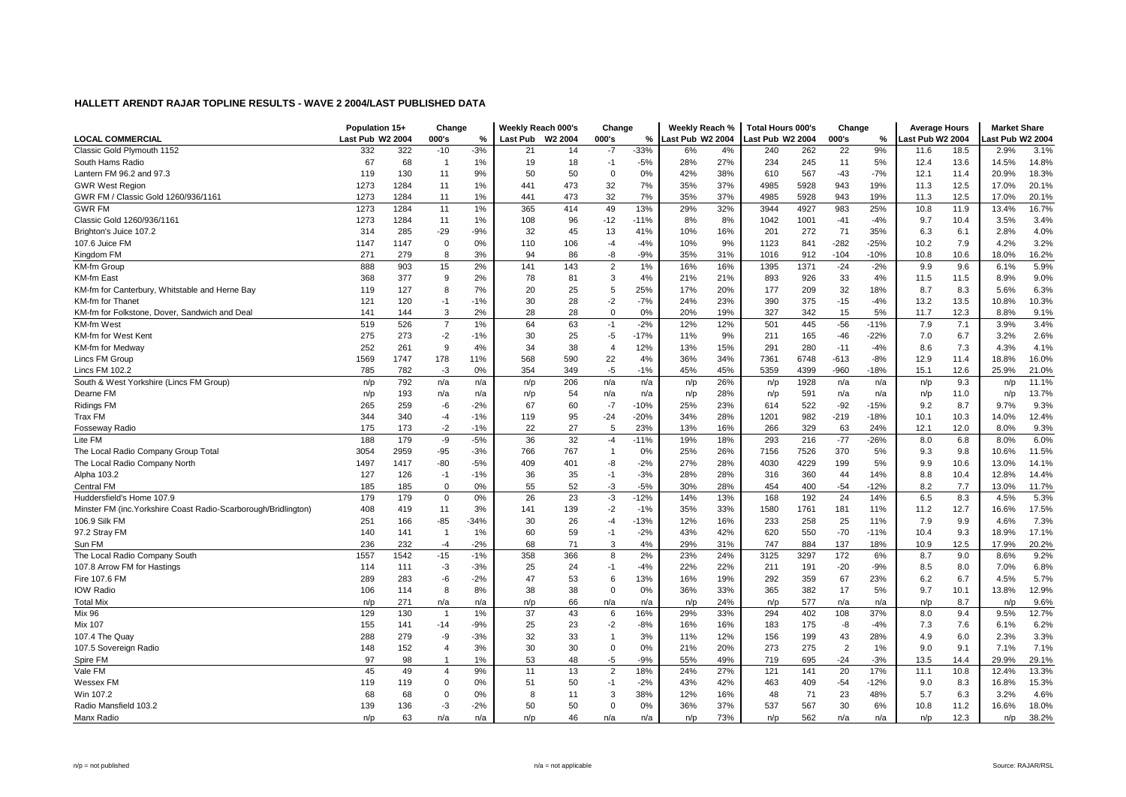|                                                                 | Population 15+   |      | Change         |               | Weekly Reach 000's |         | Change         |        | Weekly Reach %   |     | <b>Total Hours 000's</b> |      | Change         |        | <b>Average Hours</b> |      | <b>Market Share</b> |       |
|-----------------------------------------------------------------|------------------|------|----------------|---------------|--------------------|---------|----------------|--------|------------------|-----|--------------------------|------|----------------|--------|----------------------|------|---------------------|-------|
| <b>LOCAL COMMERCIAL</b>                                         | Last Pub W2 2004 |      | 000's          | $\frac{9}{6}$ | Last Pub           | W2 2004 | 000's          | %      | Last Pub W2 2004 |     | ast Pub W2 2004          |      | 000's          | %      | Last Pub W2 2004     |      | ast Pub W2 2004     |       |
| Classic Gold Plymouth 1152                                      | 332              | 322  | $-10$          | $-3%$         | 21                 | 14      | $-7$           | $-33%$ | 6%               | 4%  | 240                      | 262  | 22             | 9%     | 11.6                 | 18.5 | 2.9%                | 3.1%  |
| South Hams Radio                                                | 67               | 68   | $\overline{1}$ | 1%            | 19                 | 18      | $-1$           | $-5%$  | 28%              | 27% | 234                      | 245  | 11             | 5%     | 12.4                 | 13.6 | 14.5%               | 14.8% |
| Lantern FM 96.2 and 97.3                                        | 119              | 130  | 11             | 9%            | 50                 | 50      | $\Omega$       | 0%     | 42%              | 38% | 610                      | 567  | $-43$          | $-7%$  | 12.1                 | 11.4 | 20.9%               | 18.3% |
| <b>GWR West Region</b>                                          | 1273             | 1284 | 11             | 1%            | 441                | 473     | 32             | 7%     | 35%              | 37% | 4985                     | 5928 | 943            | 19%    | 11.3                 | 12.5 | 17.0%               | 20.1% |
| GWR FM / Classic Gold 1260/936/1161                             | 1273             | 1284 | 11             | 1%            | 441                | 473     | 32             | 7%     | 35%              | 37% | 4985                     | 5928 | 943            | 19%    | 11.3                 | 12.5 | 17.0%               | 20.1% |
| <b>GWR FM</b>                                                   | 1273             | 1284 | 11             | 1%            | 365                | 414     | 49             | 13%    | 29%              | 32% | 3944                     | 4927 | 983            | 25%    | 10.8                 | 11.9 | 13.4%               | 16.7% |
| Classic Gold 1260/936/1161                                      | 1273             | 1284 | 11             | 1%            | 108                | 96      | $-12$          | $-11%$ | 8%               | 8%  | 1042                     | 1001 | $-41$          | $-4%$  | 9.7                  | 10.4 | 3.5%                | 3.4%  |
| Brighton's Juice 107.2                                          | 314              | 285  | -29            | $-9%$         | 32                 | 45      | 13             | 41%    | 10%              | 16% | 201                      | 272  | 71             | 35%    | 6.3                  | 6.1  | 2.8%                | 4.0%  |
| 107.6 Juice FM                                                  | 1147             | 1147 | $\mathbf 0$    | 0%            | 110                | 106     | -4             | $-4%$  | 10%              | 9%  | 1123                     | 841  | $-282$         | $-25%$ | 10.2                 | 7.9  | 4.2%                | 3.2%  |
| Kingdom FM                                                      | 271              | 279  | 8              | 3%            | 94                 | 86      | -8             | $-9%$  | 35%              | 31% | 1016                     | 912  | $-104$         | $-10%$ | 10.8                 | 10.6 | 18.0%               | 16.2% |
| KM-fm Group                                                     | 888              | 903  | 15             | 2%            | 141                | 143     | $\overline{c}$ | 1%     | 16%              | 16% | 1395                     | 1371 | $-24$          | $-2%$  | 9.9                  | 9.6  | 6.1%                | 5.9%  |
| KM-fm East                                                      | 368              | 377  | 9              | 2%            | 78                 | 81      | 3              | 4%     | 21%              | 21% | 893                      | 926  | 33             | 4%     | 11.5                 | 11.5 | 8.9%                | 9.0%  |
| KM-fm for Canterbury, Whitstable and Herne Bay                  | 119              | 127  | 8              | 7%            | 20                 | 25      | 5              | 25%    | 17%              | 20% | 177                      | 209  | 32             | 18%    | 8.7                  | 8.3  | 5.6%                | 6.3%  |
| <b>KM-fm for Thanet</b>                                         | 121              | 120  | $-1$           | $-1%$         | 30                 | 28      | $-2$           | $-7%$  | 24%              | 23% | 390                      | 375  | $-15$          | $-4%$  | 13.2                 | 13.5 | 10.8%               | 10.3% |
| KM-fm for Folkstone, Dover, Sandwich and Deal                   | 141              | 144  | 3              | 2%            | 28                 | 28      | $\Omega$       | 0%     | 20%              | 19% | 327                      | 342  | 15             | 5%     | 11.7                 | 12.3 | 8.8%                | 9.1%  |
| KM-fm West                                                      | 519              | 526  | $\overline{7}$ | 1%            | 64                 | 63      | $-1$           | $-2%$  | 12%              | 12% | 501                      | 445  | $-56$          | $-11%$ | 7.9                  | 7.1  | 3.9%                | 3.4%  |
| KM-fm for West Kent                                             | 275              | 273  | $-2$           | $-1%$         | 30                 | 25      | -5             | $-17%$ | 11%              | 9%  | 211                      | 165  | $-46$          | $-22%$ | 7.0                  | 6.7  | 3.2%                | 2.6%  |
| KM-fm for Medway                                                | 252              | 261  | 9              | 4%            | 34                 | 38      | $\overline{4}$ | 12%    | 13%              | 15% | 291                      | 280  | $-11$          | $-4%$  | 8.6                  | 7.3  | 4.3%                | 4.1%  |
| Lincs FM Group                                                  | 1569             | 1747 | 178            | 11%           | 568                | 590     | 22             | 4%     | 36%              | 34% | 7361                     | 6748 | $-613$         | $-8%$  | 12.9                 | 11.4 | 18.8%               | 16.0% |
| Lincs FM 102.2                                                  | 785              | 782  | $-3$           | 0%            | 354                | 349     | -5             | $-1%$  | 45%              | 45% | 5359                     | 4399 | $-960$         | $-18%$ | 15.1                 | 12.6 | 25.9%               | 21.0% |
| South & West Yorkshire (Lincs FM Group)                         | n/p              | 792  | n/a            | n/a           | n/p                | 206     | n/a            | n/a    | n/p              | 26% | n/p                      | 1928 | n/a            | n/a    | n/p                  | 9.3  | n/p                 | 11.1% |
| Dearne FM                                                       | n/p              | 193  | n/a            | n/a           | n/p                | 54      | n/a            | n/a    | n/p              | 28% | n/p                      | 591  | n/a            | n/a    | n/p                  | 11.0 | n/p                 | 13.7% |
| <b>Ridings FM</b>                                               | 265              | 259  | -6             | $-2%$         | 67                 | 60      | $-7$           | $-10%$ | 25%              | 23% | 614                      | 522  | $-92$          | $-15%$ | 9.2                  | 8.7  | 9.7%                | 9.3%  |
| Trax FM                                                         | 344              | 340  | $-4$           | $-1%$         | 119                | 95      | $-24$          | $-20%$ | 34%              | 28% | 1201                     | 982  | $-219$         | $-18%$ | 10.1                 | 10.3 | 14.0%               | 12.4% |
| Fosseway Radio                                                  | 175              | 173  | $-2$           | $-1%$         | 22                 | 27      | 5              | 23%    | 13%              | 16% | 266                      | 329  | 63             | 24%    | 12.1                 | 12.0 | 8.0%                | 9.3%  |
| Lite FM                                                         | 188              | 179  | -9             | $-5%$         | 36                 | 32      | $-4$           | $-11%$ | 19%              | 18% | 293                      | 216  | $-77$          | $-26%$ | 8.0                  | 6.8  | 8.0%                | 6.0%  |
| The Local Radio Company Group Total                             | 3054             | 2959 | -95            | $-3%$         | 766                | 767     | $\overline{1}$ | 0%     | 25%              | 26% | 7156                     | 7526 | 370            | 5%     | 9.3                  | 9.8  | 10.6%               | 11.5% |
| The Local Radio Company North                                   | 1497             | 1417 | $-80$          | $-5%$         | 409                | 401     | -8             | $-2%$  | 27%              | 28% | 4030                     | 4229 | 199            | 5%     | 9.9                  | 10.6 | 13.0%               | 14.1% |
| Alpha 103.2                                                     | 127              | 126  | $-1$           | $-1%$         | 36                 | 35      | $-1$           | $-3%$  | 28%              | 28% | 316                      | 360  | 44             | 14%    | 8.8                  | 10.4 | 12.8%               | 14.4% |
| <b>Central FM</b>                                               | 185              | 185  | 0              | 0%            | 55                 | 52      | -3             | $-5%$  | 30%              | 28% | 454                      | 400  | $-54$          | $-12%$ | 8.2                  | 7.7  | 13.0%               | 11.7% |
| Huddersfield's Home 107.9                                       | 179              | 179  | $\mathbf 0$    | 0%            | 26                 | 23      | -3             | $-12%$ | 14%              | 13% | 168                      | 192  | 24             | 14%    | 6.5                  | 8.3  | 4.5%                | 5.3%  |
| Minster FM (inc. Yorkshire Coast Radio-Scarborough/Bridlington) | 408              | 419  | 11             | 3%            | 141                | 139     | $-2$           | $-1%$  | 35%              | 33% | 1580                     | 1761 | 181            | 11%    | 11.2                 | 12.7 | 16.6%               | 17.5% |
| 106.9 Silk FM                                                   | 251              | 166  | $-85$          | $-34%$        | 30                 | 26      | $-4$           | $-13%$ | 12%              | 16% | 233                      | 258  | 25             | 11%    | 7.9                  | 9.9  | 4.6%                | 7.3%  |
| 97.2 Stray FM                                                   | 140              | 141  | $\overline{1}$ | 1%            | 60                 | 59      | $-1$           | $-2%$  | 43%              | 42% | 620                      | 550  | $-70$          | $-11%$ | 10.4                 | 9.3  | 18.9%               | 17.1% |
| Sun FM                                                          | 236              | 232  | $-4$           | $-2%$         | 68                 | 71      | 3              | 4%     | 29%              | 31% | 747                      | 884  | 137            | 18%    | 10.9                 | 12.5 | 17.9%               | 20.2% |
| The Local Radio Company South                                   | 1557             | 1542 | $-15$          | $-1%$         | 358                | 366     | 8              | 2%     | 23%              | 24% | 3125                     | 3297 | 172            | 6%     | 8.7                  | 9.0  | 8.6%                | 9.2%  |
| 107.8 Arrow FM for Hastings                                     | 114              | 111  | $-3$           | $-3%$         | 25                 | 24      | $-1$           | $-4%$  | 22%              | 22% | 211                      | 191  | $-20$          | $-9%$  | 8.5                  | 8.0  | 7.0%                | 6.8%  |
| Fire 107.6 FM                                                   | 289              | 283  | -6             | $-2%$         | 47                 | 53      | 6              | 13%    | 16%              | 19% | 292                      | 359  | 67             | 23%    | 6.2                  | 6.7  | 4.5%                | 5.7%  |
| <b>IOW Radio</b>                                                | 106              | 114  | 8              | 8%            | 38                 | 38      | $\Omega$       | 0%     | 36%              | 33% | 365                      | 382  | 17             | 5%     | 9.7                  | 10.1 | 13.8%               | 12.9% |
| <b>Total Mix</b>                                                | n/p              | 271  | n/a            | n/a           | n/p                | 66      | n/a            | n/a    | n/p              | 24% | n/p                      | 577  | n/a            | n/a    | n/p                  | 8.7  | n/p                 | 9.6%  |
| <b>Mix 96</b>                                                   | 129              | 130  | $\overline{1}$ | 1%            | 37                 | 43      | 6              | 16%    | 29%              | 33% | 294                      | 402  | 108            | 37%    | 8.0                  | 9.4  | 9.5%                | 12.7% |
| Mix 107                                                         | 155              | 141  | $-14$          | $-9%$         | 25                 | 23      | $-2$           | $-8%$  | 16%              | 16% | 183                      | 175  | -8             | $-4%$  | 7.3                  | 7.6  | 6.1%                | 6.2%  |
| 107.4 The Quay                                                  | 288              | 279  | -9             | $-3%$         | 32                 | 33      | $\overline{1}$ | 3%     | 11%              | 12% | 156                      | 199  | 43             | 28%    | 4.9                  | 6.0  | 2.3%                | 3.3%  |
| 107.5 Sovereign Radio                                           | 148              | 152  | 4              | 3%            | 30                 | 30      | $\Omega$       | 0%     | 21%              | 20% | 273                      | 275  | $\overline{2}$ | 1%     | 9.0                  | 9.1  | 7.1%                | 7.1%  |
| Spire FM                                                        | 97               | 98   | $\overline{1}$ | 1%            | 53                 | 48      | $-5$           | $-9%$  | 55%              | 49% | 719                      | 695  | $-24$          | $-3%$  | 13.5                 | 14.4 | 29.9%               | 29.1% |
| Vale FM                                                         | 45               | 49   | $\overline{4}$ | 9%            | 11                 | 13      | $\overline{2}$ | 18%    | 24%              | 27% | 121                      | 141  | 20             | 17%    | 11.1                 | 10.8 | 12.4%               | 13.3% |
| Wessex FM                                                       | 119              | 119  | 0              | 0%            | 51                 | 50      | -1             | $-2%$  | 43%              | 42% | 463                      | 409  | $-54$          | $-12%$ | 9.0                  | 8.3  | 16.8%               | 15.3% |
| Win 107.2                                                       | 68               | 68   | $\Omega$       | 0%            | 8                  | 11      | 3              | 38%    | 12%              | 16% | 48                       | 71   | 23             | 48%    | 5.7                  | 6.3  | 3.2%                | 4.6%  |
| Radio Mansfield 103.2                                           | 139              | 136  | $-3$           | $-2%$         | 50                 | 50      | $\Omega$       | 0%     | 36%              | 37% | 537                      | 567  | 30             | 6%     | 10.8                 | 11.2 | 16.6%               | 18.0% |
| Manx Radio                                                      | n/p              | 63   | n/a            | n/a           | n/p                | 46      | n/a            | n/a    | n/p              | 73% | n/p                      | 562  | n/a            | n/a    | n/p                  | 12.3 | n/p                 | 38.2% |
|                                                                 |                  |      |                |               |                    |         |                |        |                  |     |                          |      |                |        |                      |      |                     |       |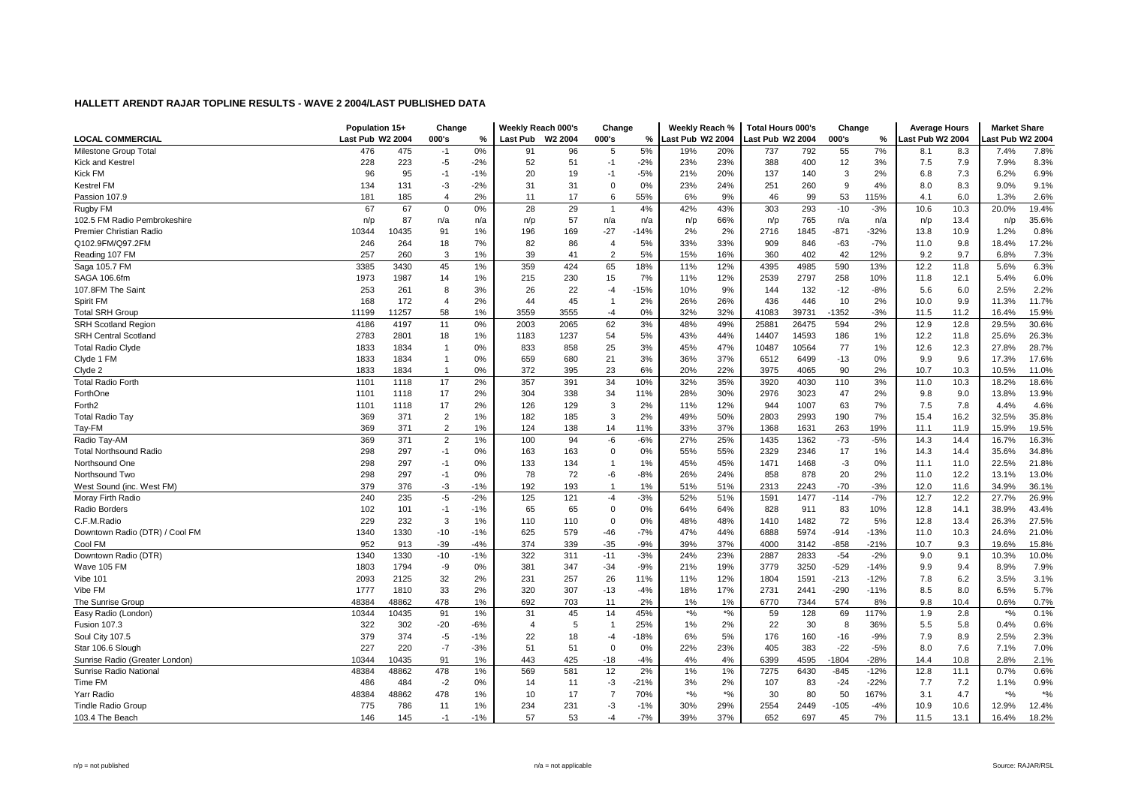| <b>LOCAL COMMERCIAL</b><br>Last Pub W2 2004<br>000's<br>%<br><b>Last Pub</b><br>W <sub>2</sub> 2004<br>000's<br>%<br>Last Pub W2 2004<br>Last Pub W2 2004<br>000's<br>%<br>Last Pub W2 2004<br>ast Pub W2 2004<br>5%<br>0%<br>55<br>7%<br>7.8%<br>Milestone Group Total<br>476<br>475<br>$-1$<br>96<br>5<br>19%<br>20%<br>737<br>792<br>8.3<br>7.4%<br>91<br>8.1<br>51<br>228<br>223<br>$-5$<br>$-2%$<br>52<br>$-2%$<br>23%<br>23%<br>388<br>12<br>7.5<br>7.9<br>7.9%<br>8.3%<br><b>Kick and Kestrel</b><br>$-1$<br>400<br>3%<br>Kick FM<br>96<br>95<br>$-1$<br>20<br>19<br>$-5%$<br>21%<br>20%<br>137<br>140<br>3<br>2%<br>7.3<br>6.2%<br>6.9%<br>$-1%$<br>-1<br>6.8<br>9.1%<br><b>Kestrel FM</b><br>134<br>131<br>$-3$<br>$-2%$<br>31<br>31<br>$\overline{0}$<br>0%<br>23%<br>24%<br>251<br>260<br>9<br>4%<br>8.0<br>8.3<br>9.0%<br>2%<br>17<br>6<br>55%<br>9%<br>99<br>53<br>6.0<br>2.6%<br>181<br>185<br>$\overline{4}$<br>11<br>6%<br>46<br>115%<br>4.1<br>1.3%<br>Passion 107.9<br>67<br>29<br>19.4%<br>67<br>$\mathbf 0$<br>0%<br>28<br>4%<br>42%<br>43%<br>303<br>293<br>$-10$<br>$-3%$<br>10.6<br>10.3<br>20.0%<br>Rugby FM<br>$\overline{1}$<br>87<br>57<br>66%<br>765<br>35.6%<br>102.5 FM Radio Pembrokeshire<br>n/p<br>n/a<br>n/p<br>n/a<br>n/a<br>n/a<br>13.4<br>n/a<br>n/a<br>n/p<br>n/p<br>n/p<br>n/p<br>2%<br>0.8%<br>10435<br>91<br>196<br>169<br>$-27$<br>$-14%$<br>$-871$<br>$-32%$<br>10.9<br>1.2%<br>Premier Christian Radio<br>10344<br>1%<br>2%<br>2716<br>1845<br>13.8<br>5%<br>33%<br>33%<br>$-63$<br>$-7%$<br>9.8<br>17.2%<br>Q102.9FM/Q97.2FM<br>246<br>264<br>18<br>7%<br>82<br>86<br>909<br>846<br>11.0<br>18.4%<br>$\overline{4}$<br>39<br>41<br>$\overline{2}$<br>5%<br>15%<br>16%<br>402<br>42<br>12%<br>9.7<br>7.3%<br>Reading 107 FM<br>257<br>260<br>3<br>1%<br>360<br>9.2<br>6.8%<br>6.3%<br>3385<br>1%<br>359<br>424<br>65<br>18%<br>12%<br>4985<br>590<br>Saga 105.7 FM<br>3430<br>45<br>11%<br>4395<br>13%<br>12.2<br>11.8<br>5.6%<br>1973<br>230<br>7%<br>12%<br>2797<br>258<br>6.0%<br>SAGA 106.6fm<br>1987<br>14<br>1%<br>215<br>15<br>11%<br>2539<br>10%<br>12.1<br>5.4%<br>11.8<br>9%<br>132<br>2.2%<br>107.8FM The Saint<br>253<br>261<br>8<br>3%<br>26<br>22<br>$-4$<br>$-15%$<br>10%<br>144<br>$-12$<br>$-8%$<br>5.6<br>6.0<br>2.5%<br>45<br>26%<br>436<br>446<br>10<br>9.9<br>11.7%<br>Spirit FM<br>168<br>172<br>$\overline{4}$<br>2%<br>44<br>2%<br>26%<br>2%<br>10.0<br>11.3%<br>$\overline{1}$<br>0%<br>32%<br><b>Total SRH Group</b><br>11199<br>11257<br>58<br>1%<br>3559<br>3555<br>32%<br>41083<br>39731<br>$-1352$<br>$-3%$<br>11.2<br>16.4%<br>15.9%<br>$-4$<br>11.5<br>0%<br>62<br>3%<br>48%<br>49%<br>2%<br>12.9<br>12.8<br>29.5%<br>30.6%<br><b>SRH Scotland Region</b><br>4186<br>4197<br>11<br>2003<br>2065<br>25881<br>26475<br>594<br>26.3%<br><b>SRH Central Scotland</b><br>2783<br>2801<br>18<br>1%<br>1237<br>54<br>5%<br>43%<br>44%<br>14407<br>14593<br>186<br>1%<br>11.8<br>25.6%<br>1183<br>12.2<br>833<br>858<br>3%<br>47%<br>10564<br>77<br>12.3<br>28.7%<br><b>Total Radio Clyde</b><br>1833<br>1834<br>$\mathbf{1}$<br>0%<br>25<br>45%<br>10487<br>1%<br>12.6<br>27.8%<br>3%<br>1833<br>1834<br>$\mathbf{1}$<br>659<br>21<br>36%<br>37%<br>6499<br>$-13$<br>0%<br>9.9<br>9.6<br>17.3%<br>17.6%<br>Clyde 1 FM<br>0%<br>680<br>6512<br>1833<br>1834<br>0%<br>372<br>395<br>23<br>6%<br>20%<br>22%<br>3975<br>4065<br>90<br>2%<br>10.7<br>10.3<br>10.5%<br>11.0%<br>Clyde 2<br>$\overline{1}$<br>2%<br>357<br>34<br>35%<br>3%<br>18.6%<br>1101<br>17<br>391<br>10%<br>32%<br>3920<br>4030<br>110<br>11.0<br><b>Total Radio Forth</b><br>1118<br>10.3<br>18.2%<br>17<br>30%<br>2976<br>3023<br>47<br>9.0<br>13.9%<br>ForthOne<br>1101<br>1118<br>2%<br>304<br>338<br>34<br>11%<br>28%<br>2%<br>9.8<br>13.8%<br>17<br>2%<br>126<br>129<br>3<br>2%<br>12%<br>1007<br>63<br>7%<br>7.5<br>7.8<br>4.6%<br>Forth <sub>2</sub><br>1101<br>1118<br>11%<br>944<br>4.4%<br>2%<br>369<br>$\overline{2}$<br>182<br>3<br>49%<br>50%<br>2803<br>2993<br>190<br>7%<br>15.4<br>16.2<br>32.5%<br>35.8%<br><b>Total Radio Tay</b><br>371<br>1%<br>185<br>$\overline{c}$<br>37%<br>Tay-FM<br>369<br>124<br>138<br>33%<br>19%<br>11.9<br>19.5%<br>371<br>1%<br>14<br>11%<br>1368<br>1631<br>263<br>11.1<br>15.9%<br>$\overline{2}$<br>369<br>371<br>1%<br>100<br>94<br>-6<br>$-6%$<br>27%<br>25%<br>1435<br>1362<br>$-73$<br>$-5%$<br>14.3<br>14.4<br>16.7%<br>16.3%<br>Radio Tay-AM<br>298<br>55%<br>17<br>34.8%<br>297<br>$-1$<br>0%<br>163<br>163<br>$\mathbf 0$<br>0%<br>55%<br>2329<br>2346<br>1%<br>14.3<br>14.4<br>35.6%<br>21.8%<br>298<br>297<br>133<br>45%<br>45%<br>1468<br>-3<br>22.5%<br>Northsound One<br>$-1$<br>0%<br>134<br>1%<br>1471<br>0%<br>11.1<br>11.0<br>$\overline{1}$<br>298<br>297<br>78<br>72<br>$-8%$<br>24%<br>878<br>20<br>2%<br>12.2<br>13.0%<br>$-1$<br>0%<br>-6<br>26%<br>858<br>11.0<br>13.1%<br>Northsound Two<br>379<br>376<br>$-3$<br>$-1%$<br>192<br>193<br>1%<br>51%<br>51%<br>2313<br>2243<br>$-70$<br>$-3%$<br>12.0<br>34.9%<br>36.1%<br>West Sound (inc. West FM)<br>$\overline{1}$<br>11.6<br>240<br>$-5$<br>$-2%$<br>121<br>$-3%$<br>$-114$<br>$-7%$<br>26.9%<br>Moray Firth Radio<br>235<br>125<br>$-4$<br>52%<br>51%<br>1591<br>1477<br>12.7<br>12.2<br>27.7%<br>43.4%<br>102<br>65<br>$\mathbf 0$<br>0%<br>64%<br>64%<br>911<br>83<br>10%<br>38.9%<br>Radio Borders<br>101<br>$-1$<br>$-1%$<br>65<br>828<br>12.8<br>14.1<br>C.F.M.Radio<br>229<br>232<br>3<br>1%<br>110<br>110<br>$\mathbf 0$<br>0%<br>48%<br>48%<br>1410<br>1482<br>72<br>5%<br>12.8<br>13.4<br>26.3%<br>27.5%<br>5974<br>21.0%<br>Downtown Radio (DTR) / Cool FM<br>1340<br>1330<br>$-10$<br>625<br>579<br>$-46$<br>$-7%$<br>47%<br>44%<br>6888<br>$-914$<br>$-13%$<br>10.3<br>24.6%<br>$-1%$<br>11.0<br>952<br>374<br>339<br>37%<br>15.8%<br>Cool FM<br>913<br>$-39$<br>$-4%$<br>$-35$<br>$-9%$<br>39%<br>4000<br>$-858$<br>$-21%$<br>10.7<br>9.3<br>19.6%<br>3142<br>322<br>$-3%$<br>23%<br>2833<br>$-54$<br>10.0%<br>1340<br>1330<br>$-10$<br>$-1%$<br>311<br>$-11$<br>24%<br>2887<br>$-2%$<br>9.0<br>9.1<br>10.3%<br>Downtown Radio (DTR)<br>381<br>347<br>$-9%$<br>19%<br>3250<br>$-529$<br>7.9%<br>Wave 105 FM<br>1803<br>1794<br>-9<br>0%<br>$-34$<br>21%<br>3779<br>$-14%$<br>9.9<br>9.4<br>8.9%<br>6.2<br>3.1%<br>32<br>2%<br>231<br>257<br>12%<br>1591<br>$-213$<br>7.8<br>Vibe 101<br>2093<br>2125<br>26<br>11%<br>11%<br>1804<br>$-12%$<br>3.5%<br>Vibe FM<br>320<br>307<br>17%<br>2731<br>$-290$<br>8.0<br>5.7%<br>1777<br>1810<br>33<br>2%<br>$-13$<br>$-4%$<br>18%<br>2441<br>$-11%$<br>8.5<br>6.5%<br>478<br>692<br>0.7%<br>The Sunrise Group<br>48384<br>48862<br>1%<br>703<br>11<br>2%<br>1%<br>1%<br>6770<br>7344<br>574<br>8%<br>9.8<br>10.4<br>0.6%<br>0.1%<br>91<br>45<br>45%<br>$*9/6$<br>$*9/0$<br>69<br>2.8<br>$*9/6$<br>10344<br>10435<br>1%<br>31<br>14<br>59<br>128<br>117%<br>1.9<br>Easy Radio (London)<br>0.6%<br>322<br>$-20$<br>25%<br>2%<br>22<br>30<br>5.8<br><b>Fusion 107.3</b><br>302<br>-6%<br>$\overline{4}$<br>5<br>$1\%$<br>8<br>36%<br>5.5<br>0.4%<br>$\overline{1}$<br>379<br>22<br>$-18%$<br>5%<br>176<br>160<br>$-9%$<br>7.9<br>8.9<br>2.5%<br>2.3%<br>Soul City 107.5<br>374<br>$-5$<br>18<br>6%<br>$-16$<br>$-1%$<br>$-4$<br>227<br>$-7$<br>51<br>0%<br>23%<br>7.0%<br>Star 106.6 Slough<br>220<br>$-3%$<br>51<br>$\overline{0}$<br>22%<br>405<br>383<br>$-22$<br>$-5%$<br>8.0<br>7.6<br>7.1% |                                | Population 15+ |       | Change |    | Weekly Reach 000's |     | Change |       | Weekly Reach % |    | <b>Total Hours 000's</b> |      | Change  |        | <b>Average Hours</b> |      | <b>Market Share</b> |      |
|-----------------------------------------------------------------------------------------------------------------------------------------------------------------------------------------------------------------------------------------------------------------------------------------------------------------------------------------------------------------------------------------------------------------------------------------------------------------------------------------------------------------------------------------------------------------------------------------------------------------------------------------------------------------------------------------------------------------------------------------------------------------------------------------------------------------------------------------------------------------------------------------------------------------------------------------------------------------------------------------------------------------------------------------------------------------------------------------------------------------------------------------------------------------------------------------------------------------------------------------------------------------------------------------------------------------------------------------------------------------------------------------------------------------------------------------------------------------------------------------------------------------------------------------------------------------------------------------------------------------------------------------------------------------------------------------------------------------------------------------------------------------------------------------------------------------------------------------------------------------------------------------------------------------------------------------------------------------------------------------------------------------------------------------------------------------------------------------------------------------------------------------------------------------------------------------------------------------------------------------------------------------------------------------------------------------------------------------------------------------------------------------------------------------------------------------------------------------------------------------------------------------------------------------------------------------------------------------------------------------------------------------------------------------------------------------------------------------------------------------------------------------------------------------------------------------------------------------------------------------------------------------------------------------------------------------------------------------------------------------------------------------------------------------------------------------------------------------------------------------------------------------------------------------------------------------------------------------------------------------------------------------------------------------------------------------------------------------------------------------------------------------------------------------------------------------------------------------------------------------------------------------------------------------------------------------------------------------------------------------------------------------------------------------------------------------------------------------------------------------------------------------------------------------------------------------------------------------------------------------------------------------------------------------------------------------------------------------------------------------------------------------------------------------------------------------------------------------------------------------------------------------------------------------------------------------------------------------------------------------------------------------------------------------------------------------------------------------------------------------------------------------------------------------------------------------------------------------------------------------------------------------------------------------------------------------------------------------------------------------------------------------------------------------------------------------------------------------------------------------------------------------------------------------------------------------------------------------------------------------------------------------------------------------------------------------------------------------------------------------------------------------------------------------------------------------------------------------------------------------------------------------------------------------------------------------------------------------------------------------------------------------------------------------------------------------------------------------------------------------------------------------------------------------------------------------------------------------------------------------------------------------------------------------------------------------------------------------------------------------------------------------------------------------------------------------------------------------------------------------------------------------------------------------------------------------------------------------------------------------------------------------------------------------------------------------------------------------------------------------------------------------------------------------------------------------------------------------------------------------------------------------------------------------------------------------------------------------------------------------------------------------------------------------------------------------------------------------------------------------------------------------------------------------------------------------------------------------------------------------------------------------------------------------------------------------------------------------------------------------------------------------------------------------------------------------------------------------------------------------------------------------------------------------------------------------------------------------------------------------------------------------------------------------------------------------------------------------------------------------------------------------------------------------------------------------------------------------------------------------------------------------------------------------------------------------------------------------------------------------------------------------------------------------------------------------------------------------------------------------------------------------------------------------------|--------------------------------|----------------|-------|--------|----|--------------------|-----|--------|-------|----------------|----|--------------------------|------|---------|--------|----------------------|------|---------------------|------|
|                                                                                                                                                                                                                                                                                                                                                                                                                                                                                                                                                                                                                                                                                                                                                                                                                                                                                                                                                                                                                                                                                                                                                                                                                                                                                                                                                                                                                                                                                                                                                                                                                                                                                                                                                                                                                                                                                                                                                                                                                                                                                                                                                                                                                                                                                                                                                                                                                                                                                                                                                                                                                                                                                                                                                                                                                                                                                                                                                                                                                                                                                                                                                                                                                                                                                                                                                                                                                                                                                                                                                                                                                                                                                                                                                                                                                                                                                                                                                                                                                                                                                                                                                                                                                                                                                                                                                                                                                                                                                                                                                                                                                                                                                                                                                                                                                                                                                                                                                                                                                                                                                                                                                                                                                                                                                                                                                                                                                                                                                                                                                                                                                                                                                                                                                                                                                                                                                                                                                                                                                                                                                                                                                                                                                                                                                                                                                                                                                                                                                                                                                                                                                                                                                                                                                                                                                                                                                                                                                                                                                                                                                                                                                                                                                                                                                                                                                                                                                       |                                |                |       |        |    |                    |     |        |       |                |    |                          |      |         |        |                      |      |                     |      |
|                                                                                                                                                                                                                                                                                                                                                                                                                                                                                                                                                                                                                                                                                                                                                                                                                                                                                                                                                                                                                                                                                                                                                                                                                                                                                                                                                                                                                                                                                                                                                                                                                                                                                                                                                                                                                                                                                                                                                                                                                                                                                                                                                                                                                                                                                                                                                                                                                                                                                                                                                                                                                                                                                                                                                                                                                                                                                                                                                                                                                                                                                                                                                                                                                                                                                                                                                                                                                                                                                                                                                                                                                                                                                                                                                                                                                                                                                                                                                                                                                                                                                                                                                                                                                                                                                                                                                                                                                                                                                                                                                                                                                                                                                                                                                                                                                                                                                                                                                                                                                                                                                                                                                                                                                                                                                                                                                                                                                                                                                                                                                                                                                                                                                                                                                                                                                                                                                                                                                                                                                                                                                                                                                                                                                                                                                                                                                                                                                                                                                                                                                                                                                                                                                                                                                                                                                                                                                                                                                                                                                                                                                                                                                                                                                                                                                                                                                                                                                       |                                |                |       |        |    |                    |     |        |       |                |    |                          |      |         |        |                      |      |                     |      |
|                                                                                                                                                                                                                                                                                                                                                                                                                                                                                                                                                                                                                                                                                                                                                                                                                                                                                                                                                                                                                                                                                                                                                                                                                                                                                                                                                                                                                                                                                                                                                                                                                                                                                                                                                                                                                                                                                                                                                                                                                                                                                                                                                                                                                                                                                                                                                                                                                                                                                                                                                                                                                                                                                                                                                                                                                                                                                                                                                                                                                                                                                                                                                                                                                                                                                                                                                                                                                                                                                                                                                                                                                                                                                                                                                                                                                                                                                                                                                                                                                                                                                                                                                                                                                                                                                                                                                                                                                                                                                                                                                                                                                                                                                                                                                                                                                                                                                                                                                                                                                                                                                                                                                                                                                                                                                                                                                                                                                                                                                                                                                                                                                                                                                                                                                                                                                                                                                                                                                                                                                                                                                                                                                                                                                                                                                                                                                                                                                                                                                                                                                                                                                                                                                                                                                                                                                                                                                                                                                                                                                                                                                                                                                                                                                                                                                                                                                                                                                       |                                |                |       |        |    |                    |     |        |       |                |    |                          |      |         |        |                      |      |                     |      |
|                                                                                                                                                                                                                                                                                                                                                                                                                                                                                                                                                                                                                                                                                                                                                                                                                                                                                                                                                                                                                                                                                                                                                                                                                                                                                                                                                                                                                                                                                                                                                                                                                                                                                                                                                                                                                                                                                                                                                                                                                                                                                                                                                                                                                                                                                                                                                                                                                                                                                                                                                                                                                                                                                                                                                                                                                                                                                                                                                                                                                                                                                                                                                                                                                                                                                                                                                                                                                                                                                                                                                                                                                                                                                                                                                                                                                                                                                                                                                                                                                                                                                                                                                                                                                                                                                                                                                                                                                                                                                                                                                                                                                                                                                                                                                                                                                                                                                                                                                                                                                                                                                                                                                                                                                                                                                                                                                                                                                                                                                                                                                                                                                                                                                                                                                                                                                                                                                                                                                                                                                                                                                                                                                                                                                                                                                                                                                                                                                                                                                                                                                                                                                                                                                                                                                                                                                                                                                                                                                                                                                                                                                                                                                                                                                                                                                                                                                                                                                       |                                |                |       |        |    |                    |     |        |       |                |    |                          |      |         |        |                      |      |                     |      |
|                                                                                                                                                                                                                                                                                                                                                                                                                                                                                                                                                                                                                                                                                                                                                                                                                                                                                                                                                                                                                                                                                                                                                                                                                                                                                                                                                                                                                                                                                                                                                                                                                                                                                                                                                                                                                                                                                                                                                                                                                                                                                                                                                                                                                                                                                                                                                                                                                                                                                                                                                                                                                                                                                                                                                                                                                                                                                                                                                                                                                                                                                                                                                                                                                                                                                                                                                                                                                                                                                                                                                                                                                                                                                                                                                                                                                                                                                                                                                                                                                                                                                                                                                                                                                                                                                                                                                                                                                                                                                                                                                                                                                                                                                                                                                                                                                                                                                                                                                                                                                                                                                                                                                                                                                                                                                                                                                                                                                                                                                                                                                                                                                                                                                                                                                                                                                                                                                                                                                                                                                                                                                                                                                                                                                                                                                                                                                                                                                                                                                                                                                                                                                                                                                                                                                                                                                                                                                                                                                                                                                                                                                                                                                                                                                                                                                                                                                                                                                       |                                |                |       |        |    |                    |     |        |       |                |    |                          |      |         |        |                      |      |                     |      |
|                                                                                                                                                                                                                                                                                                                                                                                                                                                                                                                                                                                                                                                                                                                                                                                                                                                                                                                                                                                                                                                                                                                                                                                                                                                                                                                                                                                                                                                                                                                                                                                                                                                                                                                                                                                                                                                                                                                                                                                                                                                                                                                                                                                                                                                                                                                                                                                                                                                                                                                                                                                                                                                                                                                                                                                                                                                                                                                                                                                                                                                                                                                                                                                                                                                                                                                                                                                                                                                                                                                                                                                                                                                                                                                                                                                                                                                                                                                                                                                                                                                                                                                                                                                                                                                                                                                                                                                                                                                                                                                                                                                                                                                                                                                                                                                                                                                                                                                                                                                                                                                                                                                                                                                                                                                                                                                                                                                                                                                                                                                                                                                                                                                                                                                                                                                                                                                                                                                                                                                                                                                                                                                                                                                                                                                                                                                                                                                                                                                                                                                                                                                                                                                                                                                                                                                                                                                                                                                                                                                                                                                                                                                                                                                                                                                                                                                                                                                                                       |                                |                |       |        |    |                    |     |        |       |                |    |                          |      |         |        |                      |      |                     |      |
|                                                                                                                                                                                                                                                                                                                                                                                                                                                                                                                                                                                                                                                                                                                                                                                                                                                                                                                                                                                                                                                                                                                                                                                                                                                                                                                                                                                                                                                                                                                                                                                                                                                                                                                                                                                                                                                                                                                                                                                                                                                                                                                                                                                                                                                                                                                                                                                                                                                                                                                                                                                                                                                                                                                                                                                                                                                                                                                                                                                                                                                                                                                                                                                                                                                                                                                                                                                                                                                                                                                                                                                                                                                                                                                                                                                                                                                                                                                                                                                                                                                                                                                                                                                                                                                                                                                                                                                                                                                                                                                                                                                                                                                                                                                                                                                                                                                                                                                                                                                                                                                                                                                                                                                                                                                                                                                                                                                                                                                                                                                                                                                                                                                                                                                                                                                                                                                                                                                                                                                                                                                                                                                                                                                                                                                                                                                                                                                                                                                                                                                                                                                                                                                                                                                                                                                                                                                                                                                                                                                                                                                                                                                                                                                                                                                                                                                                                                                                                       |                                |                |       |        |    |                    |     |        |       |                |    |                          |      |         |        |                      |      |                     |      |
|                                                                                                                                                                                                                                                                                                                                                                                                                                                                                                                                                                                                                                                                                                                                                                                                                                                                                                                                                                                                                                                                                                                                                                                                                                                                                                                                                                                                                                                                                                                                                                                                                                                                                                                                                                                                                                                                                                                                                                                                                                                                                                                                                                                                                                                                                                                                                                                                                                                                                                                                                                                                                                                                                                                                                                                                                                                                                                                                                                                                                                                                                                                                                                                                                                                                                                                                                                                                                                                                                                                                                                                                                                                                                                                                                                                                                                                                                                                                                                                                                                                                                                                                                                                                                                                                                                                                                                                                                                                                                                                                                                                                                                                                                                                                                                                                                                                                                                                                                                                                                                                                                                                                                                                                                                                                                                                                                                                                                                                                                                                                                                                                                                                                                                                                                                                                                                                                                                                                                                                                                                                                                                                                                                                                                                                                                                                                                                                                                                                                                                                                                                                                                                                                                                                                                                                                                                                                                                                                                                                                                                                                                                                                                                                                                                                                                                                                                                                                                       |                                |                |       |        |    |                    |     |        |       |                |    |                          |      |         |        |                      |      |                     |      |
|                                                                                                                                                                                                                                                                                                                                                                                                                                                                                                                                                                                                                                                                                                                                                                                                                                                                                                                                                                                                                                                                                                                                                                                                                                                                                                                                                                                                                                                                                                                                                                                                                                                                                                                                                                                                                                                                                                                                                                                                                                                                                                                                                                                                                                                                                                                                                                                                                                                                                                                                                                                                                                                                                                                                                                                                                                                                                                                                                                                                                                                                                                                                                                                                                                                                                                                                                                                                                                                                                                                                                                                                                                                                                                                                                                                                                                                                                                                                                                                                                                                                                                                                                                                                                                                                                                                                                                                                                                                                                                                                                                                                                                                                                                                                                                                                                                                                                                                                                                                                                                                                                                                                                                                                                                                                                                                                                                                                                                                                                                                                                                                                                                                                                                                                                                                                                                                                                                                                                                                                                                                                                                                                                                                                                                                                                                                                                                                                                                                                                                                                                                                                                                                                                                                                                                                                                                                                                                                                                                                                                                                                                                                                                                                                                                                                                                                                                                                                                       |                                |                |       |        |    |                    |     |        |       |                |    |                          |      |         |        |                      |      |                     |      |
|                                                                                                                                                                                                                                                                                                                                                                                                                                                                                                                                                                                                                                                                                                                                                                                                                                                                                                                                                                                                                                                                                                                                                                                                                                                                                                                                                                                                                                                                                                                                                                                                                                                                                                                                                                                                                                                                                                                                                                                                                                                                                                                                                                                                                                                                                                                                                                                                                                                                                                                                                                                                                                                                                                                                                                                                                                                                                                                                                                                                                                                                                                                                                                                                                                                                                                                                                                                                                                                                                                                                                                                                                                                                                                                                                                                                                                                                                                                                                                                                                                                                                                                                                                                                                                                                                                                                                                                                                                                                                                                                                                                                                                                                                                                                                                                                                                                                                                                                                                                                                                                                                                                                                                                                                                                                                                                                                                                                                                                                                                                                                                                                                                                                                                                                                                                                                                                                                                                                                                                                                                                                                                                                                                                                                                                                                                                                                                                                                                                                                                                                                                                                                                                                                                                                                                                                                                                                                                                                                                                                                                                                                                                                                                                                                                                                                                                                                                                                                       |                                |                |       |        |    |                    |     |        |       |                |    |                          |      |         |        |                      |      |                     |      |
|                                                                                                                                                                                                                                                                                                                                                                                                                                                                                                                                                                                                                                                                                                                                                                                                                                                                                                                                                                                                                                                                                                                                                                                                                                                                                                                                                                                                                                                                                                                                                                                                                                                                                                                                                                                                                                                                                                                                                                                                                                                                                                                                                                                                                                                                                                                                                                                                                                                                                                                                                                                                                                                                                                                                                                                                                                                                                                                                                                                                                                                                                                                                                                                                                                                                                                                                                                                                                                                                                                                                                                                                                                                                                                                                                                                                                                                                                                                                                                                                                                                                                                                                                                                                                                                                                                                                                                                                                                                                                                                                                                                                                                                                                                                                                                                                                                                                                                                                                                                                                                                                                                                                                                                                                                                                                                                                                                                                                                                                                                                                                                                                                                                                                                                                                                                                                                                                                                                                                                                                                                                                                                                                                                                                                                                                                                                                                                                                                                                                                                                                                                                                                                                                                                                                                                                                                                                                                                                                                                                                                                                                                                                                                                                                                                                                                                                                                                                                                       |                                |                |       |        |    |                    |     |        |       |                |    |                          |      |         |        |                      |      |                     |      |
|                                                                                                                                                                                                                                                                                                                                                                                                                                                                                                                                                                                                                                                                                                                                                                                                                                                                                                                                                                                                                                                                                                                                                                                                                                                                                                                                                                                                                                                                                                                                                                                                                                                                                                                                                                                                                                                                                                                                                                                                                                                                                                                                                                                                                                                                                                                                                                                                                                                                                                                                                                                                                                                                                                                                                                                                                                                                                                                                                                                                                                                                                                                                                                                                                                                                                                                                                                                                                                                                                                                                                                                                                                                                                                                                                                                                                                                                                                                                                                                                                                                                                                                                                                                                                                                                                                                                                                                                                                                                                                                                                                                                                                                                                                                                                                                                                                                                                                                                                                                                                                                                                                                                                                                                                                                                                                                                                                                                                                                                                                                                                                                                                                                                                                                                                                                                                                                                                                                                                                                                                                                                                                                                                                                                                                                                                                                                                                                                                                                                                                                                                                                                                                                                                                                                                                                                                                                                                                                                                                                                                                                                                                                                                                                                                                                                                                                                                                                                                       |                                |                |       |        |    |                    |     |        |       |                |    |                          |      |         |        |                      |      |                     |      |
|                                                                                                                                                                                                                                                                                                                                                                                                                                                                                                                                                                                                                                                                                                                                                                                                                                                                                                                                                                                                                                                                                                                                                                                                                                                                                                                                                                                                                                                                                                                                                                                                                                                                                                                                                                                                                                                                                                                                                                                                                                                                                                                                                                                                                                                                                                                                                                                                                                                                                                                                                                                                                                                                                                                                                                                                                                                                                                                                                                                                                                                                                                                                                                                                                                                                                                                                                                                                                                                                                                                                                                                                                                                                                                                                                                                                                                                                                                                                                                                                                                                                                                                                                                                                                                                                                                                                                                                                                                                                                                                                                                                                                                                                                                                                                                                                                                                                                                                                                                                                                                                                                                                                                                                                                                                                                                                                                                                                                                                                                                                                                                                                                                                                                                                                                                                                                                                                                                                                                                                                                                                                                                                                                                                                                                                                                                                                                                                                                                                                                                                                                                                                                                                                                                                                                                                                                                                                                                                                                                                                                                                                                                                                                                                                                                                                                                                                                                                                                       |                                |                |       |        |    |                    |     |        |       |                |    |                          |      |         |        |                      |      |                     |      |
|                                                                                                                                                                                                                                                                                                                                                                                                                                                                                                                                                                                                                                                                                                                                                                                                                                                                                                                                                                                                                                                                                                                                                                                                                                                                                                                                                                                                                                                                                                                                                                                                                                                                                                                                                                                                                                                                                                                                                                                                                                                                                                                                                                                                                                                                                                                                                                                                                                                                                                                                                                                                                                                                                                                                                                                                                                                                                                                                                                                                                                                                                                                                                                                                                                                                                                                                                                                                                                                                                                                                                                                                                                                                                                                                                                                                                                                                                                                                                                                                                                                                                                                                                                                                                                                                                                                                                                                                                                                                                                                                                                                                                                                                                                                                                                                                                                                                                                                                                                                                                                                                                                                                                                                                                                                                                                                                                                                                                                                                                                                                                                                                                                                                                                                                                                                                                                                                                                                                                                                                                                                                                                                                                                                                                                                                                                                                                                                                                                                                                                                                                                                                                                                                                                                                                                                                                                                                                                                                                                                                                                                                                                                                                                                                                                                                                                                                                                                                                       |                                |                |       |        |    |                    |     |        |       |                |    |                          |      |         |        |                      |      |                     |      |
|                                                                                                                                                                                                                                                                                                                                                                                                                                                                                                                                                                                                                                                                                                                                                                                                                                                                                                                                                                                                                                                                                                                                                                                                                                                                                                                                                                                                                                                                                                                                                                                                                                                                                                                                                                                                                                                                                                                                                                                                                                                                                                                                                                                                                                                                                                                                                                                                                                                                                                                                                                                                                                                                                                                                                                                                                                                                                                                                                                                                                                                                                                                                                                                                                                                                                                                                                                                                                                                                                                                                                                                                                                                                                                                                                                                                                                                                                                                                                                                                                                                                                                                                                                                                                                                                                                                                                                                                                                                                                                                                                                                                                                                                                                                                                                                                                                                                                                                                                                                                                                                                                                                                                                                                                                                                                                                                                                                                                                                                                                                                                                                                                                                                                                                                                                                                                                                                                                                                                                                                                                                                                                                                                                                                                                                                                                                                                                                                                                                                                                                                                                                                                                                                                                                                                                                                                                                                                                                                                                                                                                                                                                                                                                                                                                                                                                                                                                                                                       |                                |                |       |        |    |                    |     |        |       |                |    |                          |      |         |        |                      |      |                     |      |
|                                                                                                                                                                                                                                                                                                                                                                                                                                                                                                                                                                                                                                                                                                                                                                                                                                                                                                                                                                                                                                                                                                                                                                                                                                                                                                                                                                                                                                                                                                                                                                                                                                                                                                                                                                                                                                                                                                                                                                                                                                                                                                                                                                                                                                                                                                                                                                                                                                                                                                                                                                                                                                                                                                                                                                                                                                                                                                                                                                                                                                                                                                                                                                                                                                                                                                                                                                                                                                                                                                                                                                                                                                                                                                                                                                                                                                                                                                                                                                                                                                                                                                                                                                                                                                                                                                                                                                                                                                                                                                                                                                                                                                                                                                                                                                                                                                                                                                                                                                                                                                                                                                                                                                                                                                                                                                                                                                                                                                                                                                                                                                                                                                                                                                                                                                                                                                                                                                                                                                                                                                                                                                                                                                                                                                                                                                                                                                                                                                                                                                                                                                                                                                                                                                                                                                                                                                                                                                                                                                                                                                                                                                                                                                                                                                                                                                                                                                                                                       |                                |                |       |        |    |                    |     |        |       |                |    |                          |      |         |        |                      |      |                     |      |
|                                                                                                                                                                                                                                                                                                                                                                                                                                                                                                                                                                                                                                                                                                                                                                                                                                                                                                                                                                                                                                                                                                                                                                                                                                                                                                                                                                                                                                                                                                                                                                                                                                                                                                                                                                                                                                                                                                                                                                                                                                                                                                                                                                                                                                                                                                                                                                                                                                                                                                                                                                                                                                                                                                                                                                                                                                                                                                                                                                                                                                                                                                                                                                                                                                                                                                                                                                                                                                                                                                                                                                                                                                                                                                                                                                                                                                                                                                                                                                                                                                                                                                                                                                                                                                                                                                                                                                                                                                                                                                                                                                                                                                                                                                                                                                                                                                                                                                                                                                                                                                                                                                                                                                                                                                                                                                                                                                                                                                                                                                                                                                                                                                                                                                                                                                                                                                                                                                                                                                                                                                                                                                                                                                                                                                                                                                                                                                                                                                                                                                                                                                                                                                                                                                                                                                                                                                                                                                                                                                                                                                                                                                                                                                                                                                                                                                                                                                                                                       |                                |                |       |        |    |                    |     |        |       |                |    |                          |      |         |        |                      |      |                     |      |
|                                                                                                                                                                                                                                                                                                                                                                                                                                                                                                                                                                                                                                                                                                                                                                                                                                                                                                                                                                                                                                                                                                                                                                                                                                                                                                                                                                                                                                                                                                                                                                                                                                                                                                                                                                                                                                                                                                                                                                                                                                                                                                                                                                                                                                                                                                                                                                                                                                                                                                                                                                                                                                                                                                                                                                                                                                                                                                                                                                                                                                                                                                                                                                                                                                                                                                                                                                                                                                                                                                                                                                                                                                                                                                                                                                                                                                                                                                                                                                                                                                                                                                                                                                                                                                                                                                                                                                                                                                                                                                                                                                                                                                                                                                                                                                                                                                                                                                                                                                                                                                                                                                                                                                                                                                                                                                                                                                                                                                                                                                                                                                                                                                                                                                                                                                                                                                                                                                                                                                                                                                                                                                                                                                                                                                                                                                                                                                                                                                                                                                                                                                                                                                                                                                                                                                                                                                                                                                                                                                                                                                                                                                                                                                                                                                                                                                                                                                                                                       |                                |                |       |        |    |                    |     |        |       |                |    |                          |      |         |        |                      |      |                     |      |
|                                                                                                                                                                                                                                                                                                                                                                                                                                                                                                                                                                                                                                                                                                                                                                                                                                                                                                                                                                                                                                                                                                                                                                                                                                                                                                                                                                                                                                                                                                                                                                                                                                                                                                                                                                                                                                                                                                                                                                                                                                                                                                                                                                                                                                                                                                                                                                                                                                                                                                                                                                                                                                                                                                                                                                                                                                                                                                                                                                                                                                                                                                                                                                                                                                                                                                                                                                                                                                                                                                                                                                                                                                                                                                                                                                                                                                                                                                                                                                                                                                                                                                                                                                                                                                                                                                                                                                                                                                                                                                                                                                                                                                                                                                                                                                                                                                                                                                                                                                                                                                                                                                                                                                                                                                                                                                                                                                                                                                                                                                                                                                                                                                                                                                                                                                                                                                                                                                                                                                                                                                                                                                                                                                                                                                                                                                                                                                                                                                                                                                                                                                                                                                                                                                                                                                                                                                                                                                                                                                                                                                                                                                                                                                                                                                                                                                                                                                                                                       |                                |                |       |        |    |                    |     |        |       |                |    |                          |      |         |        |                      |      |                     |      |
|                                                                                                                                                                                                                                                                                                                                                                                                                                                                                                                                                                                                                                                                                                                                                                                                                                                                                                                                                                                                                                                                                                                                                                                                                                                                                                                                                                                                                                                                                                                                                                                                                                                                                                                                                                                                                                                                                                                                                                                                                                                                                                                                                                                                                                                                                                                                                                                                                                                                                                                                                                                                                                                                                                                                                                                                                                                                                                                                                                                                                                                                                                                                                                                                                                                                                                                                                                                                                                                                                                                                                                                                                                                                                                                                                                                                                                                                                                                                                                                                                                                                                                                                                                                                                                                                                                                                                                                                                                                                                                                                                                                                                                                                                                                                                                                                                                                                                                                                                                                                                                                                                                                                                                                                                                                                                                                                                                                                                                                                                                                                                                                                                                                                                                                                                                                                                                                                                                                                                                                                                                                                                                                                                                                                                                                                                                                                                                                                                                                                                                                                                                                                                                                                                                                                                                                                                                                                                                                                                                                                                                                                                                                                                                                                                                                                                                                                                                                                                       |                                |                |       |        |    |                    |     |        |       |                |    |                          |      |         |        |                      |      |                     |      |
|                                                                                                                                                                                                                                                                                                                                                                                                                                                                                                                                                                                                                                                                                                                                                                                                                                                                                                                                                                                                                                                                                                                                                                                                                                                                                                                                                                                                                                                                                                                                                                                                                                                                                                                                                                                                                                                                                                                                                                                                                                                                                                                                                                                                                                                                                                                                                                                                                                                                                                                                                                                                                                                                                                                                                                                                                                                                                                                                                                                                                                                                                                                                                                                                                                                                                                                                                                                                                                                                                                                                                                                                                                                                                                                                                                                                                                                                                                                                                                                                                                                                                                                                                                                                                                                                                                                                                                                                                                                                                                                                                                                                                                                                                                                                                                                                                                                                                                                                                                                                                                                                                                                                                                                                                                                                                                                                                                                                                                                                                                                                                                                                                                                                                                                                                                                                                                                                                                                                                                                                                                                                                                                                                                                                                                                                                                                                                                                                                                                                                                                                                                                                                                                                                                                                                                                                                                                                                                                                                                                                                                                                                                                                                                                                                                                                                                                                                                                                                       |                                |                |       |        |    |                    |     |        |       |                |    |                          |      |         |        |                      |      |                     |      |
|                                                                                                                                                                                                                                                                                                                                                                                                                                                                                                                                                                                                                                                                                                                                                                                                                                                                                                                                                                                                                                                                                                                                                                                                                                                                                                                                                                                                                                                                                                                                                                                                                                                                                                                                                                                                                                                                                                                                                                                                                                                                                                                                                                                                                                                                                                                                                                                                                                                                                                                                                                                                                                                                                                                                                                                                                                                                                                                                                                                                                                                                                                                                                                                                                                                                                                                                                                                                                                                                                                                                                                                                                                                                                                                                                                                                                                                                                                                                                                                                                                                                                                                                                                                                                                                                                                                                                                                                                                                                                                                                                                                                                                                                                                                                                                                                                                                                                                                                                                                                                                                                                                                                                                                                                                                                                                                                                                                                                                                                                                                                                                                                                                                                                                                                                                                                                                                                                                                                                                                                                                                                                                                                                                                                                                                                                                                                                                                                                                                                                                                                                                                                                                                                                                                                                                                                                                                                                                                                                                                                                                                                                                                                                                                                                                                                                                                                                                                                                       |                                |                |       |        |    |                    |     |        |       |                |    |                          |      |         |        |                      |      |                     |      |
|                                                                                                                                                                                                                                                                                                                                                                                                                                                                                                                                                                                                                                                                                                                                                                                                                                                                                                                                                                                                                                                                                                                                                                                                                                                                                                                                                                                                                                                                                                                                                                                                                                                                                                                                                                                                                                                                                                                                                                                                                                                                                                                                                                                                                                                                                                                                                                                                                                                                                                                                                                                                                                                                                                                                                                                                                                                                                                                                                                                                                                                                                                                                                                                                                                                                                                                                                                                                                                                                                                                                                                                                                                                                                                                                                                                                                                                                                                                                                                                                                                                                                                                                                                                                                                                                                                                                                                                                                                                                                                                                                                                                                                                                                                                                                                                                                                                                                                                                                                                                                                                                                                                                                                                                                                                                                                                                                                                                                                                                                                                                                                                                                                                                                                                                                                                                                                                                                                                                                                                                                                                                                                                                                                                                                                                                                                                                                                                                                                                                                                                                                                                                                                                                                                                                                                                                                                                                                                                                                                                                                                                                                                                                                                                                                                                                                                                                                                                                                       |                                |                |       |        |    |                    |     |        |       |                |    |                          |      |         |        |                      |      |                     |      |
|                                                                                                                                                                                                                                                                                                                                                                                                                                                                                                                                                                                                                                                                                                                                                                                                                                                                                                                                                                                                                                                                                                                                                                                                                                                                                                                                                                                                                                                                                                                                                                                                                                                                                                                                                                                                                                                                                                                                                                                                                                                                                                                                                                                                                                                                                                                                                                                                                                                                                                                                                                                                                                                                                                                                                                                                                                                                                                                                                                                                                                                                                                                                                                                                                                                                                                                                                                                                                                                                                                                                                                                                                                                                                                                                                                                                                                                                                                                                                                                                                                                                                                                                                                                                                                                                                                                                                                                                                                                                                                                                                                                                                                                                                                                                                                                                                                                                                                                                                                                                                                                                                                                                                                                                                                                                                                                                                                                                                                                                                                                                                                                                                                                                                                                                                                                                                                                                                                                                                                                                                                                                                                                                                                                                                                                                                                                                                                                                                                                                                                                                                                                                                                                                                                                                                                                                                                                                                                                                                                                                                                                                                                                                                                                                                                                                                                                                                                                                                       |                                |                |       |        |    |                    |     |        |       |                |    |                          |      |         |        |                      |      |                     |      |
|                                                                                                                                                                                                                                                                                                                                                                                                                                                                                                                                                                                                                                                                                                                                                                                                                                                                                                                                                                                                                                                                                                                                                                                                                                                                                                                                                                                                                                                                                                                                                                                                                                                                                                                                                                                                                                                                                                                                                                                                                                                                                                                                                                                                                                                                                                                                                                                                                                                                                                                                                                                                                                                                                                                                                                                                                                                                                                                                                                                                                                                                                                                                                                                                                                                                                                                                                                                                                                                                                                                                                                                                                                                                                                                                                                                                                                                                                                                                                                                                                                                                                                                                                                                                                                                                                                                                                                                                                                                                                                                                                                                                                                                                                                                                                                                                                                                                                                                                                                                                                                                                                                                                                                                                                                                                                                                                                                                                                                                                                                                                                                                                                                                                                                                                                                                                                                                                                                                                                                                                                                                                                                                                                                                                                                                                                                                                                                                                                                                                                                                                                                                                                                                                                                                                                                                                                                                                                                                                                                                                                                                                                                                                                                                                                                                                                                                                                                                                                       |                                |                |       |        |    |                    |     |        |       |                |    |                          |      |         |        |                      |      |                     |      |
|                                                                                                                                                                                                                                                                                                                                                                                                                                                                                                                                                                                                                                                                                                                                                                                                                                                                                                                                                                                                                                                                                                                                                                                                                                                                                                                                                                                                                                                                                                                                                                                                                                                                                                                                                                                                                                                                                                                                                                                                                                                                                                                                                                                                                                                                                                                                                                                                                                                                                                                                                                                                                                                                                                                                                                                                                                                                                                                                                                                                                                                                                                                                                                                                                                                                                                                                                                                                                                                                                                                                                                                                                                                                                                                                                                                                                                                                                                                                                                                                                                                                                                                                                                                                                                                                                                                                                                                                                                                                                                                                                                                                                                                                                                                                                                                                                                                                                                                                                                                                                                                                                                                                                                                                                                                                                                                                                                                                                                                                                                                                                                                                                                                                                                                                                                                                                                                                                                                                                                                                                                                                                                                                                                                                                                                                                                                                                                                                                                                                                                                                                                                                                                                                                                                                                                                                                                                                                                                                                                                                                                                                                                                                                                                                                                                                                                                                                                                                                       |                                |                |       |        |    |                    |     |        |       |                |    |                          |      |         |        |                      |      |                     |      |
|                                                                                                                                                                                                                                                                                                                                                                                                                                                                                                                                                                                                                                                                                                                                                                                                                                                                                                                                                                                                                                                                                                                                                                                                                                                                                                                                                                                                                                                                                                                                                                                                                                                                                                                                                                                                                                                                                                                                                                                                                                                                                                                                                                                                                                                                                                                                                                                                                                                                                                                                                                                                                                                                                                                                                                                                                                                                                                                                                                                                                                                                                                                                                                                                                                                                                                                                                                                                                                                                                                                                                                                                                                                                                                                                                                                                                                                                                                                                                                                                                                                                                                                                                                                                                                                                                                                                                                                                                                                                                                                                                                                                                                                                                                                                                                                                                                                                                                                                                                                                                                                                                                                                                                                                                                                                                                                                                                                                                                                                                                                                                                                                                                                                                                                                                                                                                                                                                                                                                                                                                                                                                                                                                                                                                                                                                                                                                                                                                                                                                                                                                                                                                                                                                                                                                                                                                                                                                                                                                                                                                                                                                                                                                                                                                                                                                                                                                                                                                       |                                |                |       |        |    |                    |     |        |       |                |    |                          |      |         |        |                      |      |                     |      |
|                                                                                                                                                                                                                                                                                                                                                                                                                                                                                                                                                                                                                                                                                                                                                                                                                                                                                                                                                                                                                                                                                                                                                                                                                                                                                                                                                                                                                                                                                                                                                                                                                                                                                                                                                                                                                                                                                                                                                                                                                                                                                                                                                                                                                                                                                                                                                                                                                                                                                                                                                                                                                                                                                                                                                                                                                                                                                                                                                                                                                                                                                                                                                                                                                                                                                                                                                                                                                                                                                                                                                                                                                                                                                                                                                                                                                                                                                                                                                                                                                                                                                                                                                                                                                                                                                                                                                                                                                                                                                                                                                                                                                                                                                                                                                                                                                                                                                                                                                                                                                                                                                                                                                                                                                                                                                                                                                                                                                                                                                                                                                                                                                                                                                                                                                                                                                                                                                                                                                                                                                                                                                                                                                                                                                                                                                                                                                                                                                                                                                                                                                                                                                                                                                                                                                                                                                                                                                                                                                                                                                                                                                                                                                                                                                                                                                                                                                                                                                       | <b>Total Northsound Radio</b>  |                |       |        |    |                    |     |        |       |                |    |                          |      |         |        |                      |      |                     |      |
|                                                                                                                                                                                                                                                                                                                                                                                                                                                                                                                                                                                                                                                                                                                                                                                                                                                                                                                                                                                                                                                                                                                                                                                                                                                                                                                                                                                                                                                                                                                                                                                                                                                                                                                                                                                                                                                                                                                                                                                                                                                                                                                                                                                                                                                                                                                                                                                                                                                                                                                                                                                                                                                                                                                                                                                                                                                                                                                                                                                                                                                                                                                                                                                                                                                                                                                                                                                                                                                                                                                                                                                                                                                                                                                                                                                                                                                                                                                                                                                                                                                                                                                                                                                                                                                                                                                                                                                                                                                                                                                                                                                                                                                                                                                                                                                                                                                                                                                                                                                                                                                                                                                                                                                                                                                                                                                                                                                                                                                                                                                                                                                                                                                                                                                                                                                                                                                                                                                                                                                                                                                                                                                                                                                                                                                                                                                                                                                                                                                                                                                                                                                                                                                                                                                                                                                                                                                                                                                                                                                                                                                                                                                                                                                                                                                                                                                                                                                                                       |                                |                |       |        |    |                    |     |        |       |                |    |                          |      |         |        |                      |      |                     |      |
|                                                                                                                                                                                                                                                                                                                                                                                                                                                                                                                                                                                                                                                                                                                                                                                                                                                                                                                                                                                                                                                                                                                                                                                                                                                                                                                                                                                                                                                                                                                                                                                                                                                                                                                                                                                                                                                                                                                                                                                                                                                                                                                                                                                                                                                                                                                                                                                                                                                                                                                                                                                                                                                                                                                                                                                                                                                                                                                                                                                                                                                                                                                                                                                                                                                                                                                                                                                                                                                                                                                                                                                                                                                                                                                                                                                                                                                                                                                                                                                                                                                                                                                                                                                                                                                                                                                                                                                                                                                                                                                                                                                                                                                                                                                                                                                                                                                                                                                                                                                                                                                                                                                                                                                                                                                                                                                                                                                                                                                                                                                                                                                                                                                                                                                                                                                                                                                                                                                                                                                                                                                                                                                                                                                                                                                                                                                                                                                                                                                                                                                                                                                                                                                                                                                                                                                                                                                                                                                                                                                                                                                                                                                                                                                                                                                                                                                                                                                                                       |                                |                |       |        |    |                    |     |        |       |                |    |                          |      |         |        |                      |      |                     |      |
|                                                                                                                                                                                                                                                                                                                                                                                                                                                                                                                                                                                                                                                                                                                                                                                                                                                                                                                                                                                                                                                                                                                                                                                                                                                                                                                                                                                                                                                                                                                                                                                                                                                                                                                                                                                                                                                                                                                                                                                                                                                                                                                                                                                                                                                                                                                                                                                                                                                                                                                                                                                                                                                                                                                                                                                                                                                                                                                                                                                                                                                                                                                                                                                                                                                                                                                                                                                                                                                                                                                                                                                                                                                                                                                                                                                                                                                                                                                                                                                                                                                                                                                                                                                                                                                                                                                                                                                                                                                                                                                                                                                                                                                                                                                                                                                                                                                                                                                                                                                                                                                                                                                                                                                                                                                                                                                                                                                                                                                                                                                                                                                                                                                                                                                                                                                                                                                                                                                                                                                                                                                                                                                                                                                                                                                                                                                                                                                                                                                                                                                                                                                                                                                                                                                                                                                                                                                                                                                                                                                                                                                                                                                                                                                                                                                                                                                                                                                                                       |                                |                |       |        |    |                    |     |        |       |                |    |                          |      |         |        |                      |      |                     |      |
|                                                                                                                                                                                                                                                                                                                                                                                                                                                                                                                                                                                                                                                                                                                                                                                                                                                                                                                                                                                                                                                                                                                                                                                                                                                                                                                                                                                                                                                                                                                                                                                                                                                                                                                                                                                                                                                                                                                                                                                                                                                                                                                                                                                                                                                                                                                                                                                                                                                                                                                                                                                                                                                                                                                                                                                                                                                                                                                                                                                                                                                                                                                                                                                                                                                                                                                                                                                                                                                                                                                                                                                                                                                                                                                                                                                                                                                                                                                                                                                                                                                                                                                                                                                                                                                                                                                                                                                                                                                                                                                                                                                                                                                                                                                                                                                                                                                                                                                                                                                                                                                                                                                                                                                                                                                                                                                                                                                                                                                                                                                                                                                                                                                                                                                                                                                                                                                                                                                                                                                                                                                                                                                                                                                                                                                                                                                                                                                                                                                                                                                                                                                                                                                                                                                                                                                                                                                                                                                                                                                                                                                                                                                                                                                                                                                                                                                                                                                                                       |                                |                |       |        |    |                    |     |        |       |                |    |                          |      |         |        |                      |      |                     |      |
|                                                                                                                                                                                                                                                                                                                                                                                                                                                                                                                                                                                                                                                                                                                                                                                                                                                                                                                                                                                                                                                                                                                                                                                                                                                                                                                                                                                                                                                                                                                                                                                                                                                                                                                                                                                                                                                                                                                                                                                                                                                                                                                                                                                                                                                                                                                                                                                                                                                                                                                                                                                                                                                                                                                                                                                                                                                                                                                                                                                                                                                                                                                                                                                                                                                                                                                                                                                                                                                                                                                                                                                                                                                                                                                                                                                                                                                                                                                                                                                                                                                                                                                                                                                                                                                                                                                                                                                                                                                                                                                                                                                                                                                                                                                                                                                                                                                                                                                                                                                                                                                                                                                                                                                                                                                                                                                                                                                                                                                                                                                                                                                                                                                                                                                                                                                                                                                                                                                                                                                                                                                                                                                                                                                                                                                                                                                                                                                                                                                                                                                                                                                                                                                                                                                                                                                                                                                                                                                                                                                                                                                                                                                                                                                                                                                                                                                                                                                                                       |                                |                |       |        |    |                    |     |        |       |                |    |                          |      |         |        |                      |      |                     |      |
|                                                                                                                                                                                                                                                                                                                                                                                                                                                                                                                                                                                                                                                                                                                                                                                                                                                                                                                                                                                                                                                                                                                                                                                                                                                                                                                                                                                                                                                                                                                                                                                                                                                                                                                                                                                                                                                                                                                                                                                                                                                                                                                                                                                                                                                                                                                                                                                                                                                                                                                                                                                                                                                                                                                                                                                                                                                                                                                                                                                                                                                                                                                                                                                                                                                                                                                                                                                                                                                                                                                                                                                                                                                                                                                                                                                                                                                                                                                                                                                                                                                                                                                                                                                                                                                                                                                                                                                                                                                                                                                                                                                                                                                                                                                                                                                                                                                                                                                                                                                                                                                                                                                                                                                                                                                                                                                                                                                                                                                                                                                                                                                                                                                                                                                                                                                                                                                                                                                                                                                                                                                                                                                                                                                                                                                                                                                                                                                                                                                                                                                                                                                                                                                                                                                                                                                                                                                                                                                                                                                                                                                                                                                                                                                                                                                                                                                                                                                                                       |                                |                |       |        |    |                    |     |        |       |                |    |                          |      |         |        |                      |      |                     |      |
|                                                                                                                                                                                                                                                                                                                                                                                                                                                                                                                                                                                                                                                                                                                                                                                                                                                                                                                                                                                                                                                                                                                                                                                                                                                                                                                                                                                                                                                                                                                                                                                                                                                                                                                                                                                                                                                                                                                                                                                                                                                                                                                                                                                                                                                                                                                                                                                                                                                                                                                                                                                                                                                                                                                                                                                                                                                                                                                                                                                                                                                                                                                                                                                                                                                                                                                                                                                                                                                                                                                                                                                                                                                                                                                                                                                                                                                                                                                                                                                                                                                                                                                                                                                                                                                                                                                                                                                                                                                                                                                                                                                                                                                                                                                                                                                                                                                                                                                                                                                                                                                                                                                                                                                                                                                                                                                                                                                                                                                                                                                                                                                                                                                                                                                                                                                                                                                                                                                                                                                                                                                                                                                                                                                                                                                                                                                                                                                                                                                                                                                                                                                                                                                                                                                                                                                                                                                                                                                                                                                                                                                                                                                                                                                                                                                                                                                                                                                                                       |                                |                |       |        |    |                    |     |        |       |                |    |                          |      |         |        |                      |      |                     |      |
|                                                                                                                                                                                                                                                                                                                                                                                                                                                                                                                                                                                                                                                                                                                                                                                                                                                                                                                                                                                                                                                                                                                                                                                                                                                                                                                                                                                                                                                                                                                                                                                                                                                                                                                                                                                                                                                                                                                                                                                                                                                                                                                                                                                                                                                                                                                                                                                                                                                                                                                                                                                                                                                                                                                                                                                                                                                                                                                                                                                                                                                                                                                                                                                                                                                                                                                                                                                                                                                                                                                                                                                                                                                                                                                                                                                                                                                                                                                                                                                                                                                                                                                                                                                                                                                                                                                                                                                                                                                                                                                                                                                                                                                                                                                                                                                                                                                                                                                                                                                                                                                                                                                                                                                                                                                                                                                                                                                                                                                                                                                                                                                                                                                                                                                                                                                                                                                                                                                                                                                                                                                                                                                                                                                                                                                                                                                                                                                                                                                                                                                                                                                                                                                                                                                                                                                                                                                                                                                                                                                                                                                                                                                                                                                                                                                                                                                                                                                                                       |                                |                |       |        |    |                    |     |        |       |                |    |                          |      |         |        |                      |      |                     |      |
|                                                                                                                                                                                                                                                                                                                                                                                                                                                                                                                                                                                                                                                                                                                                                                                                                                                                                                                                                                                                                                                                                                                                                                                                                                                                                                                                                                                                                                                                                                                                                                                                                                                                                                                                                                                                                                                                                                                                                                                                                                                                                                                                                                                                                                                                                                                                                                                                                                                                                                                                                                                                                                                                                                                                                                                                                                                                                                                                                                                                                                                                                                                                                                                                                                                                                                                                                                                                                                                                                                                                                                                                                                                                                                                                                                                                                                                                                                                                                                                                                                                                                                                                                                                                                                                                                                                                                                                                                                                                                                                                                                                                                                                                                                                                                                                                                                                                                                                                                                                                                                                                                                                                                                                                                                                                                                                                                                                                                                                                                                                                                                                                                                                                                                                                                                                                                                                                                                                                                                                                                                                                                                                                                                                                                                                                                                                                                                                                                                                                                                                                                                                                                                                                                                                                                                                                                                                                                                                                                                                                                                                                                                                                                                                                                                                                                                                                                                                                                       |                                |                |       |        |    |                    |     |        |       |                |    |                          |      |         |        |                      |      |                     |      |
|                                                                                                                                                                                                                                                                                                                                                                                                                                                                                                                                                                                                                                                                                                                                                                                                                                                                                                                                                                                                                                                                                                                                                                                                                                                                                                                                                                                                                                                                                                                                                                                                                                                                                                                                                                                                                                                                                                                                                                                                                                                                                                                                                                                                                                                                                                                                                                                                                                                                                                                                                                                                                                                                                                                                                                                                                                                                                                                                                                                                                                                                                                                                                                                                                                                                                                                                                                                                                                                                                                                                                                                                                                                                                                                                                                                                                                                                                                                                                                                                                                                                                                                                                                                                                                                                                                                                                                                                                                                                                                                                                                                                                                                                                                                                                                                                                                                                                                                                                                                                                                                                                                                                                                                                                                                                                                                                                                                                                                                                                                                                                                                                                                                                                                                                                                                                                                                                                                                                                                                                                                                                                                                                                                                                                                                                                                                                                                                                                                                                                                                                                                                                                                                                                                                                                                                                                                                                                                                                                                                                                                                                                                                                                                                                                                                                                                                                                                                                                       |                                |                |       |        |    |                    |     |        |       |                |    |                          |      |         |        |                      |      |                     |      |
|                                                                                                                                                                                                                                                                                                                                                                                                                                                                                                                                                                                                                                                                                                                                                                                                                                                                                                                                                                                                                                                                                                                                                                                                                                                                                                                                                                                                                                                                                                                                                                                                                                                                                                                                                                                                                                                                                                                                                                                                                                                                                                                                                                                                                                                                                                                                                                                                                                                                                                                                                                                                                                                                                                                                                                                                                                                                                                                                                                                                                                                                                                                                                                                                                                                                                                                                                                                                                                                                                                                                                                                                                                                                                                                                                                                                                                                                                                                                                                                                                                                                                                                                                                                                                                                                                                                                                                                                                                                                                                                                                                                                                                                                                                                                                                                                                                                                                                                                                                                                                                                                                                                                                                                                                                                                                                                                                                                                                                                                                                                                                                                                                                                                                                                                                                                                                                                                                                                                                                                                                                                                                                                                                                                                                                                                                                                                                                                                                                                                                                                                                                                                                                                                                                                                                                                                                                                                                                                                                                                                                                                                                                                                                                                                                                                                                                                                                                                                                       |                                |                |       |        |    |                    |     |        |       |                |    |                          |      |         |        |                      |      |                     |      |
|                                                                                                                                                                                                                                                                                                                                                                                                                                                                                                                                                                                                                                                                                                                                                                                                                                                                                                                                                                                                                                                                                                                                                                                                                                                                                                                                                                                                                                                                                                                                                                                                                                                                                                                                                                                                                                                                                                                                                                                                                                                                                                                                                                                                                                                                                                                                                                                                                                                                                                                                                                                                                                                                                                                                                                                                                                                                                                                                                                                                                                                                                                                                                                                                                                                                                                                                                                                                                                                                                                                                                                                                                                                                                                                                                                                                                                                                                                                                                                                                                                                                                                                                                                                                                                                                                                                                                                                                                                                                                                                                                                                                                                                                                                                                                                                                                                                                                                                                                                                                                                                                                                                                                                                                                                                                                                                                                                                                                                                                                                                                                                                                                                                                                                                                                                                                                                                                                                                                                                                                                                                                                                                                                                                                                                                                                                                                                                                                                                                                                                                                                                                                                                                                                                                                                                                                                                                                                                                                                                                                                                                                                                                                                                                                                                                                                                                                                                                                                       |                                |                |       |        |    |                    |     |        |       |                |    |                          |      |         |        |                      |      |                     |      |
|                                                                                                                                                                                                                                                                                                                                                                                                                                                                                                                                                                                                                                                                                                                                                                                                                                                                                                                                                                                                                                                                                                                                                                                                                                                                                                                                                                                                                                                                                                                                                                                                                                                                                                                                                                                                                                                                                                                                                                                                                                                                                                                                                                                                                                                                                                                                                                                                                                                                                                                                                                                                                                                                                                                                                                                                                                                                                                                                                                                                                                                                                                                                                                                                                                                                                                                                                                                                                                                                                                                                                                                                                                                                                                                                                                                                                                                                                                                                                                                                                                                                                                                                                                                                                                                                                                                                                                                                                                                                                                                                                                                                                                                                                                                                                                                                                                                                                                                                                                                                                                                                                                                                                                                                                                                                                                                                                                                                                                                                                                                                                                                                                                                                                                                                                                                                                                                                                                                                                                                                                                                                                                                                                                                                                                                                                                                                                                                                                                                                                                                                                                                                                                                                                                                                                                                                                                                                                                                                                                                                                                                                                                                                                                                                                                                                                                                                                                                                                       |                                |                |       |        |    |                    |     |        |       |                |    |                          |      |         |        |                      |      |                     |      |
|                                                                                                                                                                                                                                                                                                                                                                                                                                                                                                                                                                                                                                                                                                                                                                                                                                                                                                                                                                                                                                                                                                                                                                                                                                                                                                                                                                                                                                                                                                                                                                                                                                                                                                                                                                                                                                                                                                                                                                                                                                                                                                                                                                                                                                                                                                                                                                                                                                                                                                                                                                                                                                                                                                                                                                                                                                                                                                                                                                                                                                                                                                                                                                                                                                                                                                                                                                                                                                                                                                                                                                                                                                                                                                                                                                                                                                                                                                                                                                                                                                                                                                                                                                                                                                                                                                                                                                                                                                                                                                                                                                                                                                                                                                                                                                                                                                                                                                                                                                                                                                                                                                                                                                                                                                                                                                                                                                                                                                                                                                                                                                                                                                                                                                                                                                                                                                                                                                                                                                                                                                                                                                                                                                                                                                                                                                                                                                                                                                                                                                                                                                                                                                                                                                                                                                                                                                                                                                                                                                                                                                                                                                                                                                                                                                                                                                                                                                                                                       |                                |                |       |        |    |                    |     |        |       |                |    |                          |      |         |        |                      |      |                     |      |
|                                                                                                                                                                                                                                                                                                                                                                                                                                                                                                                                                                                                                                                                                                                                                                                                                                                                                                                                                                                                                                                                                                                                                                                                                                                                                                                                                                                                                                                                                                                                                                                                                                                                                                                                                                                                                                                                                                                                                                                                                                                                                                                                                                                                                                                                                                                                                                                                                                                                                                                                                                                                                                                                                                                                                                                                                                                                                                                                                                                                                                                                                                                                                                                                                                                                                                                                                                                                                                                                                                                                                                                                                                                                                                                                                                                                                                                                                                                                                                                                                                                                                                                                                                                                                                                                                                                                                                                                                                                                                                                                                                                                                                                                                                                                                                                                                                                                                                                                                                                                                                                                                                                                                                                                                                                                                                                                                                                                                                                                                                                                                                                                                                                                                                                                                                                                                                                                                                                                                                                                                                                                                                                                                                                                                                                                                                                                                                                                                                                                                                                                                                                                                                                                                                                                                                                                                                                                                                                                                                                                                                                                                                                                                                                                                                                                                                                                                                                                                       |                                |                |       |        |    |                    |     |        |       |                |    |                          |      |         |        |                      |      |                     |      |
|                                                                                                                                                                                                                                                                                                                                                                                                                                                                                                                                                                                                                                                                                                                                                                                                                                                                                                                                                                                                                                                                                                                                                                                                                                                                                                                                                                                                                                                                                                                                                                                                                                                                                                                                                                                                                                                                                                                                                                                                                                                                                                                                                                                                                                                                                                                                                                                                                                                                                                                                                                                                                                                                                                                                                                                                                                                                                                                                                                                                                                                                                                                                                                                                                                                                                                                                                                                                                                                                                                                                                                                                                                                                                                                                                                                                                                                                                                                                                                                                                                                                                                                                                                                                                                                                                                                                                                                                                                                                                                                                                                                                                                                                                                                                                                                                                                                                                                                                                                                                                                                                                                                                                                                                                                                                                                                                                                                                                                                                                                                                                                                                                                                                                                                                                                                                                                                                                                                                                                                                                                                                                                                                                                                                                                                                                                                                                                                                                                                                                                                                                                                                                                                                                                                                                                                                                                                                                                                                                                                                                                                                                                                                                                                                                                                                                                                                                                                                                       |                                |                |       |        |    |                    |     |        |       |                |    |                          |      |         |        |                      |      |                     |      |
|                                                                                                                                                                                                                                                                                                                                                                                                                                                                                                                                                                                                                                                                                                                                                                                                                                                                                                                                                                                                                                                                                                                                                                                                                                                                                                                                                                                                                                                                                                                                                                                                                                                                                                                                                                                                                                                                                                                                                                                                                                                                                                                                                                                                                                                                                                                                                                                                                                                                                                                                                                                                                                                                                                                                                                                                                                                                                                                                                                                                                                                                                                                                                                                                                                                                                                                                                                                                                                                                                                                                                                                                                                                                                                                                                                                                                                                                                                                                                                                                                                                                                                                                                                                                                                                                                                                                                                                                                                                                                                                                                                                                                                                                                                                                                                                                                                                                                                                                                                                                                                                                                                                                                                                                                                                                                                                                                                                                                                                                                                                                                                                                                                                                                                                                                                                                                                                                                                                                                                                                                                                                                                                                                                                                                                                                                                                                                                                                                                                                                                                                                                                                                                                                                                                                                                                                                                                                                                                                                                                                                                                                                                                                                                                                                                                                                                                                                                                                                       |                                |                |       |        |    |                    |     |        |       |                |    |                          |      |         |        |                      |      |                     |      |
|                                                                                                                                                                                                                                                                                                                                                                                                                                                                                                                                                                                                                                                                                                                                                                                                                                                                                                                                                                                                                                                                                                                                                                                                                                                                                                                                                                                                                                                                                                                                                                                                                                                                                                                                                                                                                                                                                                                                                                                                                                                                                                                                                                                                                                                                                                                                                                                                                                                                                                                                                                                                                                                                                                                                                                                                                                                                                                                                                                                                                                                                                                                                                                                                                                                                                                                                                                                                                                                                                                                                                                                                                                                                                                                                                                                                                                                                                                                                                                                                                                                                                                                                                                                                                                                                                                                                                                                                                                                                                                                                                                                                                                                                                                                                                                                                                                                                                                                                                                                                                                                                                                                                                                                                                                                                                                                                                                                                                                                                                                                                                                                                                                                                                                                                                                                                                                                                                                                                                                                                                                                                                                                                                                                                                                                                                                                                                                                                                                                                                                                                                                                                                                                                                                                                                                                                                                                                                                                                                                                                                                                                                                                                                                                                                                                                                                                                                                                                                       | Sunrise Radio (Greater London) | 10344          | 10435 | 91     | 1% | 443                | 425 | $-18$  | $-4%$ | 4%             | 4% | 6399                     | 4595 | $-1804$ | $-28%$ | 14.4                 | 10.8 | 2.8%                | 2.1% |
| 478<br>569<br>581<br>12<br>2%<br>6430<br>$-845$<br>0.6%<br>Sunrise Radio National<br>48384<br>48862<br>1%<br>1%<br>1%<br>7275<br>$-12%$<br>12.8<br>11.1<br>0.7%                                                                                                                                                                                                                                                                                                                                                                                                                                                                                                                                                                                                                                                                                                                                                                                                                                                                                                                                                                                                                                                                                                                                                                                                                                                                                                                                                                                                                                                                                                                                                                                                                                                                                                                                                                                                                                                                                                                                                                                                                                                                                                                                                                                                                                                                                                                                                                                                                                                                                                                                                                                                                                                                                                                                                                                                                                                                                                                                                                                                                                                                                                                                                                                                                                                                                                                                                                                                                                                                                                                                                                                                                                                                                                                                                                                                                                                                                                                                                                                                                                                                                                                                                                                                                                                                                                                                                                                                                                                                                                                                                                                                                                                                                                                                                                                                                                                                                                                                                                                                                                                                                                                                                                                                                                                                                                                                                                                                                                                                                                                                                                                                                                                                                                                                                                                                                                                                                                                                                                                                                                                                                                                                                                                                                                                                                                                                                                                                                                                                                                                                                                                                                                                                                                                                                                                                                                                                                                                                                                                                                                                                                                                                                                                                                                                       |                                |                |       |        |    |                    |     |        |       |                |    |                          |      |         |        |                      |      |                     |      |
| Time FM<br>486<br>484<br>$-2$<br>0%<br>-3<br>$-21%$<br>3%<br>2%<br>107<br>83<br>$-24$<br>$-22%$<br>7.7<br>7.2<br>1.1%<br>0.9%<br>14<br>11                                                                                                                                                                                                                                                                                                                                                                                                                                                                                                                                                                                                                                                                                                                                                                                                                                                                                                                                                                                                                                                                                                                                                                                                                                                                                                                                                                                                                                                                                                                                                                                                                                                                                                                                                                                                                                                                                                                                                                                                                                                                                                                                                                                                                                                                                                                                                                                                                                                                                                                                                                                                                                                                                                                                                                                                                                                                                                                                                                                                                                                                                                                                                                                                                                                                                                                                                                                                                                                                                                                                                                                                                                                                                                                                                                                                                                                                                                                                                                                                                                                                                                                                                                                                                                                                                                                                                                                                                                                                                                                                                                                                                                                                                                                                                                                                                                                                                                                                                                                                                                                                                                                                                                                                                                                                                                                                                                                                                                                                                                                                                                                                                                                                                                                                                                                                                                                                                                                                                                                                                                                                                                                                                                                                                                                                                                                                                                                                                                                                                                                                                                                                                                                                                                                                                                                                                                                                                                                                                                                                                                                                                                                                                                                                                                                                             |                                |                |       |        |    |                    |     |        |       |                |    |                          |      |         |        |                      |      |                     |      |
| $*$ %<br>$*9/6$<br>$*9/6$<br>Yarr Radio<br>48384<br>48862<br>478<br>10<br>17<br>$\overline{7}$<br>70%<br>30<br>80<br>50<br>167%<br>3.1<br>4.7<br>$*$ %<br>1%                                                                                                                                                                                                                                                                                                                                                                                                                                                                                                                                                                                                                                                                                                                                                                                                                                                                                                                                                                                                                                                                                                                                                                                                                                                                                                                                                                                                                                                                                                                                                                                                                                                                                                                                                                                                                                                                                                                                                                                                                                                                                                                                                                                                                                                                                                                                                                                                                                                                                                                                                                                                                                                                                                                                                                                                                                                                                                                                                                                                                                                                                                                                                                                                                                                                                                                                                                                                                                                                                                                                                                                                                                                                                                                                                                                                                                                                                                                                                                                                                                                                                                                                                                                                                                                                                                                                                                                                                                                                                                                                                                                                                                                                                                                                                                                                                                                                                                                                                                                                                                                                                                                                                                                                                                                                                                                                                                                                                                                                                                                                                                                                                                                                                                                                                                                                                                                                                                                                                                                                                                                                                                                                                                                                                                                                                                                                                                                                                                                                                                                                                                                                                                                                                                                                                                                                                                                                                                                                                                                                                                                                                                                                                                                                                                                          |                                |                |       |        |    |                    |     |        |       |                |    |                          |      |         |        |                      |      |                     |      |
| 775<br>786<br>234<br>231<br>29%<br>2554<br>12.4%<br><b>Tindle Radio Group</b><br>11<br>-3<br>$-1%$<br>30%<br>2449<br>$-105$<br>$-4%$<br>10.9<br>10.6<br>12.9%<br>1%                                                                                                                                                                                                                                                                                                                                                                                                                                                                                                                                                                                                                                                                                                                                                                                                                                                                                                                                                                                                                                                                                                                                                                                                                                                                                                                                                                                                                                                                                                                                                                                                                                                                                                                                                                                                                                                                                                                                                                                                                                                                                                                                                                                                                                                                                                                                                                                                                                                                                                                                                                                                                                                                                                                                                                                                                                                                                                                                                                                                                                                                                                                                                                                                                                                                                                                                                                                                                                                                                                                                                                                                                                                                                                                                                                                                                                                                                                                                                                                                                                                                                                                                                                                                                                                                                                                                                                                                                                                                                                                                                                                                                                                                                                                                                                                                                                                                                                                                                                                                                                                                                                                                                                                                                                                                                                                                                                                                                                                                                                                                                                                                                                                                                                                                                                                                                                                                                                                                                                                                                                                                                                                                                                                                                                                                                                                                                                                                                                                                                                                                                                                                                                                                                                                                                                                                                                                                                                                                                                                                                                                                                                                                                                                                                                                   |                                |                |       |        |    |                    |     |        |       |                |    |                          |      |         |        |                      |      |                     |      |
| 103.4 The Beach<br>145<br>$-1$<br>$-1%$<br>57<br>53<br>$-4$<br>$-7%$<br>39%<br>37%<br>652<br>697<br>45<br>7%<br>13.1<br>16.4%<br>18.2%<br>146<br>11.5                                                                                                                                                                                                                                                                                                                                                                                                                                                                                                                                                                                                                                                                                                                                                                                                                                                                                                                                                                                                                                                                                                                                                                                                                                                                                                                                                                                                                                                                                                                                                                                                                                                                                                                                                                                                                                                                                                                                                                                                                                                                                                                                                                                                                                                                                                                                                                                                                                                                                                                                                                                                                                                                                                                                                                                                                                                                                                                                                                                                                                                                                                                                                                                                                                                                                                                                                                                                                                                                                                                                                                                                                                                                                                                                                                                                                                                                                                                                                                                                                                                                                                                                                                                                                                                                                                                                                                                                                                                                                                                                                                                                                                                                                                                                                                                                                                                                                                                                                                                                                                                                                                                                                                                                                                                                                                                                                                                                                                                                                                                                                                                                                                                                                                                                                                                                                                                                                                                                                                                                                                                                                                                                                                                                                                                                                                                                                                                                                                                                                                                                                                                                                                                                                                                                                                                                                                                                                                                                                                                                                                                                                                                                                                                                                                                                 |                                |                |       |        |    |                    |     |        |       |                |    |                          |      |         |        |                      |      |                     |      |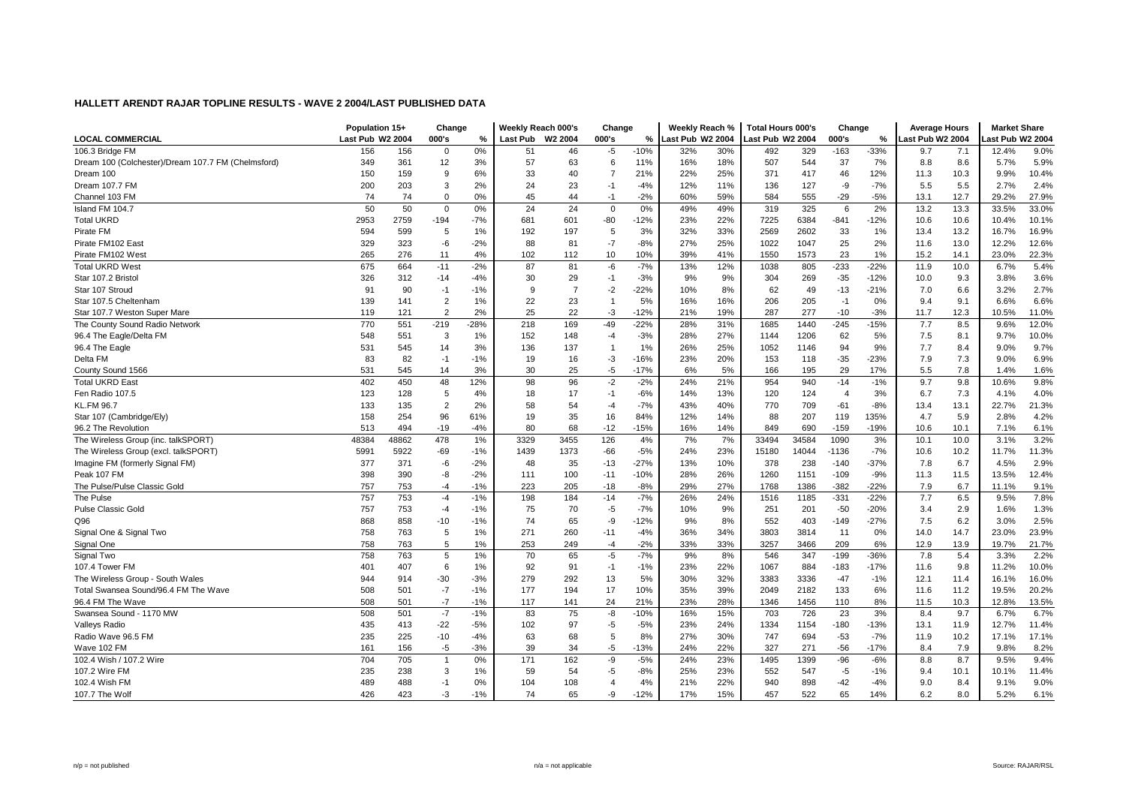|                                                    | Population 15+   |       | Change         |               | Weekly Reach 000's |                     | Change         |        | Weekly Reach %   |     | <b>Total Hours 000's</b> |       | Change         |        | <b>Average Hours</b> |      | <b>Market Share</b> |       |
|----------------------------------------------------|------------------|-------|----------------|---------------|--------------------|---------------------|----------------|--------|------------------|-----|--------------------------|-------|----------------|--------|----------------------|------|---------------------|-------|
| <b>LOCAL COMMERCIAL</b>                            | Last Pub W2 2004 |       | 000's          | $\frac{9}{6}$ | Last Pub           | W <sub>2</sub> 2004 | 000's          | %      | Last Pub W2 2004 |     | ast Pub W2 2004          |       | 000's          | %      | ast Pub W2 2004      |      | ast Pub W2 2004     |       |
| 106.3 Bridge FM                                    | 156              | 156   | 0              | 0%            | 51                 | 46                  | -5             | $-10%$ | 32%              | 30% | 492                      | 329   | $-163$         | $-33%$ | 9.7                  | 7.1  | 12.4%               | 9.0%  |
| Dream 100 (Colchester)/Dream 107.7 FM (Chelmsford) | 349              | 361   | 12             | 3%            | 57                 | 63                  | 6              | 11%    | 16%              | 18% | 507                      | 544   | 37             | 7%     | 8.8                  | 8.6  | 5.7%                | 5.9%  |
| Dream 100                                          | 150              | 159   | 9              | 6%            | 33                 | 40                  | $\overline{7}$ | 21%    | 22%              | 25% | 371                      | 417   | 46             | 12%    | 11.3                 | 10.3 | 9.9%                | 10.4% |
| Dream 107.7 FM                                     | 200              | 203   | 3              | 2%            | 24                 | 23                  | $-1$           | $-4%$  | 12%              | 11% | 136                      | 127   | -9             | $-7%$  | 5.5                  | 5.5  | 2.7%                | 2.4%  |
| Channel 103 FM                                     | 74               | 74    | $\mathbf 0$    | 0%            | 45                 | 44                  | $-1$           | $-2%$  | 60%              | 59% | 584                      | 555   | $-29$          | $-5%$  | 13.1                 | 12.7 | 29.2%               | 27.9% |
| Island FM 104.7                                    | 50               | 50    | $\mathbf 0$    | 0%            | 24                 | 24                  | $\mathbf 0$    | 0%     | 49%              | 49% | 319                      | 325   | 6              | 2%     | 13.2                 | 13.3 | 33.5%               | 33.0% |
| <b>Total UKRD</b>                                  | 2953             | 2759  | $-194$         | $-7%$         | 681                | 601                 | $-80$          | $-12%$ | 23%              | 22% | 7225                     | 6384  | $-841$         | $-12%$ | 10.6                 | 10.6 | 10.4%               | 10.1% |
| Pirate FM                                          | 594              | 599   | 5              | 1%            | 192                | 197                 | 5              | 3%     | 32%              | 33% | 2569                     | 2602  | 33             | 1%     | 13.4                 | 13.2 | 16.7%               | 16.9% |
| Pirate FM102 East                                  | 329              | 323   | -6             | $-2%$         | 88                 | 81                  | $-7$           | $-8%$  | 27%              | 25% | 1022                     | 1047  | 25             | 2%     | 11.6                 | 13.0 | 12.2%               | 12.6% |
| Pirate FM102 West                                  | 265              | 276   | 11             | 4%            | 102                | 112                 | 10             | 10%    | 39%              | 41% | 1550                     | 1573  | 23             | 1%     | 15.2                 | 14.1 | 23.0%               | 22.3% |
| <b>Total UKRD West</b>                             | 675              | 664   | $-11$          | $-2%$         | 87                 | 81                  | -6             | $-7%$  | 13%              | 12% | 1038                     | 805   | $-233$         | $-22%$ | 11.9                 | 10.0 | 6.7%                | 5.4%  |
| Star 107.2 Bristol                                 | 326              | 312   | $-14$          | $-4%$         | 30                 | 29                  | $-1$           | $-3%$  | 9%               | 9%  | 304                      | 269   | $-35$          | $-12%$ | 10.0                 | 9.3  | 3.8%                | 3.6%  |
| Star 107 Stroud                                    | 91               | 90    | $-1$           | $-1%$         | 9                  | $\overline{7}$      | $-2$           | $-22%$ | 10%              | 8%  | 62                       | 49    | $-13$          | $-21%$ | 7.0                  | 6.6  | 3.2%                | 2.7%  |
| Star 107.5 Cheltenham                              | 139              | 141   | $\overline{2}$ | 1%            | 22                 | 23                  | $\overline{1}$ | 5%     | 16%              | 16% | 206                      | 205   | $-1$           | 0%     | 9.4                  | 9.1  | 6.6%                | 6.6%  |
| Star 107.7 Weston Super Mare                       | 119              | 121   | 2              | 2%            | 25                 | 22                  | $-3$           | $-12%$ | 21%              | 19% | 287                      | 277   | $-10$          | $-3%$  | 11.7                 | 12.3 | 10.5%               | 11.0% |
| The County Sound Radio Network                     | 770              | 551   | $-219$         | $-28%$        | 218                | 169                 | $-49$          | $-22%$ | 28%              | 31% | 1685                     | 1440  | $-245$         | $-15%$ | 7.7                  | 8.5  | 9.6%                | 12.0% |
| 96.4 The Eagle/Delta FM                            | 548              | 551   | 3              | 1%            | 152                | 148                 | $-4$           | $-3%$  | 28%              | 27% | 1144                     | 1206  | 62             | 5%     | 7.5                  | 8.1  | 9.7%                | 10.0% |
| 96.4 The Eagle                                     | 531              | 545   | 14             | 3%            | 136                | 137                 | $\overline{1}$ | 1%     | 26%              | 25% | 1052                     | 1146  | 94             | 9%     | 7.7                  | 8.4  | 9.0%                | 9.7%  |
| Delta FM                                           | 83               | 82    | $-1$           | $-1%$         | 19                 | 16                  | -3             | $-16%$ | 23%              | 20% | 153                      | 118   | $-35$          | $-23%$ | 7.9                  | 7.3  | 9.0%                | 6.9%  |
| County Sound 1566                                  | 531              | 545   | 14             | 3%            | 30                 | 25                  | $-5$           | $-17%$ | 6%               | 5%  | 166                      | 195   | 29             | 17%    | 5.5                  | 7.8  | 1.4%                | 1.6%  |
| <b>Total UKRD East</b>                             | 402              | 450   | 48             | 12%           | 98                 | 96                  | $-2$           | $-2%$  | 24%              | 21% | 954                      | 940   | $-14$          | $-1%$  | 9.7                  | 9.8  | 10.6%               | 9.8%  |
| Fen Radio 107.5                                    | 123              | 128   | 5              | 4%            | 18                 | 17                  | $-1$           | $-6%$  | 14%              | 13% | 120                      | 124   | $\overline{4}$ | 3%     | 6.7                  | 7.3  | 4.1%                | 4.0%  |
| <b>KL.FM 96.7</b>                                  | 133              | 135   | $\overline{2}$ | 2%            | 58                 | 54                  | $-4$           | $-7%$  | 43%              | 40% | 770                      | 709   | $-61$          | $-8%$  | 13.4                 | 13.1 | 22.7%               | 21.3% |
| Star 107 (Cambridge/Ely)                           | 158              | 254   | 96             | 61%           | 19                 | 35                  | 16             | 84%    | 12%              | 14% | 88                       | 207   | 119            | 135%   | 4.7                  | 5.9  | 2.8%                | 4.2%  |
| 96.2 The Revolution                                | 513              | 494   | $-19$          | $-4%$         | 80                 | 68                  | $-12$          | $-15%$ | 16%              | 14% | 849                      | 690   | $-159$         | $-19%$ | 10.6                 | 10.1 | 7.1%                | 6.1%  |
| The Wireless Group (inc. talkSPORT)                | 48384            | 48862 | 478            | 1%            | 3329               | 3455                | 126            | 4%     | 7%               | 7%  | 33494                    | 34584 | 1090           | 3%     | 10.1                 | 10.0 | 3.1%                | 3.2%  |
| The Wireless Group (excl. talkSPORT)               | 5991             | 5922  | $-69$          | $-1%$         | 1439               | 1373                | $-66$          | $-5%$  | 24%              | 23% | 15180                    | 14044 | $-1136$        | $-7%$  | 10.6                 | 10.2 | 11.7%               | 11.3% |
| Imagine FM (formerly Signal FM)                    | 377              | 371   | -6             | $-2%$         | 48                 | 35                  | $-13$          | $-27%$ | 13%              | 10% | 378                      | 238   | $-140$         | $-37%$ | 7.8                  | 6.7  | 4.5%                | 2.9%  |
| Peak 107 FM                                        | 398              | 390   | -8             | $-2%$         | 111                | 100                 | $-11$          | $-10%$ | 28%              | 26% | 1260                     | 1151  | $-109$         | $-9%$  | 11.3                 | 11.5 | 13.5%               | 12.4% |
| The Pulse/Pulse Classic Gold                       | 757              | 753   | $-4$           | $-1%$         | 223                | 205                 | $-18$          | $-8%$  | 29%              | 27% | 1768                     | 1386  | $-382$         | $-22%$ | 7.9                  | 6.7  | 11.1%               | 9.1%  |
| The Pulse                                          | 757              | 753   | $-4$           | $-1%$         | 198                | 184                 | $-14$          | $-7%$  | 26%              | 24% | 1516                     | 1185  | $-331$         | $-22%$ | 7.7                  | 6.5  | 9.5%                | 7.8%  |
| <b>Pulse Classic Gold</b>                          | 757              | 753   | $-4$           | $-1%$         | 75                 | 70                  | $-5$           | $-7%$  | 10%              | 9%  | 251                      | 201   | $-50$          | $-20%$ | 3.4                  | 2.9  | 1.6%                | 1.3%  |
| Q96                                                | 868              | 858   | $-10$          | $-1%$         | 74                 | 65                  | -9             | $-12%$ | 9%               | 8%  | 552                      | 403   | -149           | $-27%$ | 7.5                  | 6.2  | 3.0%                | 2.5%  |
| Signal One & Signal Two                            | 758              | 763   | 5              | 1%            | 271                | 260                 | $-11$          | $-4%$  | 36%              | 34% | 3803                     | 3814  | 11             | 0%     | 14.0                 | 14.7 | 23.0%               | 23.9% |
| Signal One                                         | 758              | 763   | 5              | 1%            | 253                | 249                 | $-4$           | $-2%$  | 33%              | 33% | 3257                     | 3466  | 209            | 6%     | 12.9                 | 13.9 | 19.7%               | 21.7% |
| Signal Two                                         | 758              | 763   | 5              | 1%            | 70                 | 65                  | -5             | $-7%$  | 9%               | 8%  | 546                      | 347   | $-199$         | $-36%$ | 7.8                  | 5.4  | 3.3%                | 2.2%  |
| 107.4 Tower FM                                     | 401              | 407   | 6              | 1%            | 92                 | 91                  | $-1$           | $-1%$  | 23%              | 22% | 1067                     | 884   | -183           | $-17%$ | 11.6                 | 9.8  | 11.2%               | 10.0% |
| The Wireless Group - South Wales                   | 944              | 914   | $-30$          | $-3%$         | 279                | 292                 | 13             | 5%     | 30%              | 32% | 3383                     | 3336  | $-47$          | $-1%$  | 12.1                 | 11.4 | 16.1%               | 16.0% |
| Total Swansea Sound/96.4 FM The Wave               | 508              | 501   | $-7$           | $-1%$         | 177                | 194                 | 17             | 10%    | 35%              | 39% | 2049                     | 2182  | 133            | 6%     | 11.6                 | 11.2 | 19.5%               | 20.2% |
| 96.4 FM The Wave                                   | 508              | 501   | $-7$           | $-1%$         | 117                | 141                 | 24             | 21%    | 23%              | 28% | 1346                     | 1456  | 110            | 8%     | 11.5                 | 10.3 | 12.8%               | 13.5% |
| Swansea Sound - 1170 MW                            | 508              | 501   | $-7$           | $-1%$         | 83                 | 75                  | -8             | $-10%$ | 16%              | 15% | 703                      | 726   | 23             | 3%     | 8.4                  | 9.7  | 6.7%                | 6.7%  |
| Valleys Radio                                      | 435              | 413   | $-22$          | $-5%$         | 102                | 97                  | -5             | $-5%$  | 23%              | 24% | 1334                     | 1154  | $-180$         | $-13%$ | 13.1                 | 11.9 | 12.7%               | 11.4% |
| Radio Wave 96.5 FM                                 | 235              | 225   | $-10$          | $-4%$         | 63                 | 68                  | 5              | 8%     | 27%              | 30% | 747                      | 694   | $-53$          | $-7%$  | 11.9                 | 10.2 | 17.1%               | 17.1% |
| Wave 102 FM                                        | 161              | 156   | -5             | $-3%$         | 39                 | 34                  | $-5$           | $-13%$ | 24%              | 22% | 327                      | 271   | $-56$          | $-17%$ | 8.4                  | 7.9  | 9.8%                | 8.2%  |
| 102.4 Wish / 107.2 Wire                            | 704              | 705   | $\overline{1}$ | 0%            | 171                | 162                 | -9             | $-5%$  | 24%              | 23% | 1495                     | 1399  | $-96$          | $-6%$  | 8.8                  | 8.7  | 9.5%                | 9.4%  |
| 107.2 Wire FM                                      | 235              | 238   | 3              | 1%            | 59                 | 54                  | -5             | $-8%$  | 25%              | 23% | 552                      | 547   | $-5$           | $-1%$  | 9.4                  | 10.1 | 10.1%               | 11.4% |
| 102.4 Wish FM                                      | 489              | 488   | $-1$           | 0%            | 104                | 108                 | $\overline{4}$ | 4%     | 21%              | 22% | 940                      | 898   | $-42$          | $-4%$  | 9.0                  | 8.4  | 9.1%                | 9.0%  |
| 107.7 The Wolf                                     | 426              | 423   | $-3$           | $-1%$         | 74                 | 65                  | -9             | $-12%$ | 17%              | 15% | 457                      | 522   | 65             | 14%    | 6.2                  | 8.0  | 5.2%                | 6.1%  |